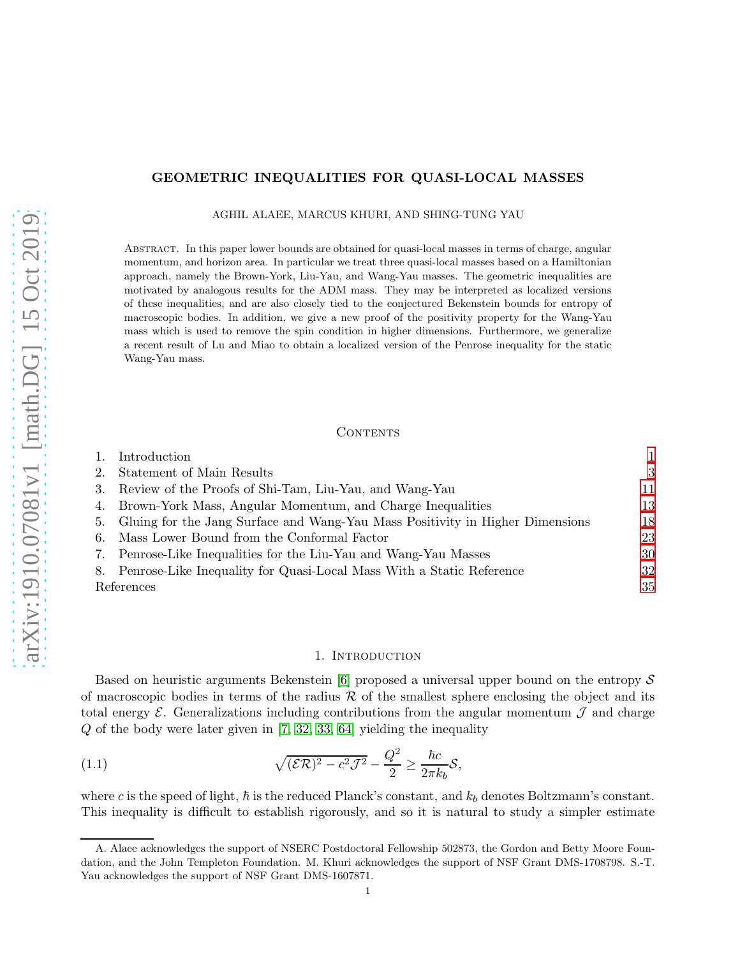# GEOMETRIC INEQUALITIES FOR QUASI-LOCAL MASSES

AGHIL ALAEE, MARCUS KHURI, AND SHING-TUNG YAU

Abstract. In this paper lower bounds are obtained for quasi-local masses in terms of charge, angular momentum, and horizon area. In particular we treat three quasi-local masses based on a Hamiltonian approach, namely the Brown-York, Liu-Yau, and Wang-Yau masses. The geometric inequalities are motivated by analogous results for the ADM mass. They may be interpreted as localized versions of these inequalities, and are also closely tied to the conjectured Bekenstein bounds for entropy of macroscopic bodies. In addition, we give a new proof of the positivity property for the Wang-Yau mass which is used to remove the spin condition in higher dimensions. Furthermore, we generalize a recent result of Lu and Miao to obtain a localized version of the Penrose inequality for the static Wang-Yau mass.

## CONTENTS

|    | Introduction                                                                     |    |
|----|----------------------------------------------------------------------------------|----|
| 2. | Statement of Main Results                                                        | 3  |
|    | 3. Review of the Proofs of Shi-Tam, Liu-Yau, and Wang-Yau                        | 11 |
|    | 4. Brown-York Mass, Angular Momentum, and Charge Inequalities                    | 13 |
|    | 5. Gluing for the Jang Surface and Wang-Yau Mass Positivity in Higher Dimensions | 18 |
|    | 6. Mass Lower Bound from the Conformal Factor                                    | 23 |
|    | 7. Penrose-Like Inequalities for the Liu-Yau and Wang-Yau Masses                 | 30 |
|    | 8. Penrose-Like Inequality for Quasi-Local Mass With a Static Reference          | 32 |
|    | References                                                                       |    |

# <span id="page-0-1"></span>1. INTRODUCTION

<span id="page-0-0"></span>Based on heuristic arguments Bekenstein [\[6\]](#page-34-1) proposed a universal upper bound on the entropy  $S$ of macroscopic bodies in terms of the radius  $R$  of the smallest sphere enclosing the object and its total energy  $\mathcal E$ . Generalizations including contributions from the angular momentum  $\mathcal J$  and charge Q of the body were later given in [\[7,](#page-34-2) [32,](#page-35-0) [33,](#page-35-1) [64\]](#page-36-0) yielding the inequality

(1.1) 
$$
\sqrt{(\mathcal{ER})^2 - c^2 \mathcal{J}^2} - \frac{Q^2}{2} \ge \frac{\hbar c}{2\pi k_b} \mathcal{S},
$$

where c is the speed of light,  $\hbar$  is the reduced Planck's constant, and  $k_b$  denotes Boltzmann's constant. This inequality is difficult to establish rigorously, and so it is natural to study a simpler estimate

A. Alaee acknowledges the support of NSERC Postdoctoral Fellowship 502873, the Gordon and Betty Moore Foundation, and the John Templeton Foundation. M. Khuri acknowledges the support of NSF Grant DMS-1708798. S.-T. Yau acknowledges the support of NSF Grant DMS-1607871.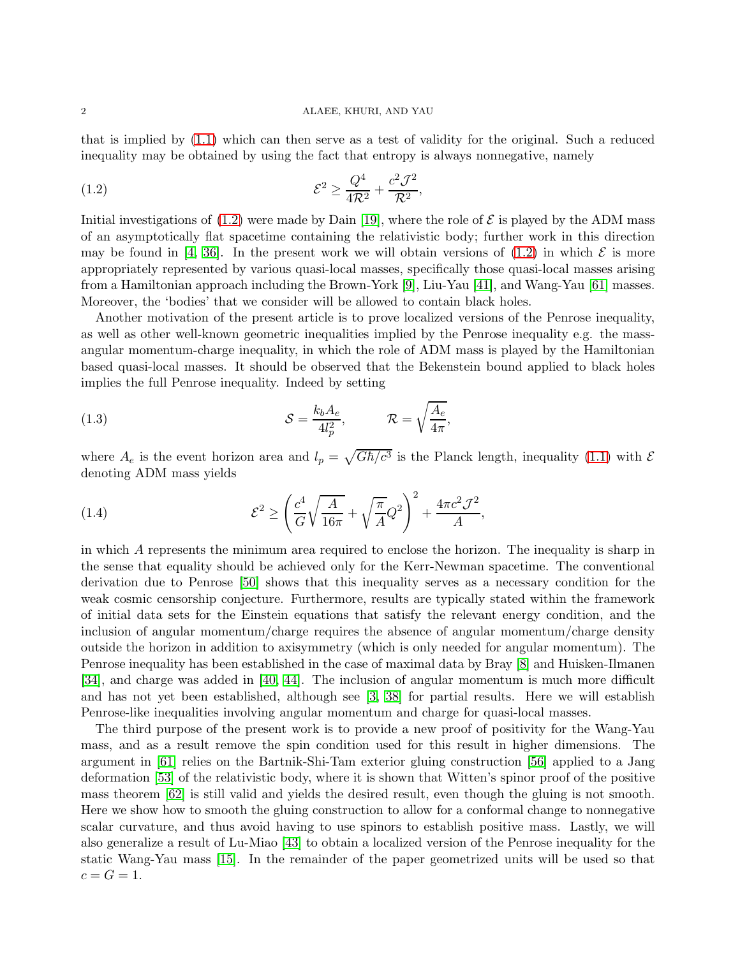that is implied by [\(1.1\)](#page-0-1) which can then serve as a test of validity for the original. Such a reduced inequality may be obtained by using the fact that entropy is always nonnegative, namely

<span id="page-1-0"></span>
$$
\mathcal{E}^2 \ge \frac{Q^4}{4\mathcal{R}^2} + \frac{c^2 \mathcal{J}^2}{\mathcal{R}^2},
$$

Initial investigations of  $(1.2)$  were made by Dain [\[19\]](#page-34-3), where the role of  $\mathcal E$  is played by the ADM mass of an asymptotically flat spacetime containing the relativistic body; further work in this direction may be found in [\[4,](#page-34-4) [36\]](#page-35-2). In the present work we will obtain versions of [\(1.2\)](#page-1-0) in which  $\mathcal E$  is more appropriately represented by various quasi-local masses, specifically those quasi-local masses arising from a Hamiltonian approach including the Brown-York [\[9\]](#page-34-5), Liu-Yau [\[41\]](#page-35-3), and Wang-Yau [\[61\]](#page-36-1) masses. Moreover, the 'bodies' that we consider will be allowed to contain black holes.

Another motivation of the present article is to prove localized versions of the Penrose inequality, as well as other well-known geometric inequalities implied by the Penrose inequality e.g. the massangular momentum-charge inequality, in which the role of ADM mass is played by the Hamiltonian based quasi-local masses. It should be observed that the Bekenstein bound applied to black holes implies the full Penrose inequality. Indeed by setting

(1.3) 
$$
\mathcal{S} = \frac{k_b A_e}{4l_p^2}, \qquad \mathcal{R} = \sqrt{\frac{A_e}{4\pi}},
$$

where  $A_e$  is the event horizon area and  $l_p = \sqrt{G\hbar/c^3}$  is the Planck length, inequality [\(1.1\)](#page-0-1) with  $\mathcal E$ denoting ADM mass yields

<span id="page-1-1"></span>(1.4) 
$$
\mathcal{E}^2 \ge \left(\frac{c^4}{G}\sqrt{\frac{A}{16\pi}} + \sqrt{\frac{\pi}{A}}Q^2\right)^2 + \frac{4\pi c^2 \mathcal{J}^2}{A},
$$

in which A represents the minimum area required to enclose the horizon. The inequality is sharp in the sense that equality should be achieved only for the Kerr-Newman spacetime. The conventional derivation due to Penrose [\[50\]](#page-35-4) shows that this inequality serves as a necessary condition for the weak cosmic censorship conjecture. Furthermore, results are typically stated within the framework of initial data sets for the Einstein equations that satisfy the relevant energy condition, and the inclusion of angular momentum/charge requires the absence of angular momentum/charge density outside the horizon in addition to axisymmetry (which is only needed for angular momentum). The Penrose inequality has been established in the case of maximal data by Bray [\[8\]](#page-34-6) and Huisken-Ilmanen [\[34\]](#page-35-5), and charge was added in [\[40,](#page-35-6) [44\]](#page-35-7). The inclusion of angular momentum is much more difficult and has not yet been established, although see [\[3,](#page-34-7) [38\]](#page-35-8) for partial results. Here we will establish Penrose-like inequalities involving angular momentum and charge for quasi-local masses.

The third purpose of the present work is to provide a new proof of positivity for the Wang-Yau mass, and as a result remove the spin condition used for this result in higher dimensions. The argument in [\[61\]](#page-36-1) relies on the Bartnik-Shi-Tam exterior gluing construction [\[56\]](#page-35-9) applied to a Jang deformation [\[53\]](#page-35-10) of the relativistic body, where it is shown that Witten's spinor proof of the positive mass theorem [\[62\]](#page-36-2) is still valid and yields the desired result, even though the gluing is not smooth. Here we show how to smooth the gluing construction to allow for a conformal change to nonnegative scalar curvature, and thus avoid having to use spinors to establish positive mass. Lastly, we will also generalize a result of Lu-Miao [\[43\]](#page-35-11) to obtain a localized version of the Penrose inequality for the static Wang-Yau mass [\[15\]](#page-34-8). In the remainder of the paper geometrized units will be used so that  $c = G = 1.$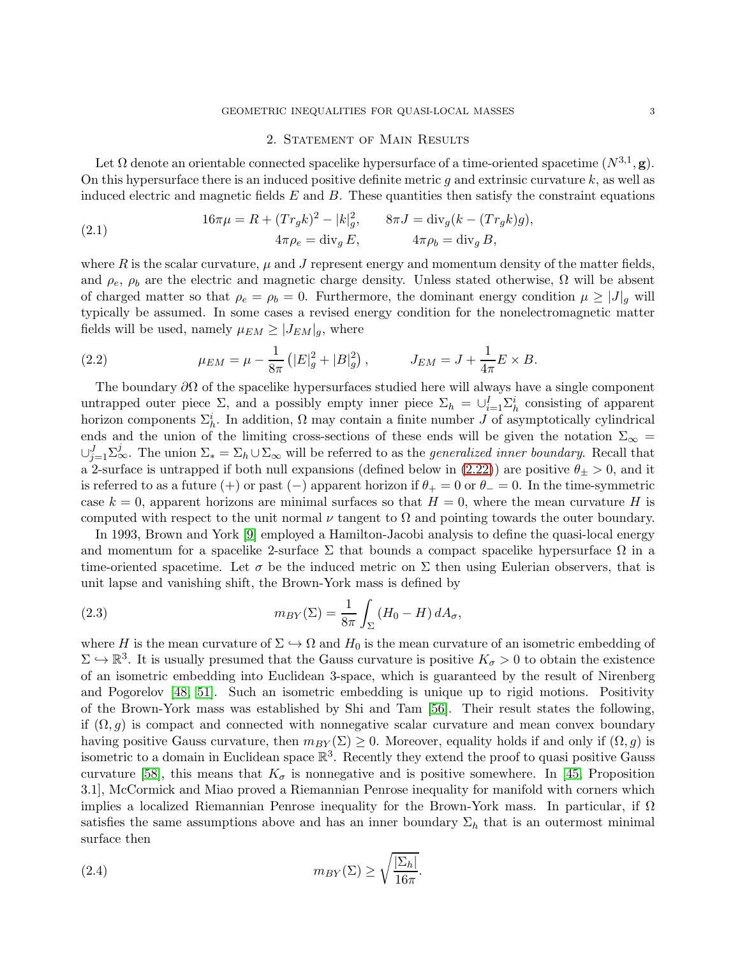## GEOMETRIC INEQUALITIES FOR QUASI-LOCAL MASSES 3

## 2. Statement of Main Results

<span id="page-2-0"></span>Let  $\Omega$  denote an orientable connected spacelike hypersurface of a time-oriented spacetime  $(N^{3,1}, \mathbf{g})$ . On this hypersurface there is an induced positive definite metric g and extrinsic curvature  $k$ , as well as induced electric and magnetic fields  $E$  and  $B$ . These quantities then satisfy the constraint equations

(2.1) 
$$
16\pi\mu = R + (Tr_g k)^2 - |k|_g^2, \qquad 8\pi J = \text{div}_g (k - (Tr_g k)g), 4\pi\rho_e = \text{div}_g E, \qquad 4\pi\rho_b = \text{div}_g B,
$$

where R is the scalar curvature,  $\mu$  and J represent energy and momentum density of the matter fields, and  $\rho_e$ ,  $\rho_b$  are the electric and magnetic charge density. Unless stated otherwise,  $\Omega$  will be absent of charged matter so that  $\rho_e = \rho_b = 0$ . Furthermore, the dominant energy condition  $\mu \geq |J|_q$  will typically be assumed. In some cases a revised energy condition for the nonelectromagnetic matter fields will be used, namely  $\mu_{EM} \geq |J_{EM}|_q$ , where

(2.2) 
$$
\mu_{EM} = \mu - \frac{1}{8\pi} \left( |E|_g^2 + |B|_g^2 \right), \qquad J_{EM} = J + \frac{1}{4\pi} E \times B.
$$

The boundary  $\partial\Omega$  of the spacelike hypersurfaces studied here will always have a single component untrapped outer piece  $\Sigma$ , and a possibly empty inner piece  $\Sigma_h = \bigcup_{i=1}^I \Sigma_h^i$  consisting of apparent horizon components  $\Sigma_h^i$ . In addition,  $\Omega$  may contain a finite number J of asymptotically cylindrical ends and the union of the limiting cross-sections of these ends will be given the notation  $\Sigma_{\infty} =$  $\cup_{j=1}^J \Sigma^j_\infty$ . The union  $\Sigma_* = \Sigma_h \cup \Sigma_\infty$  will be referred to as the *generalized inner boundary*. Recall that a 2-surface is untrapped if both null expansions (defined below in [\(2.22\)](#page-6-0)) are positive  $\theta_{\pm} > 0$ , and it is referred to as a future (+) or past (-) apparent horizon if  $\theta_+ = 0$  or  $\theta_- = 0$ . In the time-symmetric case  $k = 0$ , apparent horizons are minimal surfaces so that  $H = 0$ , where the mean curvature H is computed with respect to the unit normal  $\nu$  tangent to  $\Omega$  and pointing towards the outer boundary.

In 1993, Brown and York [\[9\]](#page-34-5) employed a Hamilton-Jacobi analysis to define the quasi-local energy and momentum for a spacelike 2-surface  $\Sigma$  that bounds a compact spacelike hypersurface  $\Omega$  in a time-oriented spacetime. Let  $\sigma$  be the induced metric on  $\Sigma$  then using Eulerian observers, that is unit lapse and vanishing shift, the Brown-York mass is defined by

(2.3) 
$$
m_{BY}(\Sigma) = \frac{1}{8\pi} \int_{\Sigma} (H_0 - H) dA_{\sigma},
$$

where H is the mean curvature of  $\Sigma \hookrightarrow \Omega$  and  $H_0$  is the mean curvature of an isometric embedding of  $\Sigma \hookrightarrow \mathbb{R}^3$ . It is usually presumed that the Gauss curvature is positive  $K_{\sigma} > 0$  to obtain the existence of an isometric embedding into Euclidean 3-space, which is guaranteed by the result of Nirenberg and Pogorelov [\[48,](#page-35-12) [51\]](#page-35-13). Such an isometric embedding is unique up to rigid motions. Positivity of the Brown-York mass was established by Shi and Tam [\[56\]](#page-35-9). Their result states the following, if  $(\Omega, q)$  is compact and connected with nonnegative scalar curvature and mean convex boundary having positive Gauss curvature, then  $m_{BY}(\Sigma) \geq 0$ . Moreover, equality holds if and only if  $(\Omega, g)$  is isometric to a domain in Euclidean space  $\mathbb{R}^3$ . Recently they extend the proof to quasi positive Gauss curvature [\[58\]](#page-35-14), this means that  $K_{\sigma}$  is nonnegative and is positive somewhere. In [\[45,](#page-35-15) Proposition 3.1], McCormick and Miao proved a Riemannian Penrose inequality for manifold with corners which implies a localized Riemannian Penrose inequality for the Brown-York mass. In particular, if  $\Omega$ satisfies the same assumptions above and has an inner boundary  $\Sigma_h$  that is an outermost minimal surface then

<span id="page-2-1"></span>(2.4) 
$$
m_{BY}(\Sigma) \ge \sqrt{\frac{|\Sigma_h|}{16\pi}}.
$$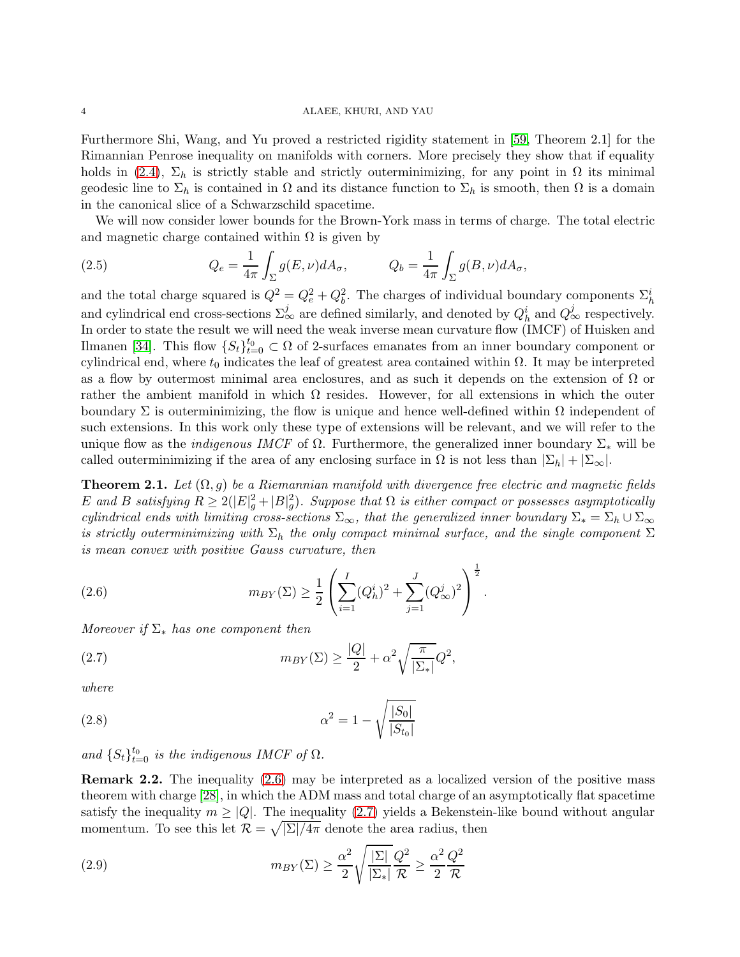Furthermore Shi, Wang, and Yu proved a restricted rigidity statement in [\[59,](#page-36-3) Theorem 2.1] for the Rimannian Penrose inequality on manifolds with corners. More precisely they show that if equality holds in [\(2.4\)](#page-2-1),  $\Sigma_h$  is strictly stable and strictly outerminimizing, for any point in  $\Omega$  its minimal geodesic line to  $\Sigma_h$  is contained in  $\Omega$  and its distance function to  $\Sigma_h$  is smooth, then  $\Omega$  is a domain in the canonical slice of a Schwarzschild spacetime.

We will now consider lower bounds for the Brown-York mass in terms of charge. The total electric and magnetic charge contained within  $\Omega$  is given by

(2.5) 
$$
Q_e = \frac{1}{4\pi} \int_{\Sigma} g(E, \nu) dA_{\sigma}, \qquad Q_b = \frac{1}{4\pi} \int_{\Sigma} g(B, \nu) dA_{\sigma},
$$

and the total charge squared is  $Q^2 = Q_e^2 + Q_b^2$ . The charges of individual boundary components  $\Sigma_h^i$ and cylindrical end cross-sections  $\Sigma^j_\infty$  are defined similarly, and denoted by  $Q^i_h$  and  $Q^j_\infty$  respectively. In order to state the result we will need the weak inverse mean curvature flow (IMCF) of Huisken and Ilmanen [\[34\]](#page-35-5). This flow  $\{S_t\}_{t=0}^{t_0} \subset \Omega$  of 2-surfaces emanates from an inner boundary component or cylindrical end, where  $t_0$  indicates the leaf of greatest area contained within  $\Omega$ . It may be interpreted as a flow by outermost minimal area enclosures, and as such it depends on the extension of  $\Omega$  or rather the ambient manifold in which  $\Omega$  resides. However, for all extensions in which the outer boundary  $\Sigma$  is outerminimizing, the flow is unique and hence well-defined within  $\Omega$  independent of such extensions. In this work only these type of extensions will be relevant, and we will refer to the unique flow as the *indigenous IMCF* of  $\Omega$ . Furthermore, the generalized inner boundary  $\Sigma_*$  will be called outerminimizing if the area of any enclosing surface in  $\Omega$  is not less than  $|\Sigma_h| + |\Sigma_{\infty}|$ .

<span id="page-3-2"></span>**Theorem 2.1.** Let  $(\Omega, g)$  be a Riemannian manifold with divergence free electric and magnetic fields E and B satisfying  $R \ge 2(|E|_g^2 + |B|_g^2)$ . Suppose that  $\Omega$  is either compact or possesses asymptotically cylindrical ends with limiting cross-sections  $\Sigma_{\infty}$ , that the generalized inner boundary  $\Sigma_* = \Sigma_h \cup \Sigma_{\infty}$ is strictly outerminimizing with  $\Sigma_h$  the only compact minimal surface, and the single component  $\Sigma$ is mean convex with positive Gauss curvature, then

<span id="page-3-0"></span>(2.6) 
$$
m_{BY}(\Sigma) \geq \frac{1}{2} \left( \sum_{i=1}^{I} (Q_h^i)^2 + \sum_{j=1}^{J} (Q_\infty^j)^2 \right)^{\frac{1}{2}}.
$$

Moreover if  $\Sigma^*$  has one component then

<span id="page-3-1"></span>(2.7) 
$$
m_{BY}(\Sigma) \geq \frac{|Q|}{2} + \alpha^2 \sqrt{\frac{\pi}{|\Sigma_*|}} Q^2,
$$

where

(2.8) 
$$
\alpha^2 = 1 - \sqrt{\frac{|S_0|}{|S_{t_0}|}}
$$

and  $\{S_t\}_{t=0}^{t_0}$  is the indigenous IMCF of  $\Omega$ .

Remark 2.2. The inequality [\(2.6\)](#page-3-0) may be interpreted as a localized version of the positive mass theorem with charge [\[28\]](#page-35-16), in which the ADM mass and total charge of an asymptotically flat spacetime satisfy the inequality  $m \geq |Q|$ . The inequality [\(2.7\)](#page-3-1) yields a Bekenstein-like bound without angular momentum. To see this let  $\mathcal{R} = \sqrt{|\Sigma|/4\pi}$  denote the area radius, then

(2.9) 
$$
m_{BY}(\Sigma) \geq \frac{\alpha^2}{2} \sqrt{\frac{|\Sigma|}{|\Sigma_*|}} \frac{Q^2}{\mathcal{R}} \geq \frac{\alpha^2}{2} \frac{Q^2}{\mathcal{R}}
$$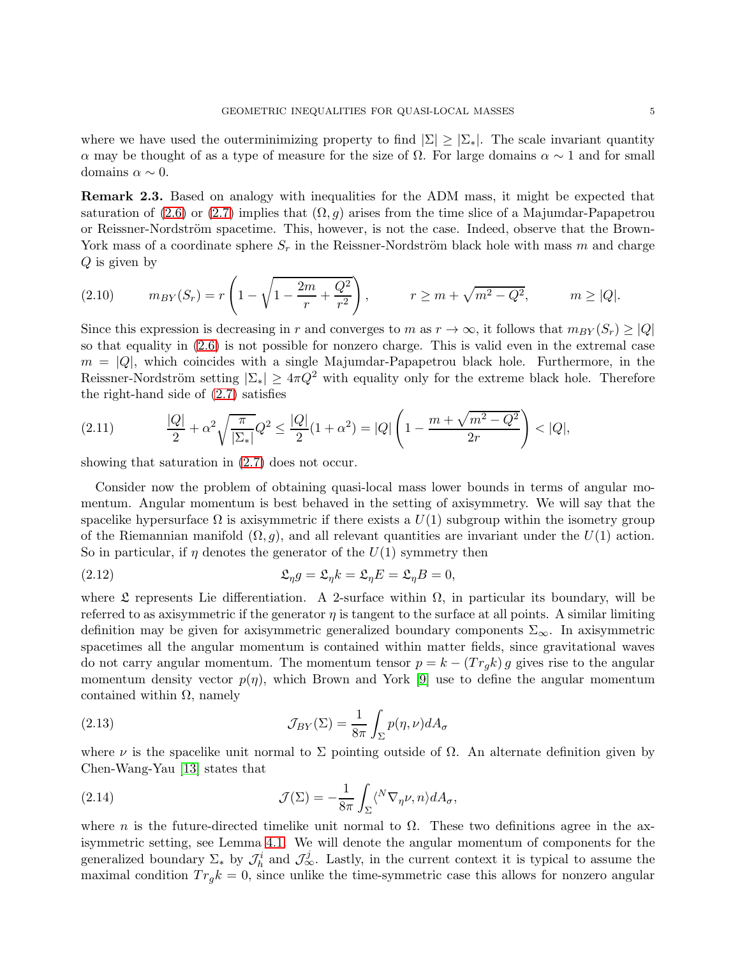where we have used the outerminimizing property to find  $|\Sigma| \geq |\Sigma_*|$ . The scale invariant quantity α may be thought of as a type of measure for the size of  $\Omega$ . For large domains  $\alpha \sim 1$  and for small domains  $\alpha \sim 0$ .

Remark 2.3. Based on analogy with inequalities for the ADM mass, it might be expected that saturation of [\(2.6\)](#page-3-0) or [\(2.7\)](#page-3-1) implies that  $(\Omega, g)$  arises from the time slice of a Majumdar-Papapetrou or Reissner-Nordström spacetime. This, however, is not the case. Indeed, observe that the Brown-York mass of a coordinate sphere  $S_r$  in the Reissner-Nordström black hole with mass m and charge  $Q$  is given by

(2.10) 
$$
m_{BY}(S_r) = r \left( 1 - \sqrt{1 - \frac{2m}{r} + \frac{Q^2}{r^2}} \right), \qquad r \ge m + \sqrt{m^2 - Q^2}, \qquad m \ge |Q|.
$$

Since this expression is decreasing in r and converges to m as  $r \to \infty$ , it follows that  $m_{BY}(S_r) \geq |Q|$ so that equality in [\(2.6\)](#page-3-0) is not possible for nonzero charge. This is valid even in the extremal case  $m = |Q|$ , which coincides with a single Majumdar-Papapetrou black hole. Furthermore, in the Reissner-Nordström setting  $|\Sigma_*| \geq 4\pi Q^2$  with equality only for the extreme black hole. Therefore the right-hand side of  $(2.7)$  satisfies

(2.11) 
$$
\frac{|Q|}{2} + \alpha^2 \sqrt{\frac{\pi}{|\Sigma_*|}} Q^2 \le \frac{|Q|}{2} (1 + \alpha^2) = |Q| \left( 1 - \frac{m + \sqrt{m^2 - Q^2}}{2r} \right) < |Q|,
$$

showing that saturation in [\(2.7\)](#page-3-1) does not occur.

Consider now the problem of obtaining quasi-local mass lower bounds in terms of angular momentum. Angular momentum is best behaved in the setting of axisymmetry. We will say that the spacelike hypersurface  $\Omega$  is axisymmetric if there exists a  $U(1)$  subgroup within the isometry group of the Riemannian manifold  $(\Omega, g)$ , and all relevant quantities are invariant under the  $U(1)$  action. So in particular, if  $\eta$  denotes the generator of the  $U(1)$  symmetry then

(2.12) 
$$
\mathfrak{L}_{\eta}g = \mathfrak{L}_{\eta}k = \mathfrak{L}_{\eta}E = \mathfrak{L}_{\eta}B = 0,
$$

where  $\mathfrak L$  represents Lie differentiation. A 2-surface within  $\Omega$ , in particular its boundary, will be referred to as axisymmetric if the generator  $\eta$  is tangent to the surface at all points. A similar limiting definition may be given for axisymmetric generalized boundary components  $\Sigma_{\infty}$ . In axisymmetric spacetimes all the angular momentum is contained within matter fields, since gravitational waves do not carry angular momentum. The momentum tensor  $p = k - (Tr_q k) g$  gives rise to the angular momentum density vector  $p(\eta)$ , which Brown and York [\[9\]](#page-34-5) use to define the angular momentum contained within  $\Omega$ , namely

(2.13) 
$$
\mathcal{J}_{BY}(\Sigma) = \frac{1}{8\pi} \int_{\Sigma} p(\eta, \nu) dA_{\sigma}
$$

where  $\nu$  is the spacelike unit normal to  $\Sigma$  pointing outside of  $\Omega$ . An alternate definition given by Chen-Wang-Yau [\[13\]](#page-34-9) states that

(2.14) 
$$
\mathcal{J}(\Sigma) = -\frac{1}{8\pi} \int_{\Sigma} \langle^N \nabla_{\eta} \nu, n \rangle dA_{\sigma},
$$

where n is the future-directed timelike unit normal to  $\Omega$ . These two definitions agree in the axisymmetric setting, see Lemma [4.1.](#page-13-0) We will denote the angular momentum of components for the generalized boundary  $\Sigma_*$  by  $\mathcal{J}_h^i$  and  $\mathcal{J}_{\infty}^j$ . Lastly, in the current context it is typical to assume the maximal condition  $Tr_q k = 0$ , since unlike the time-symmetric case this allows for nonzero angular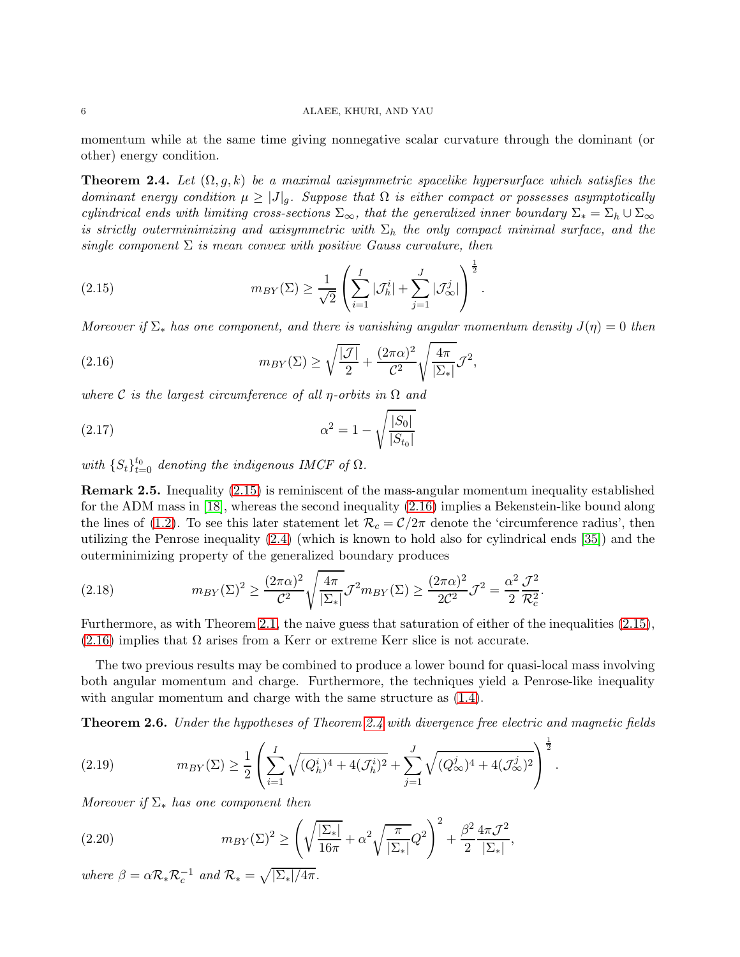momentum while at the same time giving nonnegative scalar curvature through the dominant (or other) energy condition.

<span id="page-5-2"></span>**Theorem 2.4.** Let  $(\Omega, g, k)$  be a maximal axisymmetric spacelike hypersurface which satisfies the dominant energy condition  $\mu \geq |J|_g$ . Suppose that  $\Omega$  is either compact or possesses asymptotically cylindrical ends with limiting cross-sections  $\Sigma_{\infty}$ , that the generalized inner boundary  $\Sigma_* = \Sigma_h \cup \Sigma_{\infty}$ is strictly outerminimizing and axisymmetric with  $\Sigma_h$  the only compact minimal surface, and the single component  $\Sigma$  is mean convex with positive Gauss curvature, then

<span id="page-5-0"></span>(2.15) 
$$
m_{BY}(\Sigma) \ge \frac{1}{\sqrt{2}} \left( \sum_{i=1}^I |\mathcal{J}_h^i| + \sum_{j=1}^J |\mathcal{J}_{\infty}^j| \right)^{\frac{1}{2}}.
$$

Moreover if  $\Sigma_*$  has one component, and there is vanishing angular momentum density  $J(\eta) = 0$  then

<span id="page-5-1"></span>(2.16) 
$$
m_{BY}(\Sigma) \ge \sqrt{\frac{|\mathcal{J}|}{2}} + \frac{(2\pi\alpha)^2}{\mathcal{C}^2} \sqrt{\frac{4\pi}{|\Sigma_*|}} \mathcal{J}^2,
$$

where C is the largest circumference of all *η*-orbits in  $\Omega$  and

(2.17) 
$$
\alpha^2 = 1 - \sqrt{\frac{|S_0|}{|S_{t_0}|}}
$$

with  $\{S_t\}_{t=0}^{t_0}$  denoting the indigenous IMCF of  $\Omega$ .

Remark 2.5. Inequality [\(2.15\)](#page-5-0) is reminiscent of the mass-angular momentum inequality established for the ADM mass in [\[18\]](#page-34-10), whereas the second inequality [\(2.16\)](#page-5-1) implies a Bekenstein-like bound along the lines of [\(1.2\)](#page-1-0). To see this later statement let  $\mathcal{R}_c = \mathcal{C}/2\pi$  denote the 'circumference radius', then utilizing the Penrose inequality [\(2.4\)](#page-2-1) (which is known to hold also for cylindrical ends [\[35\]](#page-35-17)) and the outerminimizing property of the generalized boundary produces

(2.18) 
$$
m_{BY}(\Sigma)^2 \geq \frac{(2\pi\alpha)^2}{\mathcal{C}^2} \sqrt{\frac{4\pi}{|\Sigma_*|}} \mathcal{J}^2 m_{BY}(\Sigma) \geq \frac{(2\pi\alpha)^2}{2\mathcal{C}^2} \mathcal{J}^2 = \frac{\alpha^2}{2} \frac{\mathcal{J}^2}{\mathcal{R}_c^2}.
$$

Furthermore, as with Theorem [2.1,](#page-3-2) the naive guess that saturation of either of the inequalities [\(2.15\)](#page-5-0),  $(2.16)$  implies that  $\Omega$  arises from a Kerr or extreme Kerr slice is not accurate.

The two previous results may be combined to produce a lower bound for quasi-local mass involving both angular momentum and charge. Furthermore, the techniques yield a Penrose-like inequality with angular momentum and charge with the same structure as [\(1.4\)](#page-1-1).

<span id="page-5-4"></span>**Theorem 2.6.** Under the hypotheses of Theorem [2.4](#page-5-2) with divergence free electric and magnetic fields

<span id="page-5-5"></span>(2.19) 
$$
m_{BY}(\Sigma) \geq \frac{1}{2} \left( \sum_{i=1}^I \sqrt{(Q_h^i)^4 + 4(\mathcal{J}_h^i)^2} + \sum_{j=1}^J \sqrt{(Q_\infty^j)^4 + 4(\mathcal{J}_\infty^j)^2} \right)^{\frac{1}{2}}.
$$

Moreover if  $\Sigma^*$  has one component then

<span id="page-5-3"></span>(2.20) 
$$
m_{BY}(\Sigma)^2 \ge \left(\sqrt{\frac{|\Sigma_*|}{16\pi}} + \alpha^2 \sqrt{\frac{\pi}{|\Sigma_*|}} Q^2\right)^2 + \frac{\beta^2}{2} \frac{4\pi \mathcal{J}^2}{|\Sigma_*|},
$$

where  $\beta = \alpha \mathcal{R}_* \mathcal{R}_c^{-1}$  and  $\mathcal{R}_* = \sqrt{|\Sigma_*|/4\pi}$ .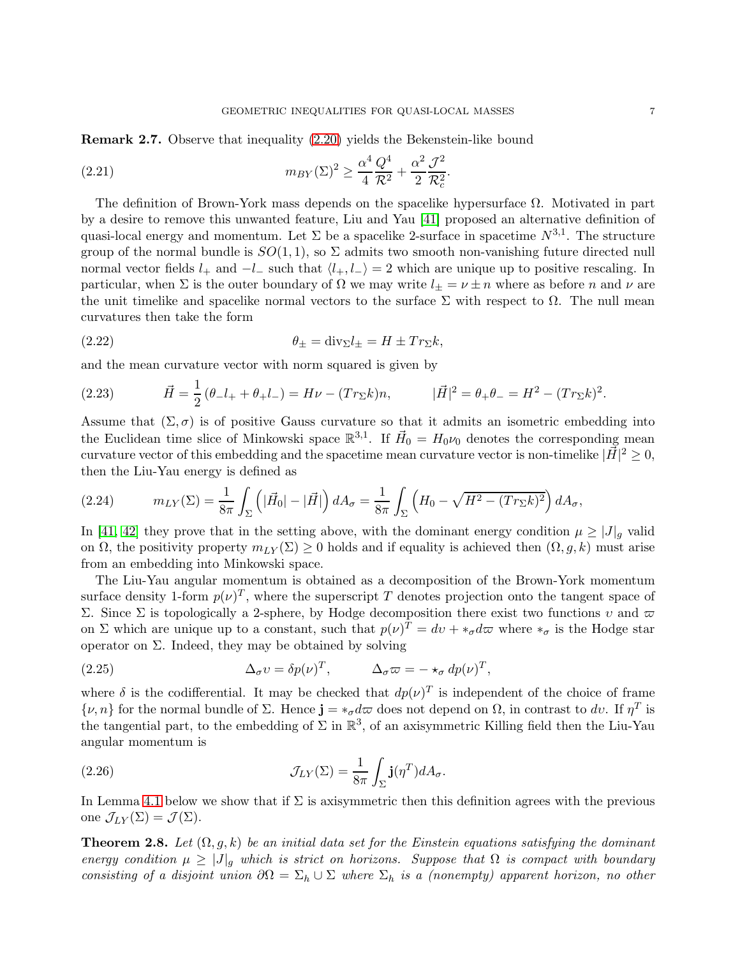Remark 2.7. Observe that inequality [\(2.20\)](#page-5-3) yields the Bekenstein-like bound

(2.21) 
$$
m_{BY}(\Sigma)^2 \ge \frac{\alpha^4}{4} \frac{Q^4}{\mathcal{R}^2} + \frac{\alpha^2}{2} \frac{\mathcal{J}^2}{\mathcal{R}_c^2}.
$$

The definition of Brown-York mass depends on the spacelike hypersurface  $\Omega$ . Motivated in part by a desire to remove this unwanted feature, Liu and Yau [\[41\]](#page-35-3) proposed an alternative definition of quasi-local energy and momentum. Let  $\Sigma$  be a spacelike 2-surface in spacetime  $N^{3,1}$ . The structure group of the normal bundle is  $SO(1,1)$ , so  $\Sigma$  admits two smooth non-vanishing future directed null normal vector fields  $l_+$  and  $-l_-$  such that  $\langle l_+, l_- \rangle = 2$  which are unique up to positive rescaling. In particular, when  $\Sigma$  is the outer boundary of  $\Omega$  we may write  $l_{\pm} = \nu \pm n$  where as before n and  $\nu$  are the unit timelike and spacelike normal vectors to the surface  $\Sigma$  with respect to  $\Omega$ . The null mean curvatures then take the form

<span id="page-6-0"></span>(2.22) 
$$
\theta_{\pm} = \text{div}_{\Sigma} l_{\pm} = H \pm Tr_{\Sigma} k,
$$

and the mean curvature vector with norm squared is given by

(2.23) 
$$
\vec{H} = \frac{1}{2} (\theta_- l_+ + \theta_+ l_-) = H\nu - (Tr_{\Sigma} k)n, \qquad |\vec{H}|^2 = \theta_+ \theta_- = H^2 - (Tr_{\Sigma} k)^2.
$$

Assume that  $(\Sigma, \sigma)$  is of positive Gauss curvature so that it admits an isometric embedding into the Euclidean time slice of Minkowski space  $\mathbb{R}^{3,1}$ . If  $\vec{H}_0 = H_0 \nu_0$  denotes the corresponding mean curvature vector of this embedding and the spacetime mean curvature vector is non-timelike  $|\vec{H}|^2 \geq 0$ , then the Liu-Yau energy is defined as

(2.24) 
$$
m_{LY}(\Sigma) = \frac{1}{8\pi} \int_{\Sigma} \left( |\vec{H}_0| - |\vec{H}| \right) dA_{\sigma} = \frac{1}{8\pi} \int_{\Sigma} \left( H_0 - \sqrt{H^2 - (Tr_{\Sigma}k)^2} \right) dA_{\sigma},
$$

In [\[41,](#page-35-3) [42\]](#page-35-18) they prove that in the setting above, with the dominant energy condition  $\mu \geq |J|_q$  valid on  $\Omega$ , the positivity property  $m_{LY}(\Sigma) \geq 0$  holds and if equality is achieved then  $(\Omega, g, k)$  must arise from an embedding into Minkowski space.

The Liu-Yau angular momentum is obtained as a decomposition of the Brown-York momentum surface density 1-form  $p(\nu)^T$ , where the superscript T denotes projection onto the tangent space of Σ. Since Σ is topologically a 2-sphere, by Hodge decomposition there exist two functions v and  $\varpi$ on  $\Sigma$  which are unique up to a constant, such that  $p(\nu)^T = dv + *_{\sigma} d\varpi$  where  $*_{\sigma}$  is the Hodge star operator on  $\Sigma$ . Indeed, they may be obtained by solving

(2.25) 
$$
\Delta_{\sigma} v = \delta p(\nu)^{T}, \qquad \Delta_{\sigma} \varpi = -\star_{\sigma} dp(\nu)^{T},
$$

where  $\delta$  is the codifferential. It may be checked that  $dp(\nu)^T$  is independent of the choice of frame  $\{\nu, n\}$  for the normal bundle of  $\Sigma$ . Hence  $\mathbf{j} = *_{\sigma} d\overline{\omega}$  does not depend on  $\Omega$ , in contrast to dv. If  $\eta^T$  is the tangential part, to the embedding of  $\Sigma$  in  $\mathbb{R}^3$ , of an axisymmetric Killing field then the Liu-Yau angular momentum is

(2.26) 
$$
\mathcal{J}_{LY}(\Sigma) = \frac{1}{8\pi} \int_{\Sigma} \mathbf{j}(\eta^T) dA_{\sigma}.
$$

In Lemma [4.1](#page-13-0) below we show that if  $\Sigma$  is axisymmetric then this definition agrees with the previous one  $\mathcal{J}_{LY}(\Sigma) = \mathcal{J}(\Sigma)$ .

<span id="page-6-1"></span>**Theorem 2.8.** Let  $(\Omega, g, k)$  be an initial data set for the Einstein equations satisfying the dominant energy condition  $\mu \geq |J|_q$  which is strict on horizons. Suppose that  $\Omega$  is compact with boundary consisting of a disjoint union  $\partial\Omega = \Sigma_h \cup \Sigma$  where  $\Sigma_h$  is a (nonempty) apparent horizon, no other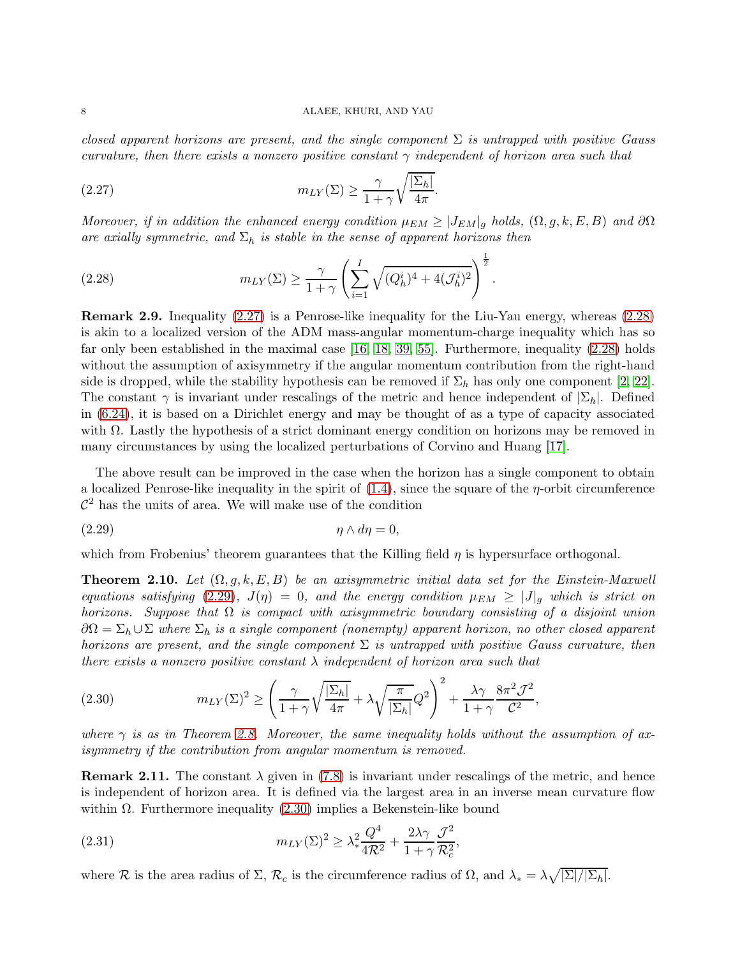closed apparent horizons are present, and the single component  $\Sigma$  is untrapped with positive Gauss curvature, then there exists a nonzero positive constant  $\gamma$  independent of horizon area such that

<span id="page-7-0"></span>(2.27) 
$$
m_{LY}(\Sigma) \geq \frac{\gamma}{1+\gamma} \sqrt{\frac{|\Sigma_h|}{4\pi}}.
$$

Moreover, if in addition the enhanced energy condition  $\mu_{EM} \geq |J_{EM}|_g$  holds,  $(\Omega, g, k, E, B)$  and  $\partial\Omega$ are axially symmetric, and  $\Sigma_h$  is stable in the sense of apparent horizons then

<span id="page-7-1"></span>(2.28) 
$$
m_{LY}(\Sigma) \ge \frac{\gamma}{1+\gamma} \left( \sum_{i=1}^I \sqrt{(Q_h^i)^4 + 4(\mathcal{J}_h^i)^2} \right)^{\frac{1}{2}}.
$$

Remark 2.9. Inequality [\(2.27\)](#page-7-0) is a Penrose-like inequality for the Liu-Yau energy, whereas [\(2.28\)](#page-7-1) is akin to a localized version of the ADM mass-angular momentum-charge inequality which has so far only been established in the maximal case [\[16,](#page-34-11) [18,](#page-34-10) [39,](#page-35-19) [55\]](#page-35-20). Furthermore, inequality [\(2.28\)](#page-7-1) holds without the assumption of axisymmetry if the angular momentum contribution from the right-hand side is dropped, while the stability hypothesis can be removed if  $\Sigma_h$  has only one component [\[2,](#page-34-12) [22\]](#page-34-13). The constant  $\gamma$  is invariant under rescalings of the metric and hence independent of  $|\Sigma_h|$ . Defined in [\(6.24\)](#page-27-0), it is based on a Dirichlet energy and may be thought of as a type of capacity associated with  $\Omega$ . Lastly the hypothesis of a strict dominant energy condition on horizons may be removed in many circumstances by using the localized perturbations of Corvino and Huang [\[17\]](#page-34-14).

The above result can be improved in the case when the horizon has a single component to obtain a localized Penrose-like inequality in the spirit of  $(1.4)$ , since the square of the  $\eta$ -orbit circumference  $\mathcal{C}^2$  has the units of area. We will make use of the condition

<span id="page-7-2"></span>
$$
(2.29) \t\t \eta \wedge d\eta = 0,
$$

which from Frobenius' theorem guarantees that the Killing field  $\eta$  is hypersurface orthogonal.

<span id="page-7-4"></span>**Theorem 2.10.** Let  $(\Omega, g, k, E, B)$  be an axisymmetric initial data set for the Einstein-Maxwell equations satisfying [\(2.29\)](#page-7-2),  $J(\eta) = 0$ , and the energy condition  $\mu_{EM} \geq |J|_q$  which is strict on horizons. Suppose that  $\Omega$  is compact with axisymmetric boundary consisting of a disjoint union  $\partial\Omega = \Sigma_h \cup \Sigma$  where  $\Sigma_h$  is a single component (nonempty) apparent horizon, no other closed apparent horizons are present, and the single component  $\Sigma$  is untrapped with positive Gauss curvature, then there exists a nonzero positive constant  $\lambda$  independent of horizon area such that

<span id="page-7-3"></span>(2.30) 
$$
m_{LY}(\Sigma)^2 \ge \left(\frac{\gamma}{1+\gamma}\sqrt{\frac{|\Sigma_h|}{4\pi}} + \lambda\sqrt{\frac{\pi}{|\Sigma_h|}}Q^2\right)^2 + \frac{\lambda\gamma}{1+\gamma}\frac{8\pi^2\mathcal{J}^2}{\mathcal{C}^2},
$$

where  $\gamma$  is as in Theorem [2.8.](#page-6-1) Moreover, the same inequality holds without the assumption of axisymmetry if the contribution from angular momentum is removed.

**Remark 2.11.** The constant  $\lambda$  given in [\(7.8\)](#page-30-0) is invariant under rescalings of the metric, and hence is independent of horizon area. It is defined via the largest area in an inverse mean curvature flow within  $\Omega$ . Furthermore inequality [\(2.30\)](#page-7-3) implies a Bekenstein-like bound

(2.31) 
$$
m_{LY}(\Sigma)^2 \geq \lambda_*^2 \frac{Q^4}{4\mathcal{R}^2} + \frac{2\lambda\gamma}{1+\gamma} \frac{\mathcal{J}^2}{\mathcal{R}_c^2},
$$

where R is the area radius of  $\Sigma$ ,  $\mathcal{R}_c$  is the circumference radius of  $\Omega$ , and  $\lambda_* = \lambda \sqrt{|\Sigma|/|\Sigma_h|}$ .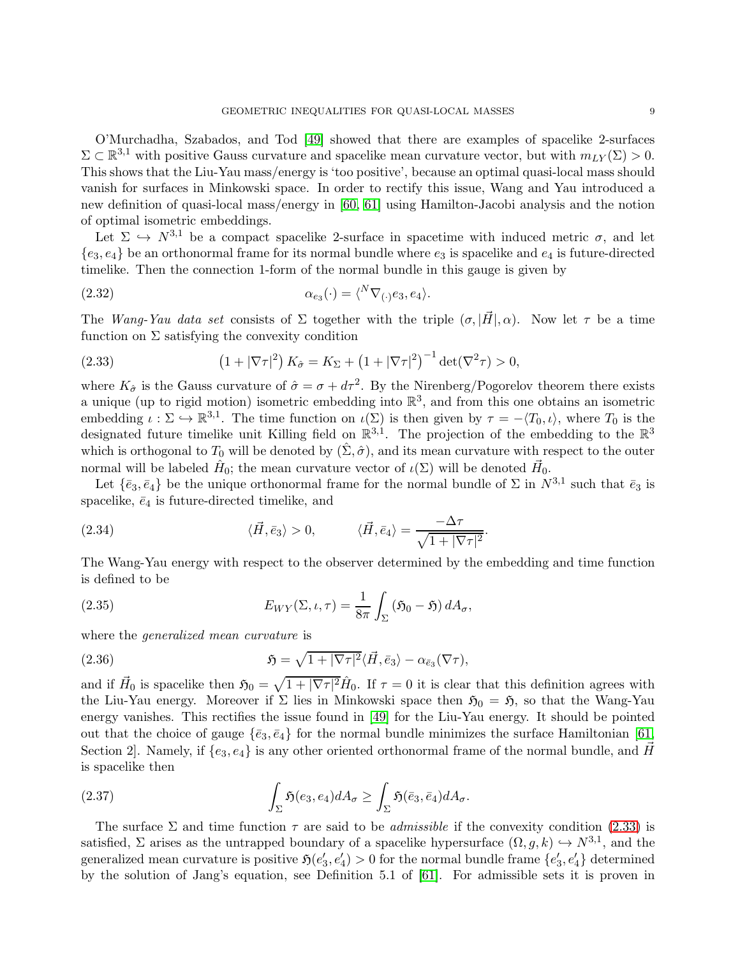O'Murchadha, Szabados, and Tod [\[49\]](#page-35-21) showed that there are examples of spacelike 2-surfaces  $\Sigma \subset \mathbb{R}^{3,1}$  with positive Gauss curvature and spacelike mean curvature vector, but with  $m_{LY}(\Sigma) > 0$ . This shows that the Liu-Yau mass/energy is 'too positive', because an optimal quasi-local mass should vanish for surfaces in Minkowski space. In order to rectify this issue, Wang and Yau introduced a new definition of quasi-local mass/energy in [\[60,](#page-36-4) [61\]](#page-36-1) using Hamilton-Jacobi analysis and the notion of optimal isometric embeddings.

Let  $\Sigma \hookrightarrow N^{3,1}$  be a compact spacelike 2-surface in spacetime with induced metric  $\sigma$ , and let  ${e_3, e_4}$  be an orthonormal frame for its normal bundle where  $e_3$  is spacelike and  $e_4$  is future-directed timelike. Then the connection 1-form of the normal bundle in this gauge is given by

(2.32) 
$$
\alpha_{e_3}(\cdot) = \langle^N \nabla_{(\cdot)} e_3, e_4 \rangle.
$$

The Wang-Yau data set consists of  $\Sigma$  together with the triple  $(\sigma, |\vec{H}|, \alpha)$ . Now let  $\tau$  be a time function on  $\Sigma$  satisfying the convexity condition

<span id="page-8-0"></span>(2.33) 
$$
(1+|\nabla \tau|^2) K_{\hat{\sigma}} = K_{\Sigma} + (1+|\nabla \tau|^2)^{-1} \det(\nabla^2 \tau) > 0,
$$

where  $K_{\hat{\sigma}}$  is the Gauss curvature of  $\hat{\sigma} = \sigma + d\tau^2$ . By the Nirenberg/Pogorelov theorem there exists a unique (up to rigid motion) isometric embedding into  $\mathbb{R}^3$ , and from this one obtains an isometric embedding  $\iota : \Sigma \hookrightarrow \mathbb{R}^{3,1}$ . The time function on  $\iota(\Sigma)$  is then given by  $\tau = -\langle T_0, \iota \rangle$ , where  $T_0$  is the designated future timelike unit Killing field on  $\mathbb{R}^{3,1}$ . The projection of the embedding to the  $\mathbb{R}^3$ which is orthogonal to  $T_0$  will be denoted by  $(\Sigma, \hat{\sigma})$ , and its mean curvature with respect to the outer normal will be labeled  $\hat{H}_0$ ; the mean curvature vector of  $\iota(\Sigma)$  will be denoted  $\vec{H}_0$ .

Let  $\{\bar{e}_3,\bar{e}_4\}$  be the unique orthonormal frame for the normal bundle of  $\Sigma$  in  $N^{3,1}$  such that  $\bar{e}_3$  is spacelike,  $\bar{e}_4$  is future-directed timelike, and

(2.34) 
$$
\langle \vec{H}, \vec{e}_3 \rangle > 0, \qquad \langle \vec{H}, \vec{e}_4 \rangle = \frac{-\Delta \tau}{\sqrt{1 + |\nabla \tau|^2}}.
$$

The Wang-Yau energy with respect to the observer determined by the embedding and time function is defined to be

<span id="page-8-2"></span>(2.35) 
$$
E_{WY}(\Sigma,\iota,\tau) = \frac{1}{8\pi} \int_{\Sigma} (\mathfrak{H}_0 - \mathfrak{H}) dA_{\sigma},
$$

where the *generalized* mean curvature is

(2.36) 
$$
\mathfrak{H} = \sqrt{1+|\nabla\tau|^2}\langle\vec{H},\vec{e}_3\rangle - \alpha_{\vec{e}_3}(\nabla\tau),
$$

and if  $\vec{H}_0$  is spacelike then  $\mathfrak{H}_0 = \sqrt{1 + |\nabla \tau|^2} \hat{H}_0$ . If  $\tau = 0$  it is clear that this definition agrees with the Liu-Yau energy. Moreover if  $\Sigma$  lies in Minkowski space then  $\mathfrak{H}_0 = \mathfrak{H}$ , so that the Wang-Yau energy vanishes. This rectifies the issue found in [\[49\]](#page-35-21) for the Liu-Yau energy. It should be pointed out that the choice of gauge  $\{\bar{e}_3, \bar{e}_4\}$  for the normal bundle minimizes the surface Hamiltonian [\[61,](#page-36-1) Section 2. Namely, if  $\{e_3, e_4\}$  is any other oriented orthonormal frame of the normal bundle, and  $\vec{H}$ is spacelike then

<span id="page-8-1"></span>(2.37) 
$$
\int_{\Sigma} \mathfrak{H}(e_3, e_4) dA_{\sigma} \geq \int_{\Sigma} \mathfrak{H}(\bar{e}_3, \bar{e}_4) dA_{\sigma}.
$$

The surface  $\Sigma$  and time function  $\tau$  are said to be *admissible* if the convexity condition [\(2.33\)](#page-8-0) is satisfied,  $\Sigma$  arises as the untrapped boundary of a spacelike hypersurface  $(\Omega, g, k) \hookrightarrow N^{3,1}$ , and the generalized mean curvature is positive  $\mathfrak{H}(e'_3, e'_4) > 0$  for the normal bundle frame  $\{e'_3, e'_4\}$  determined by the solution of Jang's equation, see Definition 5.1 of [\[61\]](#page-36-1). For admissible sets it is proven in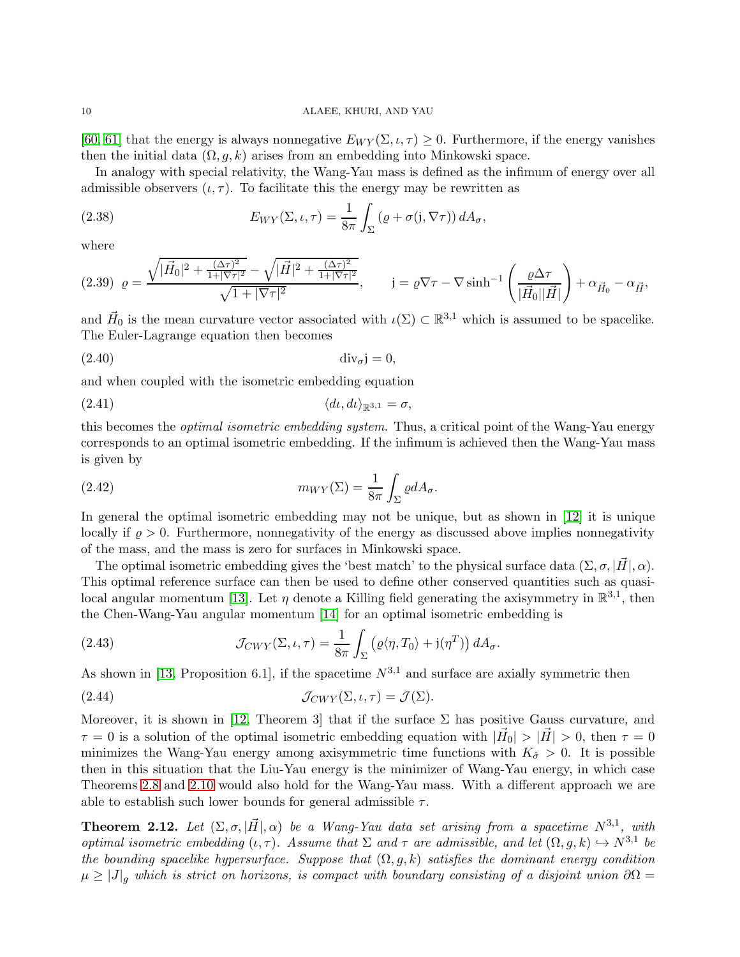[\[60,](#page-36-4) [61\]](#page-36-1) that the energy is always nonnegative  $E_{WY}(\Sigma, \iota, \tau) \geq 0$ . Furthermore, if the energy vanishes then the initial data  $(\Omega, q, k)$  arises from an embedding into Minkowski space.

In analogy with special relativity, the Wang-Yau mass is defined as the infimum of energy over all admissible observers  $(\iota, \tau)$ . To facilitate this the energy may be rewritten as

(2.38) 
$$
E_{WY}(\Sigma,\iota,\tau) = \frac{1}{8\pi} \int_{\Sigma} (\varrho + \sigma(\mathfrak{j}, \nabla \tau)) dA_{\sigma},
$$

where

$$
(2.39)\ \varrho=\frac{\sqrt{|\vec{H}_0|^2+\frac{(\Delta\tau)^2}{1+|\nabla\tau|^2}}-\sqrt{|\vec{H}|^2+\frac{(\Delta\tau)^2}{1+|\nabla\tau|^2}}}{\sqrt{1+|\nabla\tau|^2}},\qquad \mathfrak{j}=\varrho\nabla\tau-\nabla\sinh^{-1}\left(\frac{\varrho\Delta\tau}{|\vec{H}_0||\vec{H}|}\right)+\alpha_{\vec{H}_0}-\alpha_{\vec{H}},
$$

and  $\vec{H}_0$  is the mean curvature vector associated with  $\iota(\Sigma) \subset \mathbb{R}^{3,1}$  which is assumed to be spacelike. The Euler-Lagrange equation then becomes

(2.40) divσj = 0,

and when coupled with the isometric embedding equation

$$
\langle d\iota, d\iota \rangle_{\mathbb{R}^{3,1}} = \sigma,
$$

this becomes the *optimal isometric embedding system*. Thus, a critical point of the Wang-Yau energy corresponds to an optimal isometric embedding. If the infimum is achieved then the Wang-Yau mass is given by

(2.42) 
$$
m_{WY}(\Sigma) = \frac{1}{8\pi} \int_{\Sigma} \varrho dA_{\sigma}.
$$

In general the optimal isometric embedding may not be unique, but as shown in [\[12\]](#page-34-15) it is unique locally if  $\rho > 0$ . Furthermore, nonnegativity of the energy as discussed above implies nonnegativity of the mass, and the mass is zero for surfaces in Minkowski space.

The optimal isometric embedding gives the 'best match' to the physical surface data  $(\Sigma, \sigma, |\vec{H}|, \alpha)$ . This optimal reference surface can then be used to define other conserved quantities such as quasi-local angular momentum [\[13\]](#page-34-9). Let  $\eta$  denote a Killing field generating the axisymmetry in  $\mathbb{R}^{3,1}$ , then the Chen-Wang-Yau angular momentum [\[14\]](#page-34-16) for an optimal isometric embedding is

(2.43) 
$$
\mathcal{J}_{CWY}(\Sigma,\iota,\tau) = \frac{1}{8\pi} \int_{\Sigma} \left( \varrho \langle \eta, T_0 \rangle + \mathfrak{j}(\eta^T) \right) dA_{\sigma}.
$$

As shown in [\[13,](#page-34-9) Proposition 6.1], if the spacetime  $N^{3,1}$  and surface are axially symmetric then

(2.44) 
$$
\mathcal{J}_{CWY}(\Sigma, \iota, \tau) = \mathcal{J}(\Sigma).
$$

Moreover, it is shown in [\[12,](#page-34-15) Theorem 3] that if the surface  $\Sigma$  has positive Gauss curvature, and  $\tau = 0$  is a solution of the optimal isometric embedding equation with  $|\vec{H}_0| > |\vec{H}| > 0$ , then  $\tau = 0$ minimizes the Wang-Yau energy among axisymmetric time functions with  $K_{\hat{\sigma}} > 0$ . It is possible then in this situation that the Liu-Yau energy is the minimizer of Wang-Yau energy, in which case Theorems [2.8](#page-6-1) and [2.10](#page-7-4) would also hold for the Wang-Yau mass. With a different approach we are able to establish such lower bounds for general admissible  $\tau$ .

<span id="page-9-0"></span>**Theorem 2.12.** Let  $(\Sigma, \sigma, |\vec{H}|, \alpha)$  be a Wang-Yau data set arising from a spacetime  $N^{3,1}$ , with optimal isometric embedding  $(\iota, \tau)$ . Assume that  $\Sigma$  and  $\tau$  are admissible, and let  $(\Omega, g, k) \hookrightarrow N^{3,1}$  be the bounding spacelike hypersurface. Suppose that  $(\Omega, g, k)$  satisfies the dominant energy condition  $\mu \geq |J|_q$  which is strict on horizons, is compact with boundary consisting of a disjoint union  $\partial\Omega =$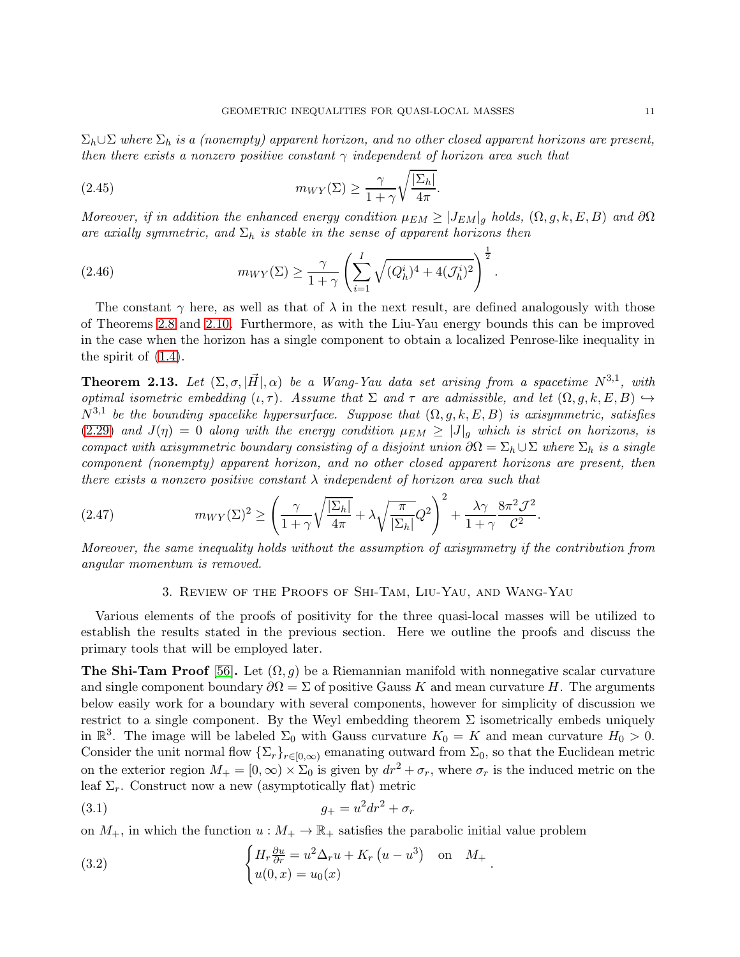$\Sigma_h \cup \Sigma$  where  $\Sigma_h$  is a (nonempty) apparent horizon, and no other closed apparent horizons are present, then there exists a nonzero positive constant  $\gamma$  independent of horizon area such that

(2.45) 
$$
m_{WY}(\Sigma) \geq \frac{\gamma}{1+\gamma} \sqrt{\frac{|\Sigma_h|}{4\pi}}.
$$

Moreover, if in addition the enhanced energy condition  $\mu_{EM} \geq |J_{EM}|_g$  holds,  $(\Omega, g, k, E, B)$  and  $\partial\Omega$ are axially symmetric, and  $\Sigma_h$  is stable in the sense of apparent horizons then

(2.46) 
$$
m_{WY}(\Sigma) \ge \frac{\gamma}{1+\gamma} \left( \sum_{i=1}^{I} \sqrt{(Q_h^i)^4 + 4(\mathcal{J}_h^i)^2} \right)^{\frac{1}{2}}.
$$

The constant  $\gamma$  here, as well as that of  $\lambda$  in the next result, are defined analogously with those of Theorems [2.8](#page-6-1) and [2.10.](#page-7-4) Furthermore, as with the Liu-Yau energy bounds this can be improved in the case when the horizon has a single component to obtain a localized Penrose-like inequality in the spirit of  $(1.4)$ .

<span id="page-10-1"></span>**Theorem 2.13.** Let  $(\Sigma, \sigma, |\vec{H}|, \alpha)$  be a Wang-Yau data set arising from a spacetime  $N^{3,1}$ , with optimal isometric embedding  $(\iota, \tau)$ . Assume that  $\Sigma$  and  $\tau$  are admissible, and let  $(\Omega, g, k, E, B) \hookrightarrow$  $N^{3,1}$  be the bounding spacelike hypersurface. Suppose that  $(\Omega, g, k, E, B)$  is axisymmetric, satisfies [\(2.29\)](#page-7-2) and  $J(\eta) = 0$  along with the energy condition  $\mu_{EM} \geq |J|_g$  which is strict on horizons, is compact with axisymmetric boundary consisting of a disjoint union  $\partial\Omega = \Sigma_h \cup \Sigma$  where  $\Sigma_h$  is a single component (nonempty) apparent horizon, and no other closed apparent horizons are present, then there exists a nonzero positive constant  $\lambda$  independent of horizon area such that

(2.47) 
$$
m_{WY}(\Sigma)^2 \ge \left(\frac{\gamma}{1+\gamma}\sqrt{\frac{|\Sigma_h|}{4\pi}} + \lambda \sqrt{\frac{\pi}{|\Sigma_h|}}Q^2\right)^2 + \frac{\lambda \gamma}{1+\gamma} \frac{8\pi^2 \mathcal{J}^2}{\mathcal{C}^2}.
$$

<span id="page-10-0"></span>Moreover, the same inequality holds without the assumption of axisymmetry if the contribution from angular momentum is removed.

# 3. Review of the Proofs of Shi-Tam, Liu-Yau, and Wang-Yau

Various elements of the proofs of positivity for the three quasi-local masses will be utilized to establish the results stated in the previous section. Here we outline the proofs and discuss the primary tools that will be employed later.

**The Shi-Tam Proof** [\[56\]](#page-35-9). Let  $(\Omega, g)$  be a Riemannian manifold with nonnegative scalar curvature and single component boundary  $\partial\Omega = \Sigma$  of positive Gauss K and mean curvature H. The arguments below easily work for a boundary with several components, however for simplicity of discussion we restrict to a single component. By the Weyl embedding theorem  $\Sigma$  isometrically embeds uniquely in  $\mathbb{R}^3$ . The image will be labeled  $\Sigma_0$  with Gauss curvature  $K_0 = K$  and mean curvature  $H_0 > 0$ . Consider the unit normal flow  $\{\Sigma_r\}_{r\in[0,\infty)}$  emanating outward from  $\Sigma_0$ , so that the Euclidean metric on the exterior region  $M_+ = [0, \infty) \times \Sigma_0$  is given by  $dr^2 + \sigma_r$ , where  $\sigma_r$  is the induced metric on the leaf  $\Sigma_r$ . Construct now a new (asymptotically flat) metric

.

$$
(3.1) \t\t\t g_{+} = u^2 dr^2 + \sigma_r
$$

on  $M_+$ , in which the function  $u : M_+ \to \mathbb{R}_+$  satisfies the parabolic initial value problem

(3.2) 
$$
\begin{cases} H_r \frac{\partial u}{\partial r} = u^2 \Delta_r u + K_r (u - u^3) & \text{on} \quad M_+ \\ u(0, x) = u_0(x) \end{cases}
$$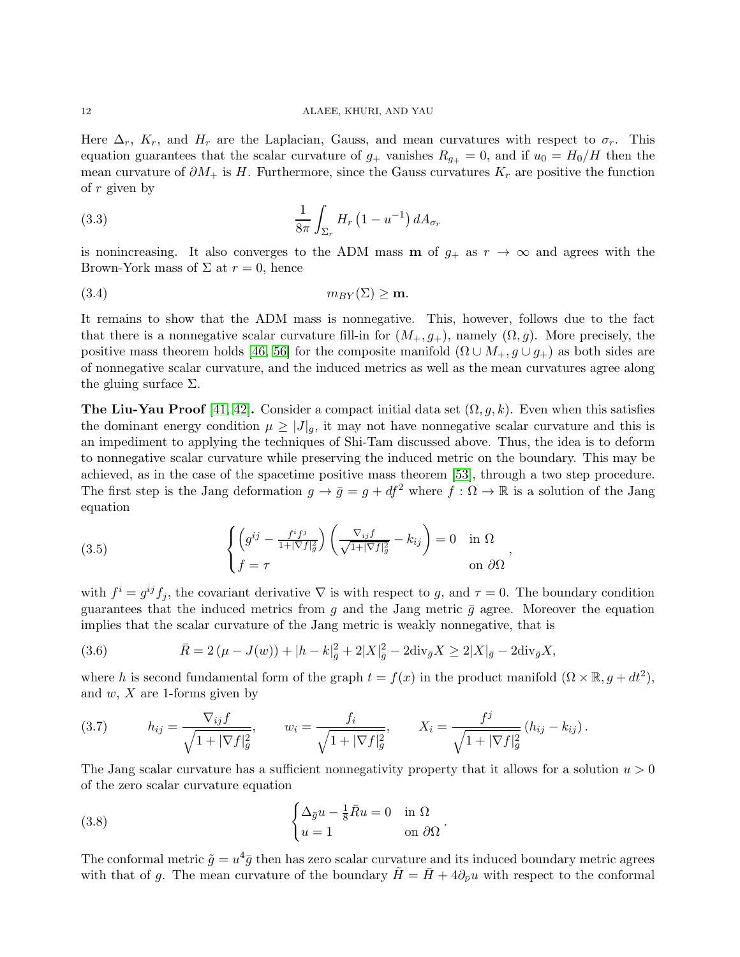Here  $\Delta_r$ ,  $K_r$ , and  $H_r$  are the Laplacian, Gauss, and mean curvatures with respect to  $\sigma_r$ . This equation guarantees that the scalar curvature of  $g_+$  vanishes  $R_{g_+} = 0$ , and if  $u_0 = H_0/H$  then the mean curvature of  $\partial M_+$  is H. Furthermore, since the Gauss curvatures  $K_r$  are positive the function of  $r$  given by

$$
\frac{1}{8\pi} \int_{\Sigma_r} H_r\left(1 - u^{-1}\right) dA_{\sigma_r}
$$

is nonincreasing. It also converges to the ADM mass **m** of  $g_+$  as  $r \to \infty$  and agrees with the Brown-York mass of  $\Sigma$  at  $r = 0$ , hence

(3.4) mBY (Σ) ≥ m.

It remains to show that the ADM mass is nonnegative. This, however, follows due to the fact that there is a nonnegative scalar curvature fill-in for  $(M_+, g_+)$ , namely  $(\Omega, g)$ . More precisely, the positive mass theorem holds [\[46,](#page-35-22) [56\]](#page-35-9) for the composite manifold  $(\Omega \cup M_+, g \cup g_+)$  as both sides are of nonnegative scalar curvature, and the induced metrics as well as the mean curvatures agree along the gluing surface  $\Sigma$ .

**The Liu-Yau Proof** [\[41,](#page-35-3) [42\]](#page-35-18). Consider a compact initial data set  $(\Omega, g, k)$ . Even when this satisfies the dominant energy condition  $\mu \geq |J|_q$ , it may not have nonnegative scalar curvature and this is an impediment to applying the techniques of Shi-Tam discussed above. Thus, the idea is to deform to nonnegative scalar curvature while preserving the induced metric on the boundary. This may be achieved, as in the case of the spacetime positive mass theorem [\[53\]](#page-35-10), through a two step procedure. The first step is the Jang deformation  $g \to \bar{g} = g + df^2$  where  $f : \Omega \to \mathbb{R}$  is a solution of the Jang equation

<span id="page-11-0"></span>(3.5) 
$$
\begin{cases} \left(g^{ij} - \frac{f^i f^j}{1 + |\nabla f|^2_g}\right) \left(\frac{\nabla_{ij} f}{\sqrt{1 + |\nabla f|^2_g}} - k_{ij}\right) = 0 & \text{in } \Omega\\ f = \tau & \text{on } \partial\Omega \end{cases}
$$

with  $f^i = g^{ij} f_j$ , the covariant derivative  $\nabla$  is with respect to g, and  $\tau = 0$ . The boundary condition guarantees that the induced metrics from g and the Jang metric  $\bar{g}$  agree. Moreover the equation implies that the scalar curvature of the Jang metric is weakly nonnegative, that is

<span id="page-11-1"></span>(3.6) 
$$
\bar{R} = 2(\mu - J(w)) + |h - k|_{\bar{g}}^2 + 2|X|_{\bar{g}}^2 - 2\text{div}_{\bar{g}}X \ge 2|X|_{\bar{g}} - 2\text{div}_{\bar{g}}X,
$$

where h is second fundamental form of the graph  $t = f(x)$  in the product manifold  $(\Omega \times \mathbb{R}, g + dt^2)$ , and  $w, X$  are 1-forms given by

(3.7) 
$$
h_{ij} = \frac{\nabla_{ij} f}{\sqrt{1 + |\nabla f|_g^2}}, \qquad w_i = \frac{f_i}{\sqrt{1 + |\nabla f|_g^2}}, \qquad X_i = \frac{f^j}{\sqrt{1 + |\nabla f|_g^2}} (h_{ij} - k_{ij}).
$$

The Jang scalar curvature has a sufficient nonnegativity property that it allows for a solution  $u > 0$ of the zero scalar curvature equation

.

(3.8) 
$$
\begin{cases} \Delta_{\bar{g}}u - \frac{1}{8}\bar{R}u = 0 & \text{in } \Omega\\ u = 1 & \text{on } \partial\Omega \end{cases}
$$

The conformal metric  $\tilde{g} = u^4 \bar{g}$  then has zero scalar curvature and its induced boundary metric agrees with that of g. The mean curvature of the boundary  $H = H + 4\partial_{\bar{\nu}}u$  with respect to the conformal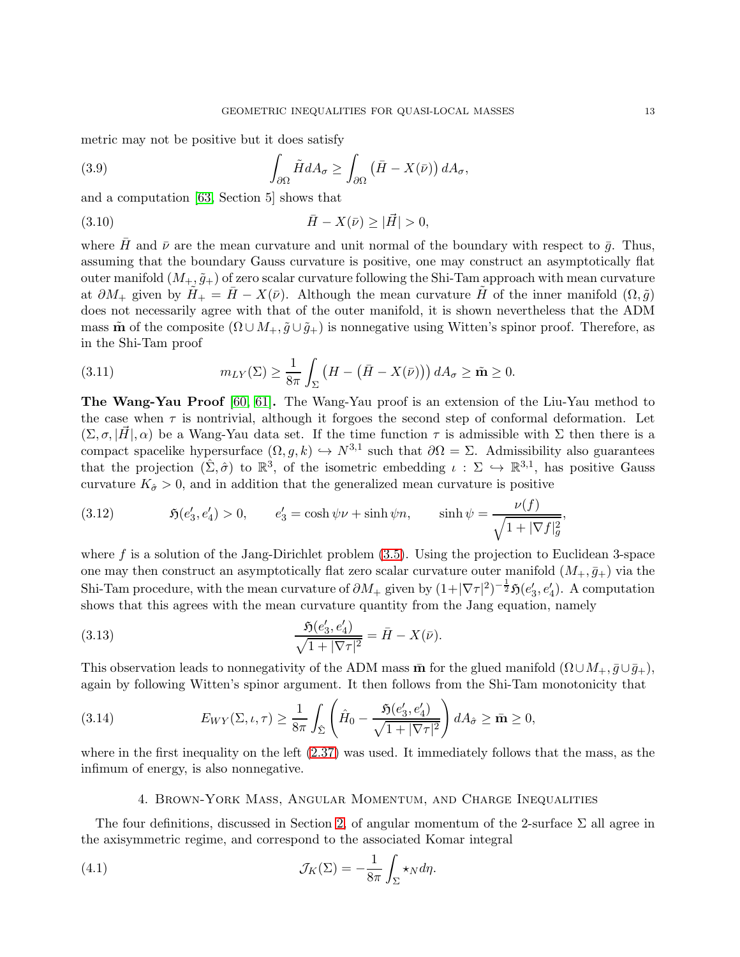metric may not be positive but it does satisfy

(3.9) 
$$
\int_{\partial\Omega} \tilde{H} dA_{\sigma} \ge \int_{\partial\Omega} \left( \bar{H} - X(\bar{\nu}) \right) dA_{\sigma},
$$

and a computation [\[63,](#page-36-5) Section 5] shows that

(3.10) 
$$
\bar{H} - X(\bar{\nu}) \geq |\vec{H}| > 0,
$$

where  $\bar{H}$  and  $\bar{\nu}$  are the mean curvature and unit normal of the boundary with respect to  $\bar{q}$ . Thus, assuming that the boundary Gauss curvature is positive, one may construct an asymptotically flat outer manifold  $(M_+, \tilde{g}_+)$  of zero scalar curvature following the Shi-Tam approach with mean curvature at  $\partial M_+$  given by  $H_+ = \bar{H} - X(\bar{\nu})$ . Although the mean curvature  $\bar{H}$  of the inner manifold  $(\Omega, \tilde{g})$ does not necessarily agree with that of the outer manifold, it is shown nevertheless that the ADM mass  $\tilde{\mathbf{m}}$  of the composite  $(\Omega \cup M_+, \tilde{g} \cup \tilde{g}_+)$  is nonnegative using Witten's spinor proof. Therefore, as in the Shi-Tam proof

(3.11) 
$$
m_{LY}(\Sigma) \geq \frac{1}{8\pi} \int_{\Sigma} \left( H - \left( \bar{H} - X(\bar{\nu}) \right) \right) dA_{\sigma} \geq \tilde{\mathbf{m}} \geq 0.
$$

The Wang-Yau Proof [\[60,](#page-36-4) [61\]](#page-36-1). The Wang-Yau proof is an extension of the Liu-Yau method to the case when  $\tau$  is nontrivial, although it forgoes the second step of conformal deformation. Let  $(\Sigma, \sigma, |H|, \alpha)$  be a Wang-Yau data set. If the time function  $\tau$  is admissible with  $\Sigma$  then there is a compact spacelike hypersurface  $(\Omega, g, k) \hookrightarrow N^{3,1}$  such that  $\partial \Omega = \Sigma$ . Admissibility also guarantees that the projection  $(\hat{\Sigma}, \hat{\sigma})$  to  $\mathbb{R}^3$ , of the isometric embedding  $\iota : \Sigma \hookrightarrow \mathbb{R}^{3,1}$ , has positive Gauss curvature  $K_{\hat{\sigma}} > 0$ , and in addition that the generalized mean curvature is positive

(3.12) 
$$
\mathfrak{H}(e'_3, e'_4) > 0, \qquad e'_3 = \cosh \psi \nu + \sinh \psi n, \qquad \sinh \psi = \frac{\nu(f)}{\sqrt{1 + |\nabla f|_g^2}},
$$

where  $f$  is a solution of the Jang-Dirichlet problem  $(3.5)$ . Using the projection to Euclidean 3-space one may then construct an asymptotically flat zero scalar curvature outer manifold  $(M_+, \bar{g}_+)$  via the Shi-Tam procedure, with the mean curvature of  $\partial M_+$  given by  $(1+|\nabla\tau|^2)^{-\frac{1}{2}}\mathfrak{H}(e'_3,e'_4)$ . A computation shows that this agrees with the mean curvature quantity from the Jang equation, namely

(3.13) 
$$
\frac{\mathfrak{H}(e'_3, e'_4)}{\sqrt{1+|\nabla\tau|^2}} = \bar{H} - X(\bar{\nu}).
$$

This observation leads to nonnegativity of the ADM mass  $\bar{m}$  for the glued manifold  $(\Omega \cup M_+, \bar{g} \cup \bar{g}_+),$ again by following Witten's spinor argument. It then follows from the Shi-Tam monotonicity that

(3.14) 
$$
E_{WY}(\Sigma,\iota,\tau) \geq \frac{1}{8\pi} \int_{\hat{\Sigma}} \left( \hat{H}_0 - \frac{\mathfrak{H}(e'_3,e'_4)}{\sqrt{1+|\nabla\tau|^2}} \right) dA_{\hat{\sigma}} \geq \bar{\mathbf{m}} \geq 0,
$$

<span id="page-12-0"></span>where in the first inequality on the left [\(2.37\)](#page-8-1) was used. It immediately follows that the mass, as the infimum of energy, is also nonnegative.

### 4. Brown-York Mass, Angular Momentum, and Charge Inequalities

The four definitions, discussed in Section [2,](#page-2-0) of angular momentum of the 2-surface  $\Sigma$  all agree in the axisymmetric regime, and correspond to the associated Komar integral

(4.1) 
$$
\mathcal{J}_K(\Sigma) = -\frac{1}{8\pi} \int_{\Sigma} \star_N d\eta.
$$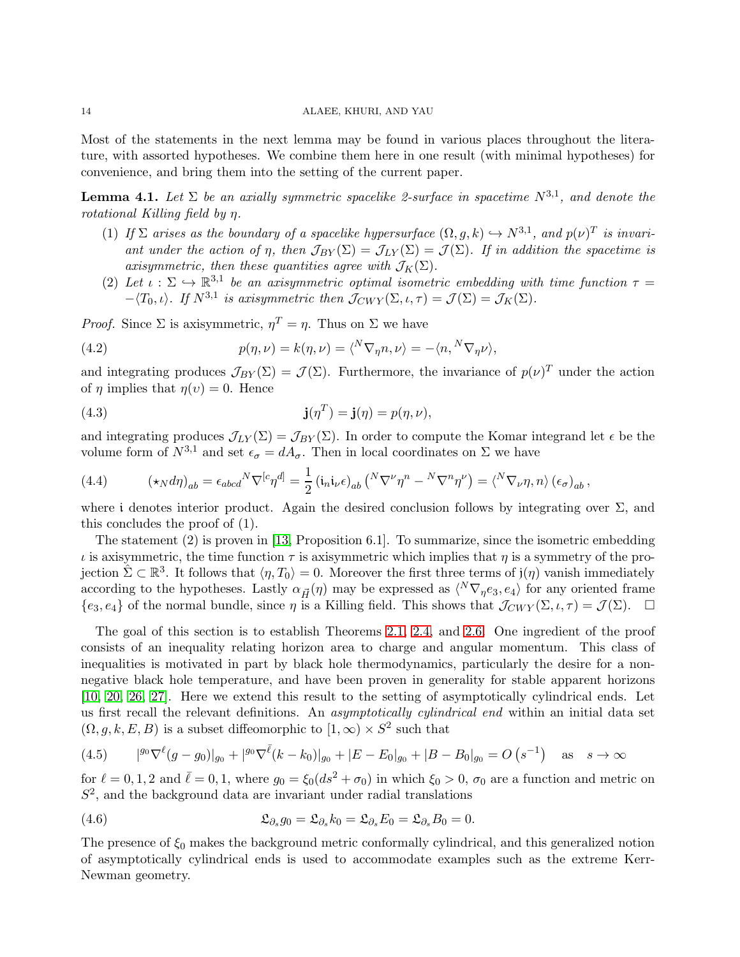Most of the statements in the next lemma may be found in various places throughout the literature, with assorted hypotheses. We combine them here in one result (with minimal hypotheses) for convenience, and bring them into the setting of the current paper.

<span id="page-13-0"></span>**Lemma 4.1.** Let  $\Sigma$  be an axially symmetric spacelike 2-surface in spacetime  $N^{3,1}$ , and denote the rotational Killing field by η.

- (1) If  $\Sigma$  arises as the boundary of a spacelike hypersurface  $(\Omega, g, k) \hookrightarrow N^{3,1}$ , and  $p(\nu)^T$  is invariant under the action of  $\eta$ , then  $\mathcal{J}_{BY}(\Sigma) = \mathcal{J}_{LY}(\Sigma) = \mathcal{J}(\Sigma)$ . If in addition the spacetime is axisymmetric, then these quantities agree with  $\mathcal{J}_K(\Sigma)$ .
- (2) Let  $\iota : \Sigma \hookrightarrow \mathbb{R}^{3,1}$  be an axisymmetric optimal isometric embedding with time function  $\tau =$  $-\langle T_0, \iota \rangle$ . If  $N^{3,1}$  is axisymmetric then  $\mathcal{J}_{CWY}(\Sigma, \iota, \tau) = \mathcal{J}(\Sigma) = \mathcal{J}_K(\Sigma)$ .

*Proof.* Since  $\Sigma$  is axisymmetric,  $\eta^T = \eta$ . Thus on  $\Sigma$  we have

(4.2) 
$$
p(\eta, \nu) = k(\eta, \nu) = \langle N \nabla_{\eta} n, \nu \rangle = -\langle n, {}^{N} \nabla_{\eta} \nu \rangle,
$$

and integrating produces  $\mathcal{J}_{BY}(\Sigma) = \mathcal{J}(\Sigma)$ . Furthermore, the invariance of  $p(\nu)^T$  under the action of  $\eta$  implies that  $\eta(v) = 0$ . Hence

(4.3) 
$$
\mathbf{j}(\eta^T) = \mathbf{j}(\eta) = p(\eta, \nu),
$$

and integrating produces  $\mathcal{J}_{LY}(\Sigma) = \mathcal{J}_{BY}(\Sigma)$ . In order to compute the Komar integrand let  $\epsilon$  be the volume form of  $N^{3,1}$  and set  $\epsilon_{\sigma} = dA_{\sigma}$ . Then in local coordinates on  $\Sigma$  we have

(4.4) 
$$
(\star_N d\eta)_{ab} = \epsilon_{abcd}{}^N \nabla^{[c} \eta^{d]} = \frac{1}{2} (\mathfrak{i}_{n} \mathfrak{i}_{\nu} \epsilon)_{ab} \left( {}^N \nabla^{\nu} \eta^{n} - {}^N \nabla^{n} \eta^{\nu} \right) = \langle {}^N \nabla_{\nu} \eta, n \rangle (\epsilon_{\sigma})_{ab},
$$

where i denotes interior product. Again the desired conclusion follows by integrating over  $\Sigma$ , and this concludes the proof of (1).

The statement (2) is proven in [\[13,](#page-34-9) Proposition 6.1]. To summarize, since the isometric embedding  $\iota$  is axisymmetric, the time function  $\tau$  is axisymmetric which implies that  $\eta$  is a symmetry of the projection  $\hat{\Sigma} \subset \mathbb{R}^3$ . It follows that  $\langle \eta, T_0 \rangle = 0$ . Moreover the first three terms of  $j(\eta)$  vanish immediately according to the hypotheses. Lastly  $\alpha_{\vec{H}}(\eta)$  may be expressed as  $\langle N \nabla_{\eta} e_3, e_4 \rangle$  for any oriented frame  ${e_3, e_4}$  of the normal bundle, since  $\eta$  is a Killing field. This shows that  $\mathcal{J}_{CWY}(\Sigma, \iota, \tau) = \mathcal{J}(\Sigma)$ .

The goal of this section is to establish Theorems [2.1,](#page-3-2) [2.4,](#page-5-2) and [2.6.](#page-5-4) One ingredient of the proof consists of an inequality relating horizon area to charge and angular momentum. This class of inequalities is motivated in part by black hole thermodynamics, particularly the desire for a nonnegative black hole temperature, and have been proven in generality for stable apparent horizons [\[10,](#page-34-17) [20,](#page-34-18) [26,](#page-34-19) [27\]](#page-34-20). Here we extend this result to the setting of asymptotically cylindrical ends. Let us first recall the relevant definitions. An asymptotically cylindrical end within an initial data set  $(\Omega, g, k, E, B)$  is a subset diffeomorphic to  $[1, \infty) \times S^2$  such that

<span id="page-13-1"></span>
$$
(4.5) \qquad |^{g_0} \nabla^{\ell} (g - g_0)|_{g_0} + |^{g_0} \nabla^{\bar{\ell}} (k - k_0)|_{g_0} + |E - E_0|_{g_0} + |B - B_0|_{g_0} = O\left(s^{-1}\right) \quad \text{as} \quad s \to \infty
$$

for  $\ell = 0, 1, 2$  and  $\bar{\ell} = 0, 1$ , where  $g_0 = \xi_0 (ds^2 + \sigma_0)$  in which  $\xi_0 > 0$ ,  $\sigma_0$  are a function and metric on  $S<sup>2</sup>$ , and the background data are invariant under radial translations

(4.6) 
$$
\mathfrak{L}_{\partial_s} g_0 = \mathfrak{L}_{\partial_s} k_0 = \mathfrak{L}_{\partial_s} E_0 = \mathfrak{L}_{\partial_s} B_0 = 0.
$$

The presence of  $\xi_0$  makes the background metric conformally cylindrical, and this generalized notion of asymptotically cylindrical ends is used to accommodate examples such as the extreme Kerr-Newman geometry.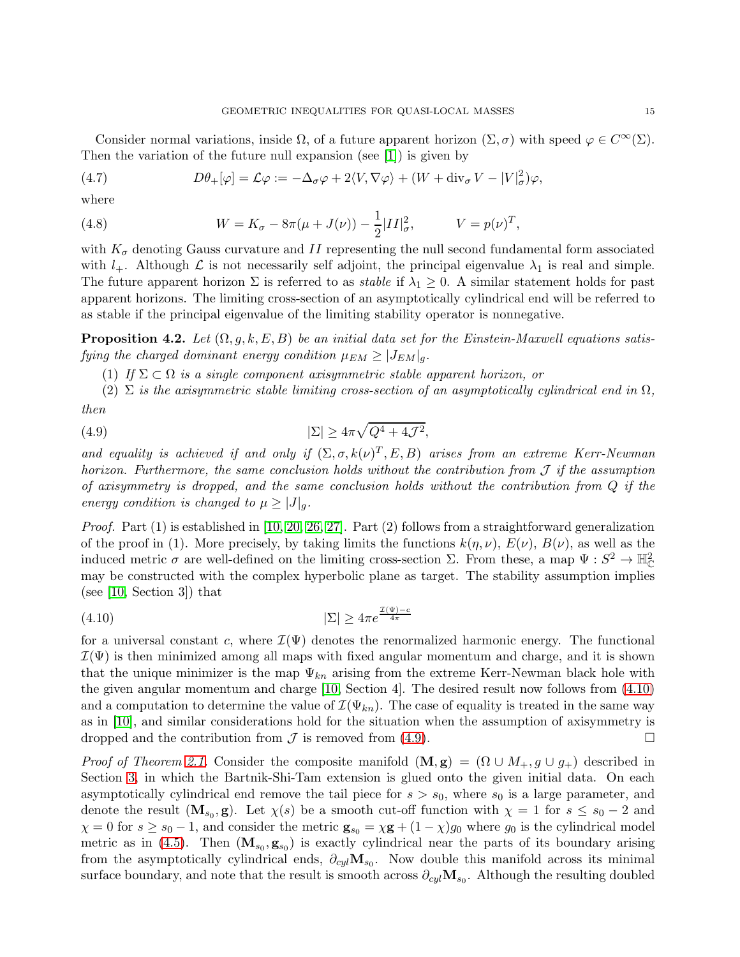Consider normal variations, inside  $\Omega$ , of a future apparent horizon  $(\Sigma, \sigma)$  with speed  $\varphi \in C^{\infty}(\Sigma)$ . Then the variation of the future null expansion (see [\[1\]](#page-34-21)) is given by

(4.7) 
$$
D\theta_+[\varphi] = \mathcal{L}\varphi := -\Delta_\sigma \varphi + 2\langle V, \nabla \varphi \rangle + (W + \text{div}_\sigma V - |V|^2_\sigma)\varphi,
$$

where

(4.8) 
$$
W = K_{\sigma} - 8\pi(\mu + J(\nu)) - \frac{1}{2}|II|^2_{\sigma}, \qquad V = p(\nu)^T,
$$

with  $K_{\sigma}$  denoting Gauss curvature and II representing the null second fundamental form associated with  $l_{+}$ . Although  $\mathcal L$  is not necessarily self adjoint, the principal eigenvalue  $\lambda_1$  is real and simple. The future apparent horizon  $\Sigma$  is referred to as *stable* if  $\lambda_1 \geq 0$ . A similar statement holds for past apparent horizons. The limiting cross-section of an asymptotically cylindrical end will be referred to as stable if the principal eigenvalue of the limiting stability operator is nonnegative.

<span id="page-14-2"></span>**Proposition 4.2.** Let  $(\Omega, g, k, E, B)$  be an initial data set for the Einstein-Maxwell equations satisfying the charged dominant energy condition  $\mu_{EM} \geq |J_{EM}|_g$ .

<span id="page-14-1"></span>(1) If  $\Sigma \subset \Omega$  is a single component axisymmetric stable apparent horizon, or

(2)  $\Sigma$  is the axisymmetric stable limiting cross-section of an asymptotically cylindrical end in  $\Omega$ , then

(4.9) 
$$
|\Sigma| \ge 4\pi \sqrt{Q^4 + 4\mathcal{J}^2},
$$

and equality is achieved if and only if  $(\Sigma, \sigma, k(\nu)^T, E, B)$  arises from an extreme Kerr-Newman horizon. Furthermore, the same conclusion holds without the contribution from  $\mathcal J$  if the assumption of axisymmetry is dropped, and the same conclusion holds without the contribution from Q if the energy condition is changed to  $\mu \geq |J|_q$ .

*Proof.* Part  $(1)$  is established in [\[10,](#page-34-17) [20,](#page-34-18) [26,](#page-34-19) [27\]](#page-34-20). Part  $(2)$  follows from a straightforward generalization of the proof in (1). More precisely, by taking limits the functions  $k(\eta, \nu)$ ,  $E(\nu)$ ,  $B(\nu)$ , as well as the induced metric  $\sigma$  are well-defined on the limiting cross-section  $\Sigma$ . From these, a map  $\Psi: S^2 \to \mathbb{H}^2_{\mathbb{C}}$ may be constructed with the complex hyperbolic plane as target. The stability assumption implies (see [\[10,](#page-34-17) Section 3]) that

<span id="page-14-0"></span>
$$
\text{(4.10)} \quad |\Sigma| \ge 4\pi e^{\frac{\mathcal{T}(\Psi) - c}{4\pi}}
$$

for a universal constant c, where  $\mathcal{I}(\Psi)$  denotes the renormalized harmonic energy. The functional  $\mathcal{I}(\Psi)$  is then minimized among all maps with fixed angular momentum and charge, and it is shown that the unique minimizer is the map  $\Psi_{kn}$  arising from the extreme Kerr-Newman black hole with the given angular momentum and charge [\[10,](#page-34-17) Section 4]. The desired result now follows from [\(4.10\)](#page-14-0) and a computation to determine the value of  $\mathcal{I}(\Psi_{kn})$ . The case of equality is treated in the same way as in [\[10\]](#page-34-17), and similar considerations hold for the situation when the assumption of axisymmetry is dropped and the contribution from  $\mathcal J$  is removed from [\(4.9\)](#page-14-1).

*Proof of Theorem [2.1.](#page-3-2)* Consider the composite manifold  $(M, g) = (\Omega \cup M_+, g \cup g_+)$  described in Section [3,](#page-10-0) in which the Bartnik-Shi-Tam extension is glued onto the given initial data. On each asymptotically cylindrical end remove the tail piece for  $s > s_0$ , where  $s_0$  is a large parameter, and denote the result  $(\mathbf{M}_{s_0}, \mathbf{g})$ . Let  $\chi(s)$  be a smooth cut-off function with  $\chi = 1$  for  $s \leq s_0 - 2$  and  $\chi = 0$  for  $s \geq s_0 - 1$ , and consider the metric  $\mathbf{g}_{s_0} = \chi \mathbf{g} + (1 - \chi)g_0$  where  $g_0$  is the cylindrical model metric as in [\(4.5\)](#page-13-1). Then  $(\mathbf{M}_{s_0}, \mathbf{g}_{s_0})$  is exactly cylindrical near the parts of its boundary arising from the asymptotically cylindrical ends,  $\partial_{cyl} M_{s_0}$ . Now double this manifold across its minimal surface boundary, and note that the result is smooth across  $\partial_{cyl} \mathbf{M}_{s_0}$ . Although the resulting doubled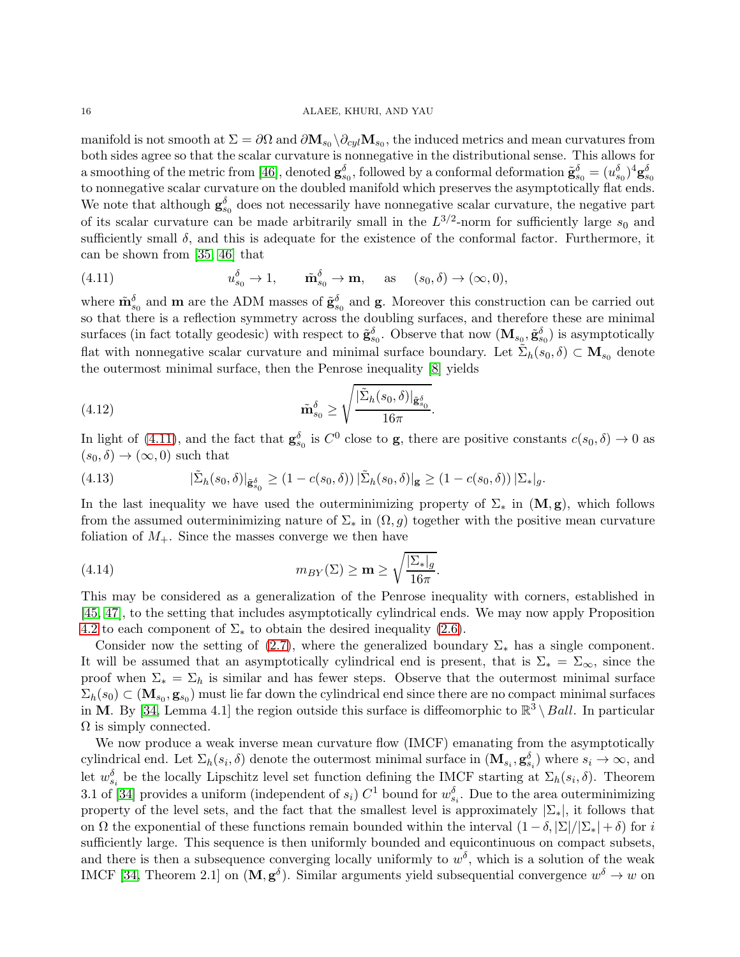manifold is not smooth at  $\Sigma = \partial \Omega$  and  $\partial M_{s_0} \setminus \partial_{cyl} M_{s_0}$ , the induced metrics and mean curvatures from both sides agree so that the scalar curvature is nonnegative in the distributional sense. This allows for a smoothing of the metric from [\[46\]](#page-35-22), denoted  $\mathbf{g}_{s_0}^{\delta}$ , followed by a conformal deformation  $\tilde{\mathbf{g}}_{s_0}^{\delta} = (u_{s_0}^{\delta})^4 \mathbf{g}_{s_0}^{\delta}$ to nonnegative scalar curvature on the doubled manifold which preserves the asymptotically flat ends. We note that although  $\mathbf{g}_{s_0}^{\delta}$  does not necessarily have nonnegative scalar curvature, the negative part of its scalar curvature can be made arbitrarily small in the  $L^{3/2}$ -norm for sufficiently large  $s_0$  and sufficiently small  $\delta$ , and this is adequate for the existence of the conformal factor. Furthermore, it can be shown from [\[35,](#page-35-17) [46\]](#page-35-22) that

<span id="page-15-0"></span>(4.11) 
$$
u_{s_0}^{\delta} \to 1, \quad \tilde{\mathbf{m}}_{s_0}^{\delta} \to \mathbf{m}, \quad \text{as} \quad (s_0, \delta) \to (\infty, 0),
$$

where  $\tilde{\mathbf{m}}_{s_0}^{\delta}$  and  $\mathbf{m}$  are the ADM masses of  $\tilde{\mathbf{g}}_{s_0}^{\delta}$  and  $\mathbf{g}$ . Moreover this construction can be carried out so that there is a reflection symmetry across the doubling surfaces, and therefore these are minimal surfaces (in fact totally geodesic) with respect to  $\tilde{\mathbf{g}}_{s_0}^{\delta}$ . Observe that now  $(\mathbf{M}_{s_0}, \tilde{\mathbf{g}}_{s_0}^{\delta})$  is asymptotically flat with nonnegative scalar curvature and minimal surface boundary. Let  $\tilde{\Sigma}_h(s_0, \delta) \subset \mathbf{M}_{s_0}$  denote the outermost minimal surface, then the Penrose inequality [\[8\]](#page-34-6) yields

(4.12) 
$$
\tilde{\mathbf{m}}_{s_0}^{\delta} \geq \sqrt{\frac{|\tilde{\Sigma}_h(s_0, \delta)|_{\tilde{\mathbf{g}}_{s_0}^{\delta}}}{16\pi}}.
$$

In light of [\(4.11\)](#page-15-0), and the fact that  $\mathbf{g}_{s_0}^{\delta}$  is  $C^0$  close to **g**, there are positive constants  $c(s_0, \delta) \to 0$  as  $(s_0, \delta) \rightarrow (\infty, 0)$  such that

(4.13) 
$$
|\tilde{\Sigma}_h(s_0, \delta)|_{\tilde{\mathbf{g}}_{s_0}^{\delta}} \ge (1 - c(s_0, \delta)) |\tilde{\Sigma}_h(s_0, \delta)|_{\mathbf{g}} \ge (1 - c(s_0, \delta)) |\Sigma_*|_g.
$$

In the last inequality we have used the outerminimizing property of  $\Sigma_*$  in  $(M, g)$ , which follows from the assumed outerminimizing nature of  $\Sigma_*$  in  $(\Omega, g)$  together with the positive mean curvature foliation of  $M_{+}$ . Since the masses converge we then have

<span id="page-15-1"></span>(4.14) 
$$
m_{BY}(\Sigma) \geq \mathbf{m} \geq \sqrt{\frac{|\Sigma_*|_g}{16\pi}}.
$$

This may be considered as a generalization of the Penrose inequality with corners, established in [\[45,](#page-35-15) 47], to the setting that includes asymptotically cylindrical ends. We may now apply Proposition [4.2](#page-14-2) to each component of  $\Sigma_*$  to obtain the desired inequality [\(2.6\)](#page-3-0).

Consider now the setting of [\(2.7\)](#page-3-1), where the generalized boundary  $\Sigma_*$  has a single component. It will be assumed that an asymptotically cylindrical end is present, that is  $\Sigma_* = \Sigma_{\infty}$ , since the proof when  $\Sigma_* = \Sigma_h$  is similar and has fewer steps. Observe that the outermost minimal surface  $\Sigma_h(s_0) \subset (\mathbf{M}_{s_0}, \mathbf{g}_{s_0})$  must lie far down the cylindrical end since there are no compact minimal surfaces in M. By [\[34,](#page-35-5) Lemma 4.1] the region outside this surface is diffeomorphic to  $\mathbb{R}^3 \setminus Ball$ . In particular  $\Omega$  is simply connected.

We now produce a weak inverse mean curvature flow (IMCF) emanating from the asymptotically cylindrical end. Let  $\Sigma_h(s_i, \delta)$  denote the outermost minimal surface in  $(\mathbf{M}_{s_i}, \mathbf{g}_{s_i}^{\delta})$  where  $s_i \to \infty$ , and let  $w_{s_i}^{\delta}$  be the locally Lipschitz level set function defining the IMCF starting at  $\Sigma_h(s_i, \delta)$ . Theorem 3.1 of [\[34\]](#page-35-5) provides a uniform (independent of  $s_i$ )  $C^1$  bound for  $w_{s_i}^{\delta}$ . Due to the area outerminimizing property of the level sets, and the fact that the smallest level is approximately  $|\Sigma_*|$ , it follows that on  $\Omega$  the exponential of these functions remain bounded within the interval  $(1 - \delta, |\Sigma|/|\Sigma_*| + \delta)$  for i sufficiently large. This sequence is then uniformly bounded and equicontinuous on compact subsets, and there is then a subsequence converging locally uniformly to  $w^{\delta}$ , which is a solution of the weak IMCF [\[34,](#page-35-5) Theorem 2.1] on  $(M, g^{\delta})$ . Similar arguments yield subsequential convergence  $w^{\delta} \to w$  on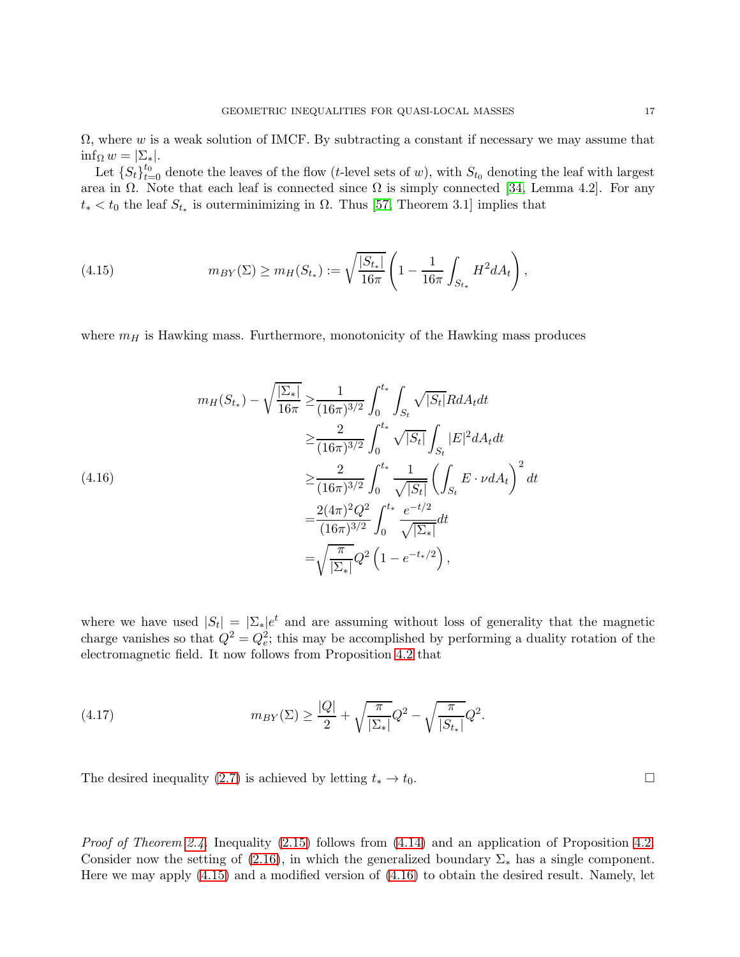Let  $\{S_t\}_{t=0}^{t_0}$  denote the leaves of the flow (t-level sets of w), with  $S_{t_0}$  denoting the leaf with largest area in  $\Omega$ . Note that each leaf is connected since  $\Omega$  is simply connected [\[34,](#page-35-5) Lemma 4.2]. For any  $t_* < t_0$  the leaf  $S_{t_*}$  is outerminimizing in  $\Omega$ . Thus [\[57,](#page-35-23) Theorem 3.1] implies that

<span id="page-16-0"></span>(4.15) 
$$
m_{BY}(\Sigma) \geq m_H(S_{t_*}) := \sqrt{\frac{|S_{t_*}|}{16\pi}} \left( 1 - \frac{1}{16\pi} \int_{S_{t_*}} H^2 dA_t \right),
$$

where  $m_H$  is Hawking mass. Furthermore, monotonicity of the Hawking mass produces

<span id="page-16-1"></span>
$$
m_H(S_{t_*}) - \sqrt{\frac{|\Sigma_*|}{16\pi}} \ge \frac{1}{(16\pi)^{3/2}} \int_0^{t_*} \int_{S_t} \sqrt{|S_t|} RdA_t dt
$$
  
\n
$$
\ge \frac{2}{(16\pi)^{3/2}} \int_0^{t_*} \sqrt{|S_t|} \int_{S_t} |E|^2 dA_t dt
$$
  
\n
$$
\ge \frac{2}{(16\pi)^{3/2}} \int_0^{t_*} \frac{1}{\sqrt{|S_t|}} \left(\int_{S_t} E \cdot \nu dA_t\right)^2 dt
$$
  
\n
$$
= \frac{2(4\pi)^2 Q^2}{(16\pi)^{3/2}} \int_0^{t_*} \frac{e^{-t/2}}{\sqrt{|\Sigma_*|}} dt
$$
  
\n
$$
= \sqrt{\frac{\pi}{|\Sigma_*|}} Q^2 \left(1 - e^{-t_*/2}\right),
$$

where we have used  $|S_t| = |\Sigma_*|e^t$  and are assuming without loss of generality that the magnetic charge vanishes so that  $Q^2 = Q_e^2$ ; this may be accomplished by performing a duality rotation of the electromagnetic field. It now follows from Proposition [4.2](#page-14-2) that

(4.17) 
$$
m_{BY}(\Sigma) \ge \frac{|Q|}{2} + \sqrt{\frac{\pi}{|\Sigma_*|}} Q^2 - \sqrt{\frac{\pi}{|S_{t_*}|}} Q^2.
$$

The desired inequality [\(2.7\)](#page-3-1) is achieved by letting  $t_* \to t_0$ .

Proof of Theorem [2.4.](#page-5-2) Inequality [\(2.15\)](#page-5-0) follows from [\(4.14\)](#page-15-1) and an application of Proposition [4.2.](#page-14-2) Consider now the setting of [\(2.16\)](#page-5-1), in which the generalized boundary  $\Sigma_*$  has a single component. Here we may apply [\(4.15\)](#page-16-0) and a modified version of [\(4.16\)](#page-16-1) to obtain the desired result. Namely, let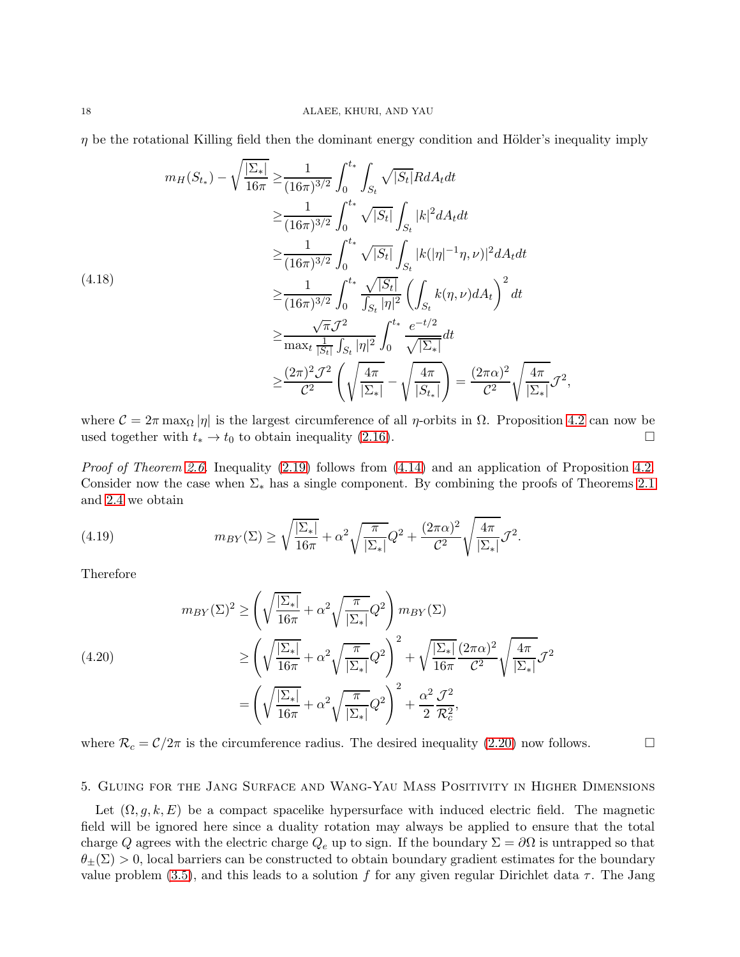$\eta$  be the rotational Killing field then the dominant energy condition and Hölder's inequality imply

$$
m_H(S_{t_*}) - \sqrt{\frac{|\Sigma_*|}{16\pi}} \ge \frac{1}{(16\pi)^{3/2}} \int_0^{t_*} \int_{S_t} \sqrt{|S_t|} RdA_t dt
$$
  
\n
$$
\ge \frac{1}{(16\pi)^{3/2}} \int_0^{t_*} \sqrt{|S_t|} \int_{S_t} |k|^2 dA_t dt
$$
  
\n
$$
\ge \frac{1}{(16\pi)^{3/2}} \int_0^{t_*} \sqrt{|S_t|} \int_{S_t} |k(|\eta|^{-1} \eta, \nu)|^2 dA_t dt
$$
  
\n(4.18)  
\n
$$
\ge \frac{1}{(16\pi)^{3/2}} \int_0^{t_*} \frac{\sqrt{|S_t|}}{\int_{S_t} |\eta|^2} \left( \int_{S_t} k(\eta, \nu) dA_t \right)^2 dt
$$
  
\n
$$
\ge \frac{\sqrt{\pi} \mathcal{J}^2}{\max_t \frac{1}{|S_t|} \int_{S_t} |\eta|^2} \int_0^{t_*} \frac{e^{-t/2}}{\sqrt{|\Sigma_*|}} dt
$$
  
\n
$$
\ge \frac{(2\pi)^2 \mathcal{J}^2}{C^2} \left( \sqrt{\frac{4\pi}{|\Sigma_*|}} - \sqrt{\frac{4\pi}{|S_{t_*}|}} \right) = \frac{(2\pi\alpha)^2}{C^2} \sqrt{\frac{4\pi}{|\Sigma_*|}} \mathcal{J}^2,
$$

where  $C = 2\pi \max_{\Omega} |\eta|$  is the largest circumference of all  $\eta$ -orbits in  $\Omega$ . Proposition [4.2](#page-14-2) can now be used together with  $t_* \to t_0$  to obtain inequality (2.16). used together with  $t_* \to t_0$  to obtain inequality [\(2.16\)](#page-5-1).

*Proof of Theorem [2.6.](#page-5-4)* Inequality  $(2.19)$  follows from  $(4.14)$  and an application of Proposition [4.2.](#page-14-2) Consider now the case when  $\Sigma_*$  has a single component. By combining the proofs of Theorems [2.1](#page-3-2) and [2.4](#page-5-2) we obtain

(4.19) 
$$
m_{BY}(\Sigma) \ge \sqrt{\frac{|\Sigma_*|}{16\pi}} + \alpha^2 \sqrt{\frac{\pi}{|\Sigma_*|}} Q^2 + \frac{(2\pi\alpha)^2}{\mathcal{C}^2} \sqrt{\frac{4\pi}{|\Sigma_*|}} \mathcal{J}^2.
$$

Therefore

(4.20)  

$$
m_{BY}(\Sigma)^2 \ge \left(\sqrt{\frac{|\Sigma_*|}{16\pi}} + \alpha^2 \sqrt{\frac{\pi}{|\Sigma_*|}} Q^2\right) m_{BY}(\Sigma)
$$

$$
\ge \left(\sqrt{\frac{|\Sigma_*|}{16\pi}} + \alpha^2 \sqrt{\frac{\pi}{|\Sigma_*|}} Q^2\right)^2 + \sqrt{\frac{|\Sigma_*|}{16\pi}} \frac{(2\pi\alpha)^2}{C^2} \sqrt{\frac{4\pi}{|\Sigma_*|}} \mathcal{J}^2
$$

$$
= \left(\sqrt{\frac{|\Sigma_*|}{16\pi}} + \alpha^2 \sqrt{\frac{\pi}{|\Sigma_*|}} Q^2\right)^2 + \frac{\alpha^2}{2} \frac{\mathcal{J}^2}{\mathcal{R}_c^2},
$$

where  $\mathcal{R}_c = \mathcal{C}/2\pi$  is the circumference radius. The desired inequality [\(2.20\)](#page-5-3) now follows.

<span id="page-17-0"></span>5. Gluing for the Jang Surface and Wang-Yau Mass Positivity in Higher Dimensions

Let  $(\Omega, g, k, E)$  be a compact spacelike hypersurface with induced electric field. The magnetic field will be ignored here since a duality rotation may always be applied to ensure that the total charge Q agrees with the electric charge  $Q_e$  up to sign. If the boundary  $\Sigma = \partial\Omega$  is untrapped so that  $\theta_{\pm}(\Sigma) > 0$ , local barriers can be constructed to obtain boundary gradient estimates for the boundary value problem [\(3.5\)](#page-11-0), and this leads to a solution f for any given regular Dirichlet data  $\tau$ . The Jang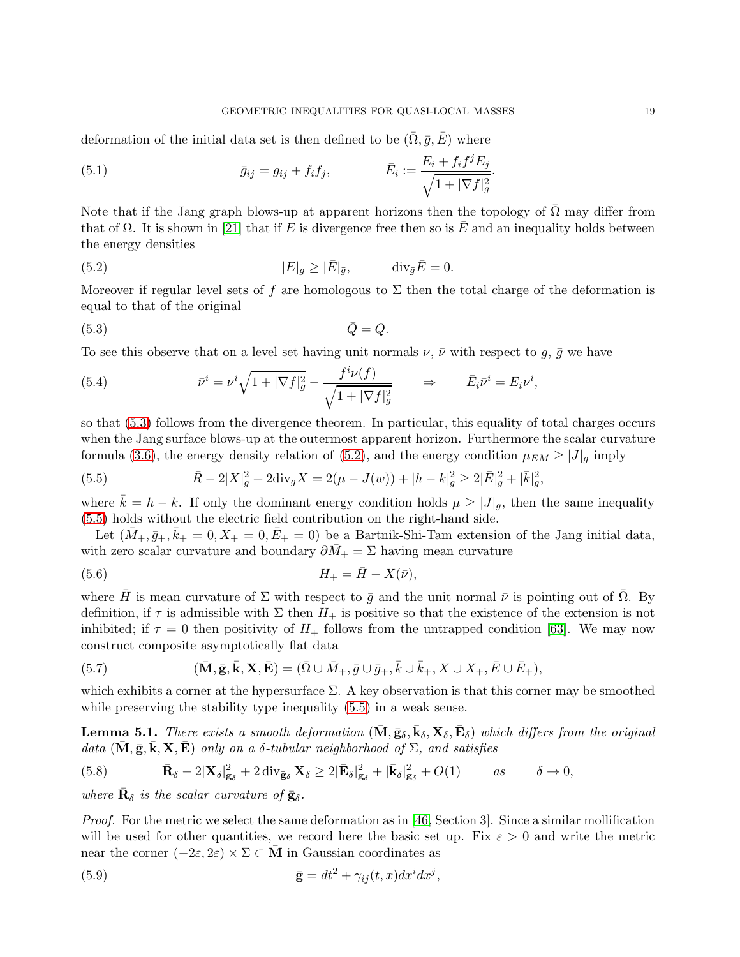deformation of the initial data set is then defined to be  $(\overline{\Omega}, \overline{g}, \overline{E})$  where

(5.1) 
$$
\bar{g}_{ij} = g_{ij} + f_i f_j, \qquad \qquad \bar{E}_i := \frac{E_i + f_i f^j E_j}{\sqrt{1 + |\nabla f|_g^2}}.
$$

Note that if the Jang graph blows-up at apparent horizons then the topology of  $\overline{\Omega}$  may differ from that of  $\Omega$ . It is shown in [\[21\]](#page-34-22) that if E is divergence free then so is  $\overline{E}$  and an inequality holds between the energy densities

<span id="page-18-1"></span>(5.2) 
$$
|E|_g \geq |\bar{E}|_{\bar{g}}, \qquad \text{div}_{\bar{g}}\bar{E} = 0.
$$

Moreover if regular level sets of f are homologous to  $\Sigma$  then the total charge of the deformation is equal to that of the original

<span id="page-18-0"></span>
$$
\bar{Q} = Q.
$$

To see this observe that on a level set having unit normals  $\nu$ ,  $\bar{\nu}$  with respect to g,  $\bar{g}$  we have

(5.4) 
$$
\bar{\nu}^{i} = \nu^{i} \sqrt{1 + |\nabla f|_{g}^{2}} - \frac{f^{i} \nu(f)}{\sqrt{1 + |\nabla f|_{g}^{2}}} \qquad \Rightarrow \qquad \bar{E}_{i} \bar{\nu}^{i} = E_{i} \nu^{i},
$$

so that [\(5.3\)](#page-18-0) follows from the divergence theorem. In particular, this equality of total charges occurs when the Jang surface blows-up at the outermost apparent horizon. Furthermore the scalar curvature formula [\(3.6\)](#page-11-1), the energy density relation of [\(5.2\)](#page-18-1), and the energy condition  $\mu_{EM} \geq |J|_q$  imply

<span id="page-18-2"></span>(5.5) 
$$
\bar{R} - 2|X|_{\bar{g}}^{2} + 2\text{div}_{\bar{g}}X = 2(\mu - J(w)) + |h - k|_{\bar{g}}^{2} \geq 2|\bar{E}|_{\bar{g}}^{2} + |\bar{k}|_{\bar{g}}^{2},
$$

where  $k = h - k$ . If only the dominant energy condition holds  $\mu \geq |J|_q$ , then the same inequality [\(5.5\)](#page-18-2) holds without the electric field contribution on the right-hand side.

Let  $(\bar{M}_{+}, \bar{g}_{+}, \bar{k}_{+} = 0, X_{+} = 0, \bar{E}_{+} = 0)$  be a Bartnik-Shi-Tam extension of the Jang initial data, with zero scalar curvature and boundary  $\partial M_+ = \Sigma$  having mean curvature

(5.6) 
$$
H_{+} = \bar{H} - X(\bar{\nu}),
$$

where  $\bar{H}$  is mean curvature of  $\Sigma$  with respect to  $\bar{g}$  and the unit normal  $\bar{\nu}$  is pointing out of  $\Omega$ . By definition, if  $\tau$  is admissible with  $\Sigma$  then  $H_+$  is positive so that the existence of the extension is not inhibited; if  $\tau = 0$  then positivity of  $H_+$  follows from the untrapped condition [\[63\]](#page-36-5). We may now construct composite asymptotically flat data

(5.7) 
$$
(\overline{\mathbf{M}}, \overline{\mathbf{g}}, \overline{\mathbf{k}}, \mathbf{X}, \overline{\mathbf{E}}) = (\overline{\Omega} \cup \overline{M}_+, \overline{g} \cup \overline{g}_+, \overline{k} \cup \overline{k}_+, X \cup X_+, \overline{E} \cup \overline{E}_+),
$$

which exhibits a corner at the hypersurface  $\Sigma$ . A key observation is that this corner may be smoothed while preserving the stability type inequality [\(5.5\)](#page-18-2) in a weak sense.

<span id="page-18-4"></span>**Lemma 5.1.** There exists a smooth deformation  $(\bar{M}, \bar{g}_\delta, \bar{k}_\delta, X_\delta, \bar{E}_\delta)$  which differs from the original data  $(\bar{M}, \bar{g}, \bar{k}, X, \bar{E})$  only on a  $\delta$ -tubular neighborhood of  $\Sigma$ , and satisfies

<span id="page-18-3"></span>(5.8) 
$$
\bar{\mathbf{R}}_{\delta} - 2|\mathbf{X}_{\delta}|_{\bar{\mathbf{g}}_{\delta}}^2 + 2 \operatorname{div}_{\bar{\mathbf{g}}_{\delta}} \mathbf{X}_{\delta} \geq 2|\bar{\mathbf{E}}_{\delta}|_{\bar{\mathbf{g}}_{\delta}}^2 + |\bar{\mathbf{k}}_{\delta}|_{\bar{\mathbf{g}}_{\delta}}^2 + O(1) \qquad \text{as} \qquad \delta \to 0,
$$

where  $\bar{\mathbf{R}}_{\delta}$  is the scalar curvature of  $\bar{\mathbf{g}}_{\delta}$ .

*Proof.* For the metric we select the same deformation as in [\[46,](#page-35-22) Section 3]. Since a similar mollification will be used for other quantities, we record here the basic set up. Fix  $\varepsilon > 0$  and write the metric near the corner  $(-2\varepsilon, 2\varepsilon) \times \Sigma \subset M$  in Gaussian coordinates as

(5.9) 
$$
\bar{\mathbf{g}} = dt^2 + \gamma_{ij}(t, x) dx^i dx^j,
$$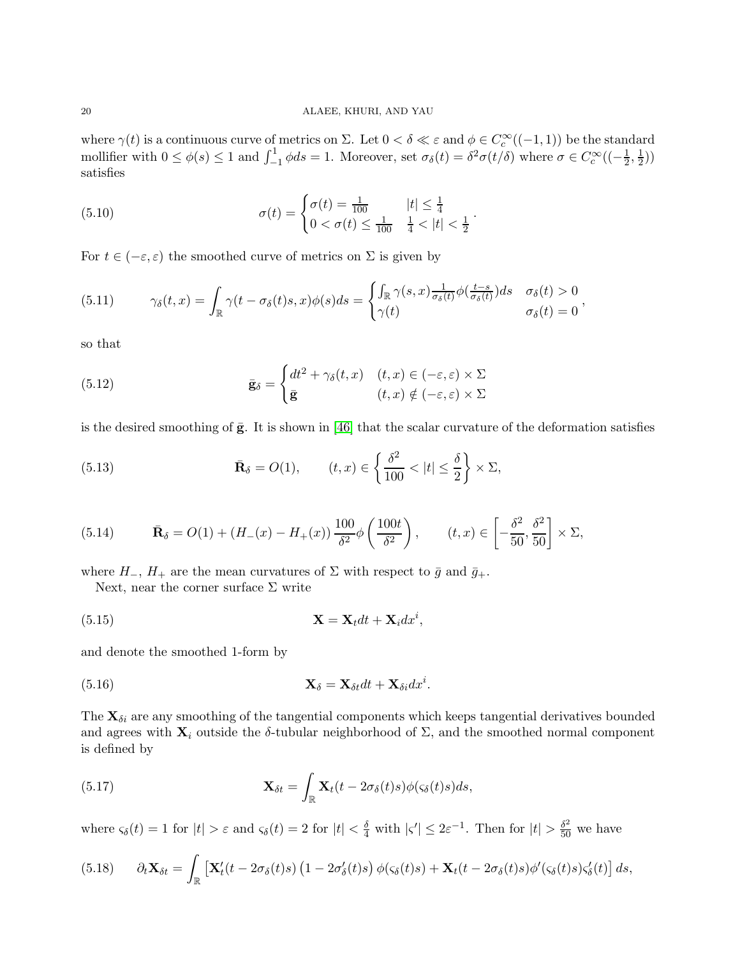where  $\gamma(t)$  is a continuous curve of metrics on  $\Sigma$ . Let  $0 < \delta \ll \varepsilon$  and  $\phi \in C_c^{\infty}((-1,1))$  be the standard mollifier with  $0 \le \phi(s) \le 1$  and  $\int_{-1}^{1} \phi ds = 1$ . Moreover, set  $\sigma_{\delta}(t) = \delta^2 \sigma(t/\delta)$  where  $\sigma \in C_c^{\infty}((-\frac{1}{2})$  $\frac{1}{2}, \frac{1}{2}$  $(\frac{1}{2})$ satisfies

(5.10) 
$$
\sigma(t) = \begin{cases} \sigma(t) = \frac{1}{100} & |t| \leq \frac{1}{4} \\ 0 < \sigma(t) \leq \frac{1}{100} & \frac{1}{4} < |t| < \frac{1}{2} \end{cases}.
$$

For  $t \in (-\varepsilon, \varepsilon)$  the smoothed curve of metrics on  $\Sigma$  is given by

(5.11) 
$$
\gamma_{\delta}(t,x) = \int_{\mathbb{R}} \gamma(t-\sigma_{\delta}(t)s,x)\phi(s)ds = \begin{cases} \int_{\mathbb{R}} \gamma(s,x) \frac{1}{\sigma_{\delta}(t)}\phi(\frac{t-s}{\sigma_{\delta}(t)})ds & \sigma_{\delta}(t) > 0\\ \gamma(t) & \sigma_{\delta}(t) = 0 \end{cases},
$$

so that

(5.12) 
$$
\bar{\mathbf{g}}_{\delta} = \begin{cases} dt^2 + \gamma_{\delta}(t, x) & (t, x) \in (-\varepsilon, \varepsilon) \times \Sigma \\ \bar{\mathbf{g}} & (t, x) \notin (-\varepsilon, \varepsilon) \times \Sigma \end{cases}
$$

is the desired smoothing of  $\bar{g}$ . It is shown in [\[46\]](#page-35-22) that the scalar curvature of the deformation satisfies

(5.13) 
$$
\bar{\mathbf{R}}_{\delta} = O(1), \qquad (t, x) \in \left\{ \frac{\delta^2}{100} < |t| \leq \frac{\delta}{2} \right\} \times \Sigma,
$$

(5.14) 
$$
\bar{\mathbf{R}}_{\delta} = O(1) + (H_{-}(x) - H_{+}(x)) \frac{100}{\delta^{2}} \phi \left(\frac{100t}{\delta^{2}}\right), \qquad (t, x) \in \left[-\frac{\delta^{2}}{50}, \frac{\delta^{2}}{50}\right] \times \Sigma,
$$

where  $H_-, H_+$  are the mean curvatures of  $\Sigma$  with respect to  $\bar{g}$  and  $\bar{g}_+$ .

Next, near the corner surface  $\Sigma$  write

$$
\mathbf{X} = \mathbf{X}_t dt + \mathbf{X}_i dx^i,
$$

and denote the smoothed 1-form by

(5.16) 
$$
\mathbf{X}_{\delta} = \mathbf{X}_{\delta t} dt + \mathbf{X}_{\delta i} dx^{i}.
$$

The  $\mathbf{X}_{\delta i}$  are any smoothing of the tangential components which keeps tangential derivatives bounded and agrees with  $\mathbf{X}_i$  outside the δ-tubular neighborhood of  $\Sigma$ , and the smoothed normal component is defined by

(5.17) 
$$
\mathbf{X}_{\delta t} = \int_{\mathbb{R}} \mathbf{X}_t(t - 2\sigma_{\delta}(t)s)\phi(\varsigma_{\delta}(t)s)ds,
$$

where  $\varsigma_{\delta}(t) = 1$  for  $|t| > \varepsilon$  and  $\varsigma_{\delta}(t) = 2$  for  $|t| < \frac{\delta}{4}$  with  $|\varsigma'| \leq 2\varepsilon^{-1}$ . Then for  $|t| > \frac{\delta^2}{50}$  we have

$$
(5.18) \qquad \partial_t \mathbf{X}_{\delta t} = \int_{\mathbb{R}} \left[ \mathbf{X}'_t(t - 2\sigma_{\delta}(t)s) \left( 1 - 2\sigma'_{\delta}(t)s \right) \phi(\varsigma_{\delta}(t)s) + \mathbf{X}_t(t - 2\sigma_{\delta}(t)s) \phi'(\varsigma_{\delta}(t)s) \varsigma'_{\delta}(t) \right] ds,
$$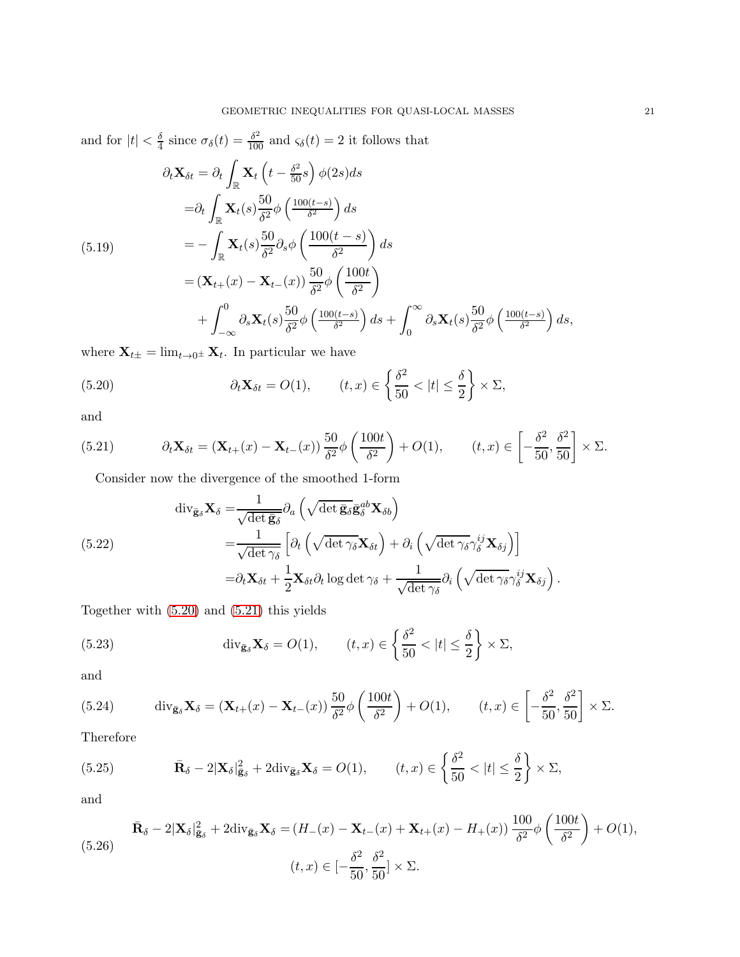and for 
$$
|t| < \frac{\delta}{4}
$$
 since  $\sigma_{\delta}(t) = \frac{\delta^2}{100}$  and  $\varsigma_{\delta}(t) = 2$  it follows that  
\n
$$
\partial_t \mathbf{X}_{\delta t} = \partial_t \int_{\mathbb{R}} \mathbf{X}_t \left( t - \frac{\delta^2}{50} s \right) \phi(2s) ds
$$
\n
$$
= \partial_t \int_{\mathbb{R}} \mathbf{X}_t(s) \frac{50}{\delta^2} \phi \left( \frac{100(t-s)}{\delta^2} \right) ds
$$
\n(5.19)\n
$$
= - \int_{\mathbb{R}} \mathbf{X}_t(s) \frac{50}{\delta^2} \partial_s \phi \left( \frac{100(t-s)}{\delta^2} \right) ds
$$
\n
$$
= (\mathbf{X}_{t+}(x) - \mathbf{X}_{t-}(x)) \frac{50}{\delta^2} \phi \left( \frac{100t}{\delta^2} \right)
$$
\n
$$
+ \int_{-\infty}^0 \partial_s \mathbf{X}_t(s) \frac{50}{\delta^2} \phi \left( \frac{100(t-s)}{\delta^2} \right) ds + \int_0^\infty \partial_s \mathbf{X}_t(s) \frac{50}{\delta^2} \phi \left( \frac{100(t-s)}{\delta^2} \right) ds,
$$

where  $\mathbf{X}_{t\pm} = \lim_{t\to 0^{\pm}} \mathbf{X}_{t}$ . In particular we have

<span id="page-20-0"></span>(5.20) 
$$
\partial_t \mathbf{X}_{\delta t} = O(1), \qquad (t, x) \in \left\{ \frac{\delta^2}{50} < |t| \leq \frac{\delta}{2} \right\} \times \Sigma,
$$

and

(5.21) 
$$
\partial_t \mathbf{X}_{\delta t} = (\mathbf{X}_{t+}(x) - \mathbf{X}_{t-}(x)) \frac{50}{\delta^2} \phi \left( \frac{100t}{\delta^2} \right) + O(1), \qquad (t,x) \in \left[ -\frac{\delta^2}{50}, \frac{\delta^2}{50} \right] \times \Sigma.
$$

<span id="page-20-1"></span>Consider now the divergence of the smoothed 1-form

(5.22)  
\n
$$
\operatorname{div}_{\bar{\mathbf{g}}_{\delta}} \mathbf{X}_{\delta} = \frac{1}{\sqrt{\det \bar{\mathbf{g}}_{\delta}}} \partial_{a} \left( \sqrt{\det \bar{\mathbf{g}}_{\delta}} \bar{\mathbf{g}}_{\delta}^{ab} \mathbf{X}_{\delta b} \right)
$$
\n
$$
= \frac{1}{\sqrt{\det \gamma_{\delta}}} \left[ \partial_{t} \left( \sqrt{\det \gamma_{\delta}} \mathbf{X}_{\delta t} \right) + \partial_{i} \left( \sqrt{\det \gamma_{\delta}} \gamma_{\delta}^{ij} \mathbf{X}_{\delta j} \right) \right]
$$
\n
$$
= \partial_{t} \mathbf{X}_{\delta t} + \frac{1}{2} \mathbf{X}_{\delta t} \partial_{t} \log \det \gamma_{\delta} + \frac{1}{\sqrt{\det \gamma_{\delta}}} \partial_{i} \left( \sqrt{\det \gamma_{\delta}} \gamma_{\delta}^{ij} \mathbf{X}_{\delta j} \right).
$$

Together with [\(5.20\)](#page-20-0) and [\(5.21\)](#page-20-1) this yields

(5.23) 
$$
\operatorname{div}_{\bar{\mathbf{g}}_{\delta}} \mathbf{X}_{\delta} = O(1), \qquad (t, x) \in \left\{ \frac{\delta^2}{50} < |t| \leq \frac{\delta}{2} \right\} \times \Sigma,
$$

and

(5.24) 
$$
\operatorname{div}_{\bar{\mathbf{g}}_{\delta}} \mathbf{X}_{\delta} = (\mathbf{X}_{t+}(x) - \mathbf{X}_{t-}(x)) \frac{50}{\delta^2} \phi \left(\frac{100t}{\delta^2}\right) + O(1), \qquad (t,x) \in \left[-\frac{\delta^2}{50}, \frac{\delta^2}{50}\right] \times \Sigma.
$$

Therefore

(5.25) 
$$
\bar{\mathbf{R}}_{\delta} - 2|\mathbf{X}_{\delta}|_{\bar{\mathbf{g}}_{\delta}}^2 + 2\text{div}_{\bar{\mathbf{g}}_{\delta}}\mathbf{X}_{\delta} = O(1), \qquad (t, x) \in \left\{\frac{\delta^2}{50} < |t| \leq \frac{\delta}{2}\right\} \times \Sigma,
$$

and

$$
\bar{\mathbf{R}}_{\delta} - 2|\mathbf{X}_{\delta}|_{\bar{\mathbf{g}}_{\delta}}^{2} + 2\text{div}_{\bar{\mathbf{g}}_{\delta}}\mathbf{X}_{\delta} = (H_{-}(x) - \mathbf{X}_{t-}(x) + \mathbf{X}_{t+}(x) - H_{+}(x))\frac{100}{\delta^{2}}\phi\left(\frac{100t}{\delta^{2}}\right) + O(1),
$$
\n
$$
(5.26)
$$
\n
$$
(t, x) \in \left[-\frac{\delta^{2}}{50}, \frac{\delta^{2}}{50}\right] \times \Sigma.
$$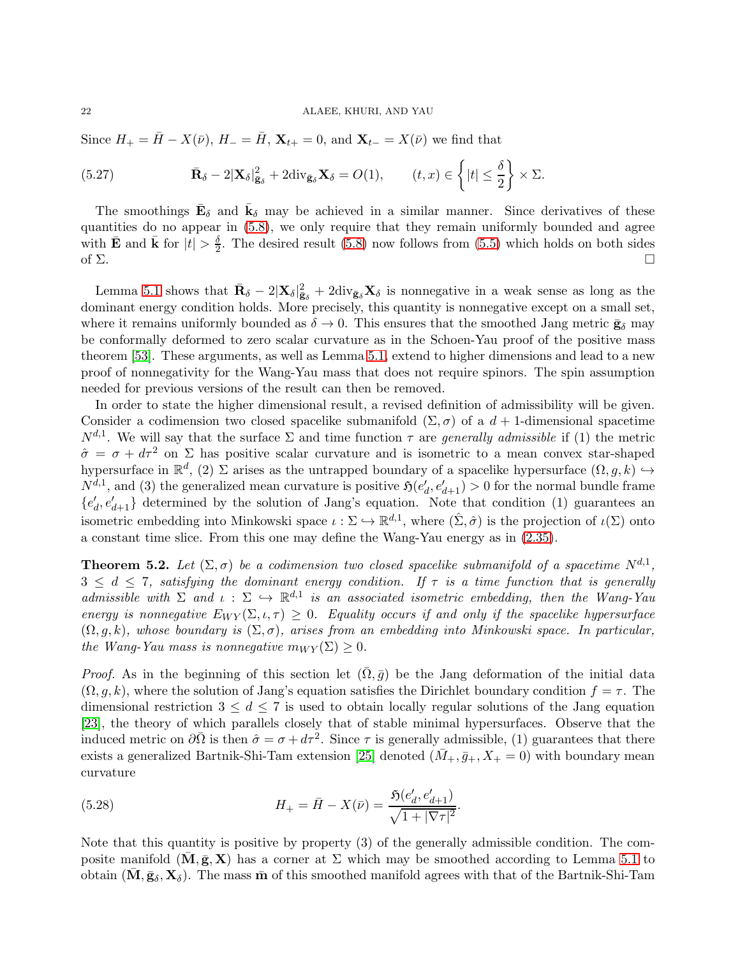Since  $H_+ = \bar{H} - X(\bar{\nu})$ ,  $H_- = \bar{H}$ ,  $\mathbf{X}_{t+} = 0$ , and  $\mathbf{X}_{t-} = X(\bar{\nu})$  we find that

(5.27) 
$$
\bar{\mathbf{R}}_{\delta} - 2|\mathbf{X}_{\delta}|_{\bar{\mathbf{g}}_{\delta}}^2 + 2\mathrm{div}_{\bar{\mathbf{g}}_{\delta}}\mathbf{X}_{\delta} = O(1), \qquad (t, x) \in \left\{ |t| \leq \frac{\delta}{2} \right\} \times \Sigma.
$$

The smoothings  $\bar{\mathbf{E}}_{\delta}$  and  $\bar{\mathbf{k}}_{\delta}$  may be achieved in a similar manner. Since derivatives of these quantities do no appear in [\(5.8\)](#page-18-3), we only require that they remain uniformly bounded and agree with  $\bar{\mathbf{E}}$  and  $\bar{\mathbf{k}}$  for  $|t| > \frac{\delta}{2}$  $\frac{6}{2}$ . The desired result [\(5.8\)](#page-18-3) now follows from [\(5.5\)](#page-18-2) which holds on both sides of  $\Sigma$ .

Lemma [5.1](#page-18-4) shows that  $\bar{\mathbf{R}}_{\delta} - 2|\mathbf{X}_{\delta}|_{\bar{\mathbf{g}}_{\delta}}^2 + 2\text{div}_{\bar{\mathbf{g}}_{\delta}}\mathbf{X}_{\delta}$  is nonnegative in a weak sense as long as the dominant energy condition holds. More precisely, this quantity is nonnegative except on a small set, where it remains uniformly bounded as  $\delta \to 0$ . This ensures that the smoothed Jang metric  $\bar{\mathbf{g}}_{\delta}$  may be conformally deformed to zero scalar curvature as in the Schoen-Yau proof of the positive mass theorem [\[53\]](#page-35-10). These arguments, as well as Lemma [5.1,](#page-18-4) extend to higher dimensions and lead to a new proof of nonnegativity for the Wang-Yau mass that does not require spinors. The spin assumption needed for previous versions of the result can then be removed.

In order to state the higher dimensional result, a revised definition of admissibility will be given. Consider a codimension two closed spacelike submanifold  $(\Sigma, \sigma)$  of a  $d+1$ -dimensional spacetime  $N^{d,1}$ . We will say that the surface  $\Sigma$  and time function  $\tau$  are *generally admissible* if (1) the metric  $\hat{\sigma} = \sigma + d\tau^2$  on  $\Sigma$  has positive scalar curvature and is isometric to a mean convex star-shaped hypersurface in  $\mathbb{R}^d$ , (2)  $\Sigma$  arises as the untrapped boundary of a spacelike hypersurface  $(\Omega, g, k) \hookrightarrow$  $N^{d,1}$ , and (3) the generalized mean curvature is positive  $\mathfrak{H}(e'_d, e'_{d+1}) > 0$  for the normal bundle frame  ${e'_d, e'_{d+1}}$  determined by the solution of Jang's equation. Note that condition (1) guarantees an isometric embedding into Minkowski space  $\iota : \Sigma \hookrightarrow \mathbb{R}^{d,1}$ , where  $(\hat{\Sigma}, \hat{\sigma})$  is the projection of  $\iota(\Sigma)$  onto a constant time slice. From this one may define the Wang-Yau energy as in [\(2.35\)](#page-8-2).

**Theorem 5.2.** Let  $(\Sigma, \sigma)$  be a codimension two closed spacelike submanifold of a spacetime  $N^{d,1}$ ,  $3 \leq d \leq 7$ , satisfying the dominant energy condition. If  $\tau$  is a time function that is generally admissible with  $\Sigma$  and  $\iota : \Sigma \hookrightarrow \mathbb{R}^{d,1}$  is an associated isometric embedding, then the Wang-Yau energy is nonnegative  $E_{W Y}(\Sigma, \iota, \tau) \geq 0$ . Equality occurs if and only if the spacelike hypersurface  $(\Omega, q, k)$ , whose boundary is  $(\Sigma, \sigma)$ , arises from an embedding into Minkowski space. In particular, the Wang-Yau mass is nonnegative  $m_{W Y}(\Sigma) > 0$ .

*Proof.* As in the beginning of this section let  $(\overline{\Omega}, \overline{g})$  be the Jang deformation of the initial data  $(\Omega, g, k)$ , where the solution of Jang's equation satisfies the Dirichlet boundary condition  $f = \tau$ . The dimensional restriction  $3 \leq d \leq 7$  is used to obtain locally regular solutions of the Jang equation [\[23\]](#page-34-23), the theory of which parallels closely that of stable minimal hypersurfaces. Observe that the induced metric on  $\partial \overline{\Omega}$  is then  $\hat{\sigma} = \sigma + d\tau^2$ . Since  $\tau$  is generally admissible, (1) guarantees that there exists a generalized Bartnik-Shi-Tam extension [\[25\]](#page-34-24) denoted  $(M_+, \bar{g}_+, X_+ = 0)$  with boundary mean curvature

(5.28) 
$$
H_{+} = \bar{H} - X(\bar{\nu}) = \frac{\mathfrak{H}(e_d', e_{d+1}')}{\sqrt{1 + |\nabla \tau|^2}}.
$$

Note that this quantity is positive by property (3) of the generally admissible condition. The composite manifold  $(M, \bar{g}, X)$  has a corner at  $\Sigma$  which may be smoothed according to Lemma [5.1](#page-18-4) to obtain  $(M, \bar{g}_\delta, X_\delta)$ . The mass  $\bar{m}$  of this smoothed manifold agrees with that of the Bartnik-Shi-Tam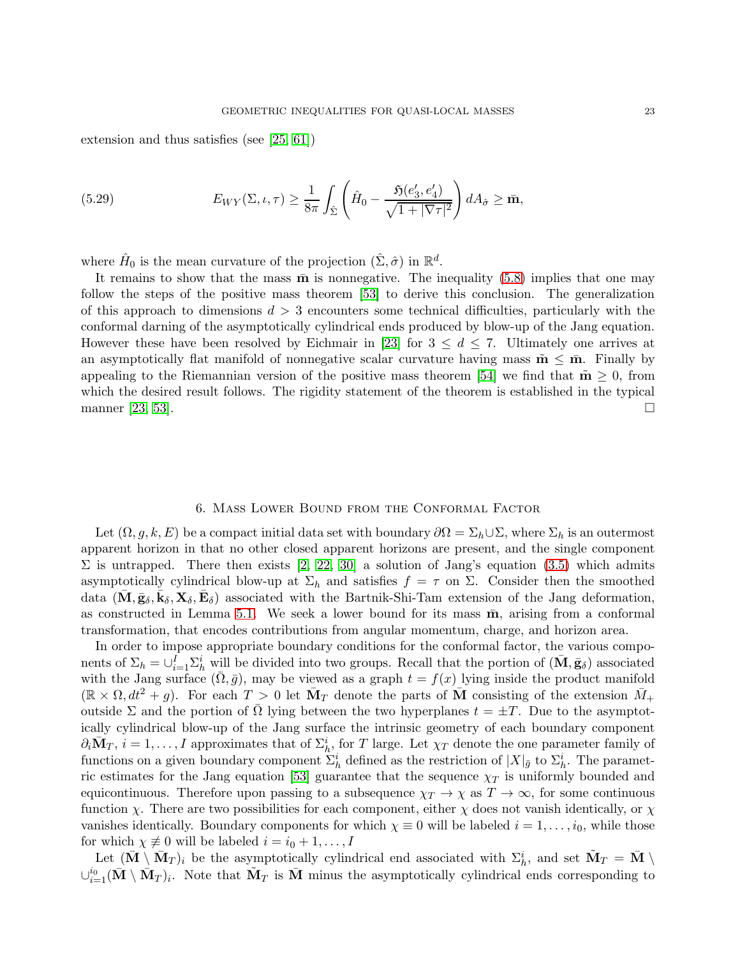extension and thus satisfies (see [\[25,](#page-34-24) [61\]](#page-36-1))

(5.29) 
$$
E_{WY}(\Sigma,\iota,\tau) \geq \frac{1}{8\pi} \int_{\hat{\Sigma}} \left( \hat{H}_0 - \frac{\mathfrak{H}(e'_3,e'_4)}{\sqrt{1+|\nabla\tau|^2}} \right) dA_{\hat{\sigma}} \geq \bar{\mathbf{m}},
$$

where  $\hat{H}_0$  is the mean curvature of the projection  $(\hat{\Sigma}, \hat{\sigma})$  in  $\mathbb{R}^d$ .

It remains to show that the mass  $\bar{\mathbf{m}}$  is nonnegative. The inequality [\(5.8\)](#page-18-3) implies that one may follow the steps of the positive mass theorem [\[53\]](#page-35-10) to derive this conclusion. The generalization of this approach to dimensions  $d > 3$  encounters some technical difficulties, particularly with the conformal darning of the asymptotically cylindrical ends produced by blow-up of the Jang equation. However these have been resolved by Eichmair in [\[23\]](#page-34-23) for  $3 \leq d \leq 7$ . Ultimately one arrives at an asymptotically flat manifold of nonnegative scalar curvature having mass  $\tilde{\mathbf{m}} \leq \bar{\mathbf{m}}$ . Finally by appealing to the Riemannian version of the positive mass theorem [\[54\]](#page-35-24) we find that  $\tilde{\mathbf{m}} \geq 0$ , from which the desired result follows. The rigidity statement of the theorem is established in the typical manner [\[23,](#page-34-23) [53\]](#page-35-10).

## 6. Mass Lower Bound from the Conformal Factor

<span id="page-22-0"></span>Let  $(\Omega, g, k, E)$  be a compact initial data set with boundary  $\partial \Omega = \Sigma_h \cup \Sigma$ , where  $\Sigma_h$  is an outermost apparent horizon in that no other closed apparent horizons are present, and the single component  $\Sigma$  is untrapped. There then exists [\[2,](#page-34-12) [22,](#page-34-13) [30\]](#page-35-25) a solution of Jang's equation [\(3.5\)](#page-11-0) which admits asymptotically cylindrical blow-up at  $\Sigma_h$  and satisfies  $f = \tau$  on  $\Sigma$ . Consider then the smoothed data  $(\bar{M}, \bar{g}_\delta, \bar{k}_\delta, X_\delta, \bar{E}_\delta)$  associated with the Bartnik-Shi-Tam extension of the Jang deformation, as constructed in Lemma [5.1.](#page-18-4) We seek a lower bound for its mass  $\bar{m}$ , arising from a conformal transformation, that encodes contributions from angular momentum, charge, and horizon area.

In order to impose appropriate boundary conditions for the conformal factor, the various components of  $\Sigma_h = \cup_{i=1}^I \Sigma_h^i$  will be divided into two groups. Recall that the portion of  $(\bar{\mathbf{M}}, \bar{\mathbf{g}}_{\delta})$  associated with the Jang surface  $(\Omega, \bar{g})$ , may be viewed as a graph  $t = f(x)$  lying inside the product manifold  $(\mathbb{R} \times \Omega, dt^2 + g)$ . For each  $T > 0$  let  $\overline{M}_T$  denote the parts of  $\overline{M}$  consisting of the extension  $\overline{M}_+$ outside Σ and the portion of Ω lying between the two hyperplanes  $t = \pm T$ . Due to the asymptotically cylindrical blow-up of the Jang surface the intrinsic geometry of each boundary component  $\partial_i \bar{M}_T$ ,  $i = 1, \ldots, I$  approximates that of  $\Sigma_h^i$ , for T large. Let  $\chi_T$  denote the one parameter family of functions on a given boundary component  $\Sigma_h^i$  defined as the restriction of  $|X|_{\bar{g}}$  to  $\Sigma_h^i$ . The paramet-ric estimates for the Jang equation [\[53\]](#page-35-10) guarantee that the sequence  $\chi_T$  is uniformly bounded and equicontinuous. Therefore upon passing to a subsequence  $\chi_T \to \chi$  as  $T \to \infty$ , for some continuous function  $\chi$ . There are two possibilities for each component, either  $\chi$  does not vanish identically, or  $\chi$ vanishes identically. Boundary components for which  $\chi \equiv 0$  will be labeled  $i = 1, \ldots, i_0$ , while those for which  $\chi \not\equiv 0$  will be labeled  $i = i_0 + 1, \ldots, I$ 

Let  $(\bar{\mathbf{M}} \setminus \bar{\mathbf{M}}_T)_i$  be the asymptotically cylindrical end associated with  $\Sigma_h^i$ , and set  $\tilde{\mathbf{M}}_T = \bar{\mathbf{M}} \setminus \mathbf{M}$  $\cup_{i=1}^{i_0} (\bar{M} \setminus \bar{M}_T)_i$ . Note that  $\tilde{M}_T$  is  $\bar{M}$  minus the asymptotically cylindrical ends corresponding to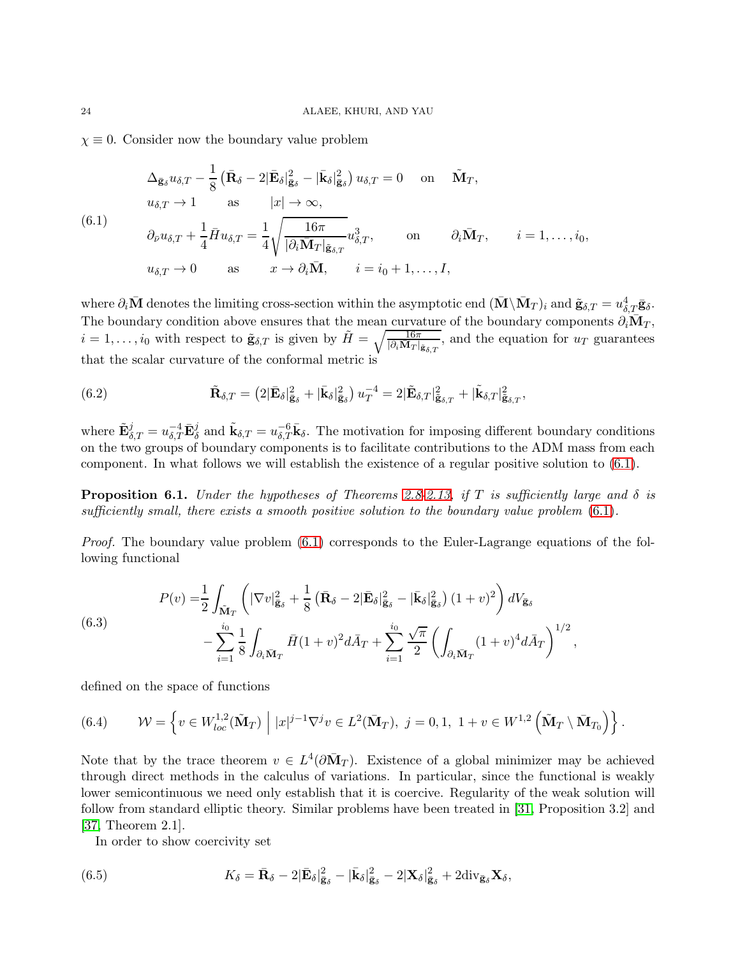$\chi \equiv 0$ . Consider now the boundary value problem

<span id="page-23-0"></span>
$$
\Delta_{\bar{\mathbf{g}}_{\delta}} u_{\delta,T} - \frac{1}{8} \left( \bar{\mathbf{R}}_{\delta} - 2 | \bar{\mathbf{E}}_{\delta} |_{\bar{\mathbf{g}}_{\delta}}^{2} - | \bar{\mathbf{k}}_{\delta} |_{\bar{\mathbf{g}}_{\delta}}^{2} \right) u_{\delta,T} = 0 \quad \text{on} \quad \tilde{\mathbf{M}}_{T},
$$
\n
$$
u_{\delta,T} \to 1 \quad \text{as} \quad |x| \to \infty,
$$
\n(6.1)\n
$$
\partial_{\bar{\nu}} u_{\delta,T} + \frac{1}{4} \bar{H} u_{\delta,T} = \frac{1}{4} \sqrt{\frac{16\pi}{|\partial_{i} \bar{\mathbf{M}}_{T}|_{\bar{\mathbf{g}}_{\delta,T}}}} u_{\delta,T}^{3}, \quad \text{on} \quad \partial_{i} \bar{\mathbf{M}}_{T}, \quad i = 1, \dots, i_{0},
$$
\n
$$
u_{\delta,T} \to 0 \quad \text{as} \quad x \to \partial_{i} \bar{\mathbf{M}}, \quad i = i_{0} + 1, \dots, I,
$$

where  $\partial_i \bar{\mathbf{M}}$  denotes the limiting cross-section within the asymptotic end  $(\bar{\mathbf{M}} \setminus \bar{\mathbf{M}}_T)_i$  and  $\tilde{\mathbf{g}}_{\delta,T} = u_{\delta,T}^4 \bar{\mathbf{g}}_{\delta}$ . The boundary condition above ensures that the mean curvature of the boundary components  $\partial_i \bar{M}_T$ ,  $i = 1, \ldots, i_0$  with respect to  $\tilde{\mathbf{g}}_{\delta,T}$  is given by  $\tilde{H} = \sqrt{\frac{16\pi}{|\partial_i \mathbf{M}_T| \mathbf{g}_{\delta,T}}},$  and the equation for  $u_T$  guarantees that the scalar curvature of the conformal metric is

<span id="page-23-2"></span>(6.2) 
$$
\tilde{\mathbf{R}}_{\delta,T} = \left(2|\bar{\mathbf{E}}_{\delta}|\bar{\mathbf{g}}_{\delta} + |\bar{\mathbf{k}}_{\delta}|\bar{\mathbf{g}}_{\delta}\right)u_T^{-4} = 2|\tilde{\mathbf{E}}_{\delta,T}|\bar{\mathbf{g}}_{\delta,T} + |\tilde{\mathbf{k}}_{\delta,T}|\bar{\mathbf{g}}_{\delta,T},
$$

where  $\tilde{\mathbf{E}}_{\delta,T}^j = u_{\delta,T}^{-4} \bar{\mathbf{E}}_{\delta}^j$  and  $\tilde{\mathbf{k}}_{\delta,T} = u_{\delta,T}^{-6} \bar{\mathbf{k}}_{\delta}$ . The motivation for imposing different boundary conditions on the two groups of boundary components is to facilitate contributions to the ADM mass from each component. In what follows we will establish the existence of a regular positive solution to [\(6.1\)](#page-23-0).

<span id="page-23-1"></span>**Proposition 6.1.** Under the hypotheses of Theorems [2.8](#page-6-1)[-2.13,](#page-10-1) if T is sufficiently large and  $\delta$  is sufficiently small, there exists a smooth positive solution to the boundary value problem  $(6.1)$ .

*Proof.* The boundary value problem  $(6.1)$  corresponds to the Euler-Lagrange equations of the following functional

(6.3)  

$$
P(v) = \frac{1}{2} \int_{\tilde{\mathbf{M}}_T} \left( |\nabla v|_{\tilde{\mathbf{g}}_{\delta}}^2 + \frac{1}{8} \left( \bar{\mathbf{R}}_{\delta} - 2 |\bar{\mathbf{E}}_{\delta}|_{\tilde{\mathbf{g}}_{\delta}}^2 - |\bar{\mathbf{k}}_{\delta}|_{\tilde{\mathbf{g}}_{\delta}}^2 \right) (1+v)^2 \right) dV_{\tilde{\mathbf{g}}_{\delta}} - \sum_{i=1}^{i_0} \frac{1}{8} \int_{\partial_i \bar{\mathbf{M}}_T} \bar{H} (1+v)^2 d\bar{A}_T + \sum_{i=1}^{i_0} \frac{\sqrt{\pi}}{2} \left( \int_{\partial_i \bar{\mathbf{M}}_T} (1+v)^4 d\bar{A}_T \right)^{1/2},
$$

defined on the space of functions

(6.4) 
$$
\mathcal{W} = \left\{ v \in W_{loc}^{1,2}(\tilde{\mathbf{M}}_T) \middle| |x|^{j-1} \nabla^j v \in L^2(\bar{\mathbf{M}}_T), \ j = 0, 1, 1 + v \in W^{1,2}(\tilde{\mathbf{M}}_T \setminus \bar{\mathbf{M}}_{T_0}) \right\}.
$$

Note that by the trace theorem  $v \in L^4(\partial \bar{M}_T)$ . Existence of a global minimizer may be achieved through direct methods in the calculus of variations. In particular, since the functional is weakly lower semicontinuous we need only establish that it is coercive. Regularity of the weak solution will follow from standard elliptic theory. Similar problems have been treated in [\[31,](#page-35-26) Proposition 3.2] and [\[37,](#page-35-27) Theorem 2.1].

In order to show coercivity set

(6.5) 
$$
K_{\delta} = \bar{\mathbf{R}}_{\delta} - 2|\bar{\mathbf{E}}_{\delta}|_{\bar{\mathbf{g}}_{\delta}}^2 - |\bar{\mathbf{k}}_{\delta}|_{\bar{\mathbf{g}}_{\delta}}^2 - 2|\mathbf{X}_{\delta}|_{\bar{\mathbf{g}}_{\delta}}^2 + 2\mathrm{div}_{\bar{\mathbf{g}}_{\delta}}\mathbf{X}_{\delta},
$$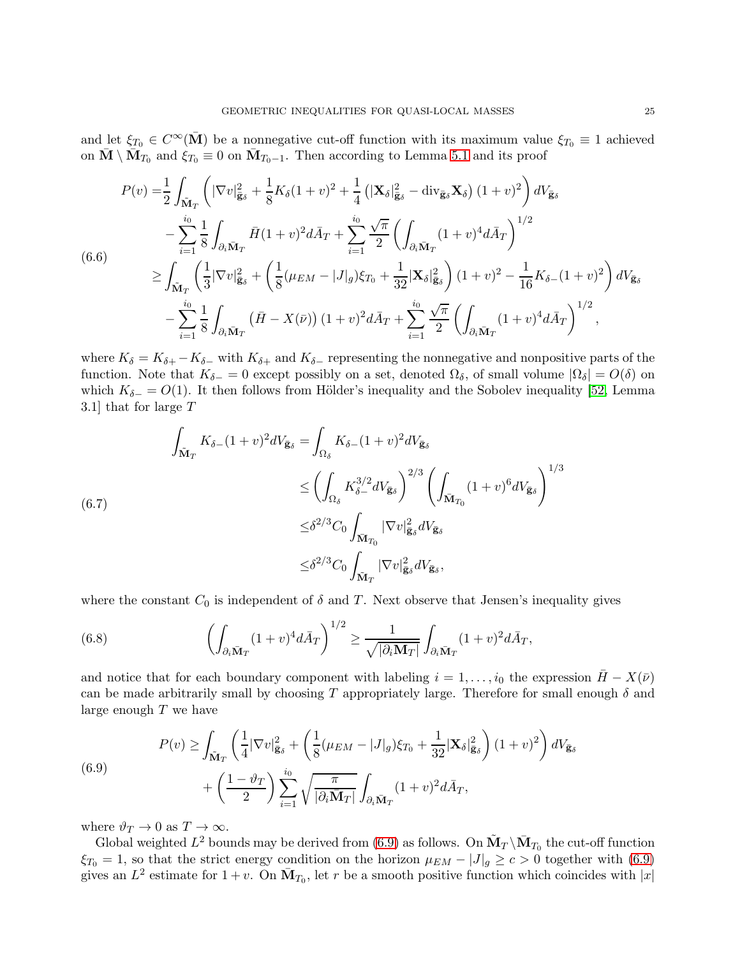and let  $\xi_{T_0} \in C^{\infty}(\overline{\mathbf{M}})$  be a nonnegative cut-off function with its maximum value  $\xi_{T_0} \equiv 1$  achieved on  $\bar{\mathbf{M}} \setminus \bar{\mathbf{M}}_{T_0}$  and  $\xi_{T_0} \equiv 0$  on  $\bar{\mathbf{M}}_{T_0-1}$ . Then according to Lemma [5.1](#page-18-4) and its proof

$$
P(v) = \frac{1}{2} \int_{\tilde{\mathbf{M}}_{T}} \left( |\nabla v|_{\tilde{\mathbf{g}}_{\delta}}^{2} + \frac{1}{8} K_{\delta} (1 + v)^{2} + \frac{1}{4} \left( |\mathbf{X}_{\delta}|_{\tilde{\mathbf{g}}_{\delta}}^{2} - \text{div}_{\tilde{\mathbf{g}}_{\delta}} \mathbf{X}_{\delta} \right) (1 + v)^{2} \right) dV_{\tilde{\mathbf{g}}_{\delta}} - \sum_{i=1}^{i_{0}} \frac{1}{8} \int_{\partial_{i} \bar{\mathbf{M}}_{T}} \bar{H} (1 + v)^{2} d\bar{A}_{T} + \sum_{i=1}^{i_{0}} \frac{\sqrt{\pi}}{2} \left( \int_{\partial_{i} \bar{\mathbf{M}}_{T}} (1 + v)^{4} d\bar{A}_{T} \right)^{1/2} \n\geq \int_{\tilde{\mathbf{M}}_{T}} \left( \frac{1}{3} |\nabla v|_{\tilde{\mathbf{g}}_{\delta}}^{2} + \left( \frac{1}{8} (\mu_{EM} - |J|_{g}) \xi_{T_{0}} + \frac{1}{32} |\mathbf{X}_{\delta}|_{\tilde{\mathbf{g}}_{\delta}}^{2} \right) (1 + v)^{2} - \frac{1}{16} K_{\delta} - (1 + v)^{2} \right) dV_{\tilde{\mathbf{g}}_{\delta}} - \sum_{i=1}^{i_{0}} \frac{1}{8} \int_{\partial_{i} \bar{\mathbf{M}}_{T}} \left( \bar{H} - X(\bar{\nu}) \right) (1 + v)^{2} d\bar{A}_{T} + \sum_{i=1}^{i_{0}} \frac{\sqrt{\pi}}{2} \left( \int_{\partial_{i} \bar{\mathbf{M}}_{T}} (1 + v)^{4} d\bar{A}_{T} \right)^{1/2},
$$

where  $K_{\delta} = K_{\delta+} - K_{\delta-}$  with  $K_{\delta+}$  and  $K_{\delta-}$  representing the nonnegative and nonpositive parts of the function. Note that  $K_{\delta-} = 0$  except possibly on a set, denoted  $\Omega_{\delta}$ , of small volume  $|\Omega_{\delta}| = O(\delta)$  on which  $K_{\delta-} = O(1)$ . It then follows from Hölder's inequality and the Sobolev inequality [\[52,](#page-35-28) Lemma 3.1] that for large T

$$
\int_{\tilde{\mathbf{M}}_T} K_{\delta-}(1+v)^2 dV_{\bar{\mathbf{g}}_{\delta}} = \int_{\Omega_{\delta}} K_{\delta-}(1+v)^2 dV_{\bar{\mathbf{g}}_{\delta}} \n\leq \left(\int_{\Omega_{\delta}} K_{\delta-}^{3/2} dV_{\bar{\mathbf{g}}_{\delta}}\right)^{2/3} \left(\int_{\tilde{\mathbf{M}}_{T_0}} (1+v)^6 dV_{\bar{\mathbf{g}}_{\delta}}\right)^{1/3} \n\leq \delta^{2/3} C_0 \int_{\tilde{\mathbf{M}}_{T_0}} |\nabla v|_{\tilde{\mathbf{g}}_{\delta}}^2 dV_{\tilde{\mathbf{g}}_{\delta}} \n\leq \delta^{2/3} C_0 \int_{\tilde{\mathbf{M}}_T} |\nabla v|_{\tilde{\mathbf{g}}_{\delta}}^2 dV_{\tilde{\mathbf{g}}_{\delta}},
$$

where the constant  $C_0$  is independent of  $\delta$  and T. Next observe that Jensen's inequality gives

(6.8) 
$$
\left(\int_{\partial_i \bar{\mathbf{M}}_T} (1+v)^4 d\bar{A}_T\right)^{1/2} \geq \frac{1}{\sqrt{|\partial_i \bar{\mathbf{M}}_T|}} \int_{\partial_i \bar{\mathbf{M}}_T} (1+v)^2 d\bar{A}_T,
$$

and notice that for each boundary component with labeling  $i = 1, \ldots, i_0$  the expression  $\bar{H} - X(\bar{\nu})$ can be made arbitrarily small by choosing T appropriately large. Therefore for small enough  $\delta$  and large enough  $T$  we have

<span id="page-24-0"></span>(6.9) 
$$
P(v) \geq \int_{\tilde{\mathbf{M}}_T} \left( \frac{1}{4} |\nabla v|_{\tilde{\mathbf{g}}_{\delta}}^2 + \left( \frac{1}{8} (\mu_{EM} - |J|_g) \xi_{T_0} + \frac{1}{32} |\mathbf{X}_{\delta}|_{\tilde{\mathbf{g}}_{\delta}}^2 \right) (1 + v)^2 \right) dV_{\tilde{\mathbf{g}}_{\delta}} + \left( \frac{1 - \vartheta_T}{2} \right) \sum_{i=1}^{i_0} \sqrt{\frac{\pi}{|\partial_i \bar{\mathbf{M}}_T|}} \int_{\partial_i \bar{\mathbf{M}}_T} (1 + v)^2 d\bar{A}_T,
$$

where  $\vartheta_T \to 0$  as  $T \to \infty$ .

Global weighted  $L^2$  bounds may be derived from [\(6.9\)](#page-24-0) as follows. On  $\tilde{M}_T \backslash \bar{M}_{T_0}$  the cut-off function  $\xi_{T_0} = 1$ , so that the strict energy condition on the horizon  $\mu_{EM} - |J|_g \ge c > 0$  together with [\(6.9\)](#page-24-0) gives an  $L^2$  estimate for  $1+v$ . On  $\bar{M}_{T_0}$ , let r be a smooth positive function which coincides with  $|x|$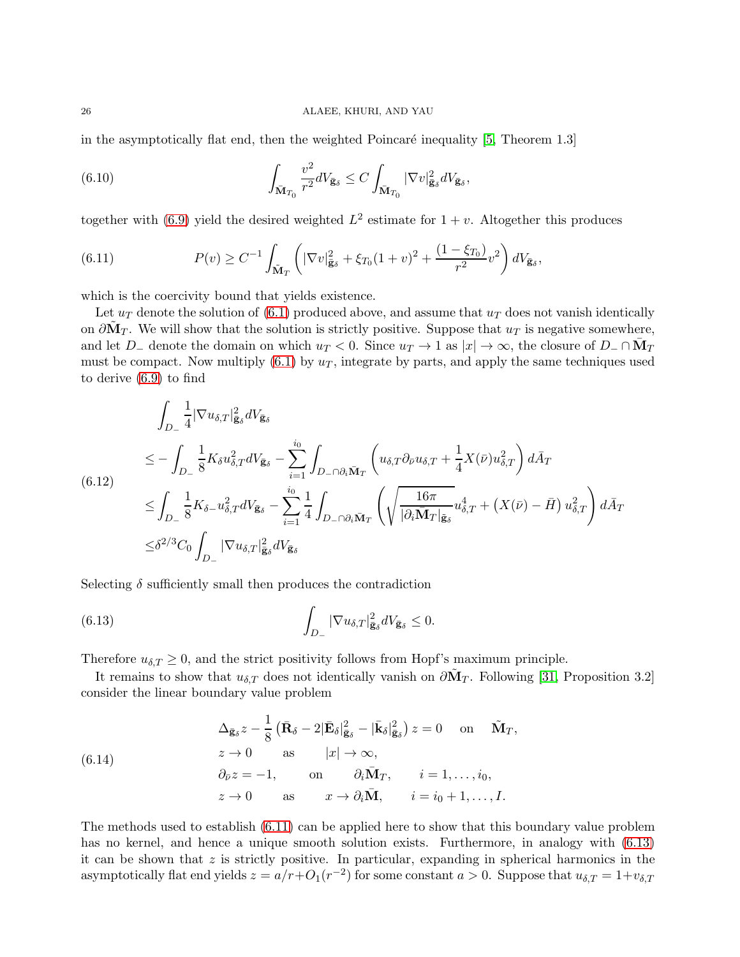in the asymptotically flat end, then the weighted Poincaré inequality  $[5,$  Theorem 1.3]

(6.10) 
$$
\int_{\bar{\mathbf{M}}_{T_0}} \frac{v^2}{r^2} dV_{\bar{\mathbf{g}}_{\delta}} \leq C \int_{\bar{\mathbf{M}}_{T_0}} |\nabla v|_{\bar{\mathbf{g}}_{\delta}}^2 dV_{\bar{\mathbf{g}}_{\delta}},
$$

together with [\(6.9\)](#page-24-0) yield the desired weighted  $L^2$  estimate for  $1+v$ . Altogether this produces

<span id="page-25-0"></span>(6.11) 
$$
P(v) \geq C^{-1} \int_{\tilde{M}_T} \left( |\nabla v|_{\bar{\mathbf{g}}_{\delta}}^2 + \xi_{T_0} (1+v)^2 + \frac{(1-\xi_{T_0})}{r^2} v^2 \right) dV_{\bar{\mathbf{g}}_{\delta}},
$$

which is the coercivity bound that yields existence.

Let  $u_T$  denote the solution of [\(6.1\)](#page-23-0) produced above, and assume that  $u_T$  does not vanish identically on  $\partial \tilde{\mathbf{M}}_T$ . We will show that the solution is strictly positive. Suppose that  $u_T$  is negative somewhere, and let  $D_-\$  denote the domain on which  $u_T < 0$ . Since  $u_T \to 1$  as  $|x| \to \infty$ , the closure of  $D_-\cap \bar{M}_T$ must be compact. Now multiply  $(6.1)$  by  $u<sub>T</sub>$ , integrate by parts, and apply the same techniques used to derive [\(6.9\)](#page-24-0) to find

<span id="page-25-2"></span>
$$
\int_{D_{-}} \frac{1}{4} |\nabla u_{\delta,T}|_{\bar{\mathbf{g}}_{\delta}}^{2} dV_{\bar{\mathbf{g}}_{\delta}}\n\n\leq -\int_{D_{-}} \frac{1}{8} K_{\delta} u_{\delta,T}^{2} dV_{\bar{\mathbf{g}}_{\delta}} - \sum_{i=1}^{i_{0}} \int_{D_{-} \cap \partial_{i} \bar{M}_{T}} \left( u_{\delta,T} \partial_{\bar{\nu}} u_{\delta,T} + \frac{1}{4} X(\bar{\nu}) u_{\delta,T}^{2} \right) d\bar{A}_{T}\n\n\leq \int_{D_{-}} \frac{1}{8} K_{\delta} u_{\delta,T}^{2} dV_{\bar{\mathbf{g}}_{\delta}} - \sum_{i=1}^{i_{0}} \frac{1}{4} \int_{D_{-} \cap \partial_{i} \bar{M}_{T}} \left( \sqrt{\frac{16\pi}{|\partial_{i} \bar{M}_{T}|_{\bar{\mathbf{g}}_{\delta}}} u_{\delta,T}^{4} + (X(\bar{\nu}) - \bar{H}) u_{\delta,T}^{2} \right) d\bar{A}_{T}\n\n\leq \delta^{2/3} C_{0} \int_{D_{-}} |\nabla u_{\delta,T}|_{\bar{\mathbf{g}}_{\delta}}^{2} dV_{\bar{\mathbf{g}}_{\delta}}
$$

Selecting  $\delta$  sufficiently small then produces the contradiction

<span id="page-25-1"></span>(6.13) 
$$
\int_{D_{-}} |\nabla u_{\delta,T}|_{\bar{\mathbf{g}}_{\delta}}^2 dV_{\bar{\mathbf{g}}_{\delta}} \leq 0.
$$

Therefore  $u_{\delta,T} \geq 0$ , and the strict positivity follows from Hopf's maximum principle.

It remains to show that  $u_{\delta,T}$  does not identically vanish on  $\partial \tilde{M}_T$ . Following [\[31,](#page-35-26) Proposition 3.2] consider the linear boundary value problem

(6.14) 
$$
\Delta_{\bar{\mathbf{g}}_{\delta}} z - \frac{1}{8} \left( \bar{\mathbf{R}}_{\delta} - 2 | \bar{\mathbf{E}}_{\delta} |_{\bar{\mathbf{g}}_{\delta}}^2 - | \bar{\mathbf{k}}_{\delta} |_{\bar{\mathbf{g}}_{\delta}}^2 \right) z = 0 \text{ on } \tilde{\mathbf{M}}_T,
$$

$$
z \to 0 \text{ as } |x| \to \infty,
$$

$$
\partial_{\bar{\nu}} z = -1, \text{ on } \partial_i \bar{\mathbf{M}}_T, \quad i = 1, ..., i_0,
$$

$$
z \to 0 \text{ as } x \to \partial_i \bar{\mathbf{M}}, \quad i = i_0 + 1, ..., I.
$$

The methods used to establish [\(6.11\)](#page-25-0) can be applied here to show that this boundary value problem has no kernel, and hence a unique smooth solution exists. Furthermore, in analogy with  $(6.13)$ it can be shown that  $z$  is strictly positive. In particular, expanding in spherical harmonics in the asymptotically flat end yields  $z = a/r + O_1(r^{-2})$  for some constant  $a > 0$ . Suppose that  $u_{\delta,T} = 1+v_{\delta,T}$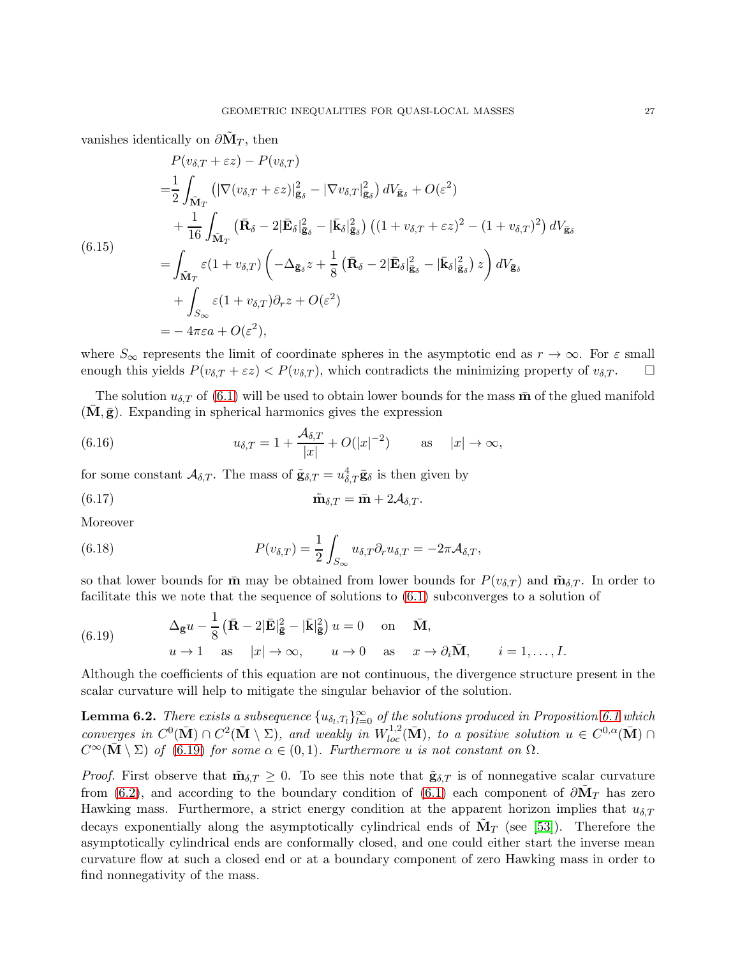vanishes identically on  $\partial \tilde{\mathbf{M}}_T$ , then

$$
P(v_{\delta,T} + \varepsilon z) - P(v_{\delta,T})
$$
\n
$$
= \frac{1}{2} \int_{\tilde{M}_T} \left( |\nabla(v_{\delta,T} + \varepsilon z)|_{\tilde{g}_{\delta}}^2 - |\nabla v_{\delta,T}|_{\tilde{g}_{\delta}}^2 \right) dV_{\tilde{g}_{\delta}} + O(\varepsilon^2)
$$
\n
$$
+ \frac{1}{16} \int_{\tilde{M}_T} \left( \bar{\mathbf{R}}_{\delta} - 2 |\bar{\mathbf{E}}_{\delta}|_{\tilde{g}_{\delta}}^2 - |\bar{k}_{\delta}|_{\tilde{g}_{\delta}}^2 \right) \left( (1 + v_{\delta,T} + \varepsilon z)^2 - (1 + v_{\delta,T})^2 \right) dV_{\tilde{g}_{\delta}}
$$
\n
$$
= \int_{\tilde{M}_T} \varepsilon (1 + v_{\delta,T}) \left( -\Delta_{\tilde{g}_{\delta}} z + \frac{1}{8} \left( \bar{\mathbf{R}}_{\delta} - 2 |\bar{\mathbf{E}}_{\delta}|_{\tilde{g}_{\delta}}^2 - |\bar{k}_{\delta}|_{\tilde{g}_{\delta}}^2 \right) z \right) dV_{\tilde{g}_{\delta}}
$$
\n
$$
+ \int_{S_{\infty}} \varepsilon (1 + v_{\delta,T}) \partial_{\tau} z + O(\varepsilon^2)
$$
\n
$$
= -4\pi \varepsilon a + O(\varepsilon^2),
$$

where  $S_{\infty}$  represents the limit of coordinate spheres in the asymptotic end as  $r \to \infty$ . For  $\varepsilon$  small enough this yields  $P(v_{\delta T} + \varepsilon z) < P(v_{\delta T})$ , which contradicts the minimizing property of  $v_{\delta T}$ . enough this yields  $P(v_{\delta,T} + \varepsilon z) < P(v_{\delta,T})$ , which contradicts the minimizing property of  $v_{\delta,T}$ .

The solution  $u_{\delta,T}$  of [\(6.1\)](#page-23-0) will be used to obtain lower bounds for the mass  $\bar{m}$  of the glued manifold  $(M, \bar{g})$ . Expanding in spherical harmonics gives the expression

(6.16) 
$$
u_{\delta,T} = 1 + \frac{\mathcal{A}_{\delta,T}}{|x|} + O(|x|^{-2}) \quad \text{as} \quad |x| \to \infty,
$$

for some constant  $\mathcal{A}_{\delta,T}$ . The mass of  $\tilde{\mathbf{g}}_{\delta,T} = u_{\delta,T}^4 \bar{\mathbf{g}}_{\delta}$  is then given by

<span id="page-26-3"></span>(6.17) 
$$
\tilde{\mathbf{m}}_{\delta,T} = \bar{\mathbf{m}} + 2\mathcal{A}_{\delta,T}.
$$

Moreover

<span id="page-26-1"></span>(6.18) 
$$
P(v_{\delta,T}) = \frac{1}{2} \int_{S_{\infty}} u_{\delta,T} \partial_r u_{\delta,T} = -2\pi \mathcal{A}_{\delta,T},
$$

so that lower bounds for  $\bar{m}$  may be obtained from lower bounds for  $P(v_{\delta,T})$  and  $\tilde{m}_{\delta,T}$ . In order to facilitate this we note that the sequence of solutions to [\(6.1\)](#page-23-0) subconverges to a solution of

<span id="page-26-0"></span>(6.19) 
$$
\Delta_{\bar{\mathbf{g}}}u - \frac{1}{8} (\bar{\mathbf{R}} - 2|\bar{\mathbf{E}}|^2_{\bar{\mathbf{g}}} - |\bar{\mathbf{k}}|^2_{\bar{\mathbf{g}}}) u = 0 \text{ on } \bar{\mathbf{M}},
$$

$$
u \to 1 \text{ as } |x| \to \infty, \qquad u \to 0 \text{ as } x \to \partial_i \bar{\mathbf{M}}, \qquad i = 1, ..., I.
$$

Although the coefficients of this equation are not continuous, the divergence structure present in the scalar curvature will help to mitigate the singular behavior of the solution.

<span id="page-26-2"></span>**Lemma 6.2.** There exists a subsequence  $\{u_{\delta_l,T_l}\}_{l=0}^{\infty}$  of the solutions produced in Proposition [6.1](#page-23-1) which converges in  $C^0(\bar{M}) \cap C^2(\bar{M} \setminus \Sigma)$ , and weakly in  $W^{1,2}_{loc}(\bar{M})$ , to a positive solution  $u \in C^{0,\alpha}(\bar{M}) \cap$  $C^{\infty}(\bar{\mathbf{M}} \setminus \Sigma)$  of [\(6.19\)](#page-26-0) for some  $\alpha \in (0,1)$ . Furthermore u is not constant on  $\Omega$ .

*Proof.* First observe that  $\tilde{\mathbf{m}}_{\delta,T} \geq 0$ . To see this note that  $\tilde{\mathbf{g}}_{\delta,T}$  is of nonnegative scalar curvature from [\(6.2\)](#page-23-2), and according to the boundary condition of [\(6.1\)](#page-23-0) each component of  $\partial \tilde{\mathbf{M}}_T$  has zero Hawking mass. Furthermore, a strict energy condition at the apparent horizon implies that  $u_{\delta,T}$ decays exponentially along the asymptotically cylindrical ends of  $\tilde{M}_T$  (see [\[53\]](#page-35-10)). Therefore the asymptotically cylindrical ends are conformally closed, and one could either start the inverse mean curvature flow at such a closed end or at a boundary component of zero Hawking mass in order to find nonnegativity of the mass.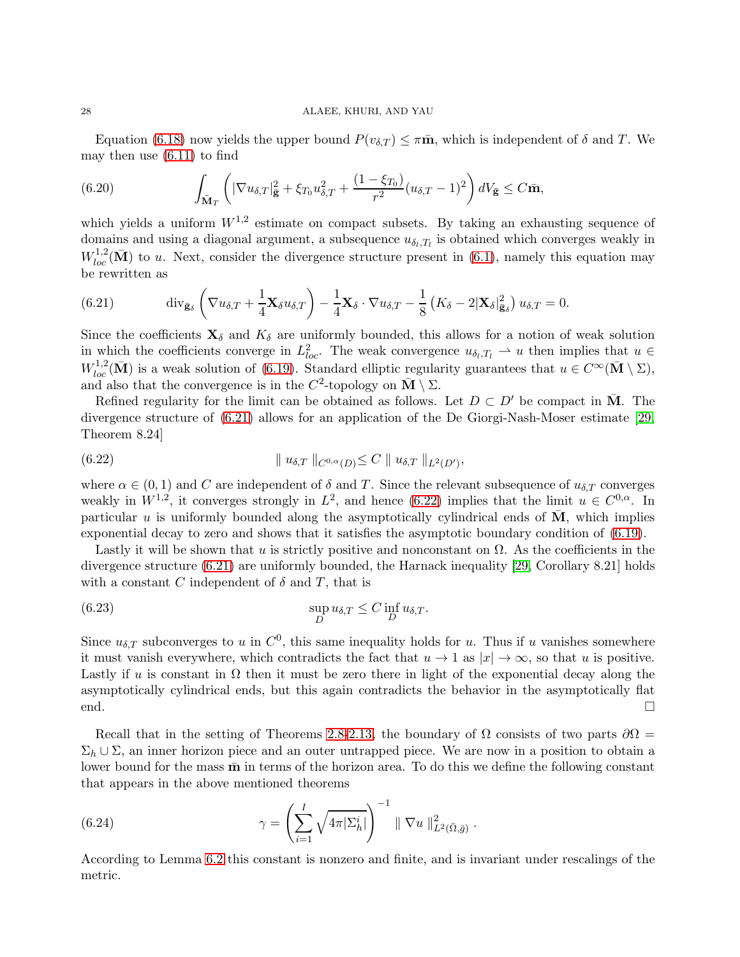Equation [\(6.18\)](#page-26-1) now yields the upper bound  $P(v_{\delta,T}) \leq \pi \bar{m}$ , which is independent of  $\delta$  and T. We may then use  $(6.11)$  to find

(6.20) 
$$
\int_{\tilde{\mathbf{M}}_T} \left( |\nabla u_{\delta,T}|_{\tilde{\mathbf{g}}}^2 + \xi_{T_0} u_{\delta,T}^2 + \frac{(1-\xi_{T_0})}{r^2} (u_{\delta,T} - 1)^2 \right) dV_{\tilde{\mathbf{g}}} \leq C \bar{\mathbf{m}},
$$

which yields a uniform  $W^{1,2}$  estimate on compact subsets. By taking an exhausting sequence of domains and using a diagonal argument, a subsequence  $u_{\delta_l,T_l}$  is obtained which converges weakly in  $W_{loc}^{1,2}(\bar{\mathbf{M}})$  to u. Next, consider the divergence structure present in [\(6.1\)](#page-23-0), namely this equation may be rewritten as

<span id="page-27-1"></span>(6.21) 
$$
\operatorname{div}_{\bar{\mathbf{g}}_{\delta}}\left(\nabla u_{\delta,T}+\frac{1}{4}\mathbf{X}_{\delta}u_{\delta,T}\right)-\frac{1}{4}\mathbf{X}_{\delta}\cdot\nabla u_{\delta,T}-\frac{1}{8}\left(K_{\delta}-2|\mathbf{X}_{\delta}|_{\bar{\mathbf{g}}_{\delta}}^{2}\right)u_{\delta,T}=0.
$$

Since the coefficients  $\mathbf{X}_{\delta}$  and  $K_{\delta}$  are uniformly bounded, this allows for a notion of weak solution in which the coefficients converge in  $L^2_{loc}$ . The weak convergence  $u_{\delta_l,T_l} \rightharpoonup u$  then implies that  $u \in$  $W_{loc}^{1,2}(\bar{\mathbf{M}})$  is a weak solution of [\(6.19\)](#page-26-0). Standard elliptic regularity guarantees that  $u \in C^{\infty}(\bar{\mathbf{M}} \setminus \Sigma)$ , and also that the convergence is in the  $C^2$ -topology on  $\overline{M} \setminus \Sigma$ .

Refined regularity for the limit can be obtained as follows. Let  $D \subset D'$  be compact in  $\overline{M}$ . The divergence structure of [\(6.21\)](#page-27-1) allows for an application of the De Giorgi-Nash-Moser estimate [\[29,](#page-35-29) Theorem 8.24]

<span id="page-27-2"></span>(6.22) 
$$
\| u_{\delta,T} \|_{C^{0,\alpha}(D)} \leq C \| u_{\delta,T} \|_{L^2(D')} ,
$$

where  $\alpha \in (0,1)$  and C are independent of  $\delta$  and T. Since the relevant subsequence of  $u_{\delta,T}$  converges weakly in  $W^{1,2}$ , it converges strongly in  $L^2$ , and hence [\(6.22\)](#page-27-2) implies that the limit  $u \in C^{0,\alpha}$ . In particular u is uniformly bounded along the asymptotically cylindrical ends of  $\overline{M}$ , which implies exponential decay to zero and shows that it satisfies the asymptotic boundary condition of [\(6.19\)](#page-26-0).

Lastly it will be shown that u is strictly positive and nonconstant on  $\Omega$ . As the coefficients in the divergence structure [\(6.21\)](#page-27-1) are uniformly bounded, the Harnack inequality [\[29,](#page-35-29) Corollary 8.21] holds with a constant C independent of  $\delta$  and T, that is

(6.23) 
$$
\sup_D u_{\delta,T} \leq C \inf_D u_{\delta,T}.
$$

Since  $u_{\delta,T}$  subconverges to u in  $C^0$ , this same inequality holds for u. Thus if u vanishes somewhere it must vanish everywhere, which contradicts the fact that  $u \to 1$  as  $|x| \to \infty$ , so that u is positive. Lastly if u is constant in  $\Omega$  then it must be zero there in light of the exponential decay along the asymptotically cylindrical ends, but this again contradicts the behavior in the asymptotically flat end.

Recall that in the setting of Theorems [2.8-](#page-6-1)[2.13,](#page-10-1) the boundary of  $\Omega$  consists of two parts  $\partial\Omega$  =  $\Sigma_h \cup \Sigma$ , an inner horizon piece and an outer untrapped piece. We are now in a position to obtain a lower bound for the mass  $\bar{m}$  in terms of the horizon area. To do this we define the following constant that appears in the above mentioned theorems

<span id="page-27-0"></span>(6.24) 
$$
\gamma = \left( \sum_{i=1}^{I} \sqrt{4\pi |\Sigma_{h}^{i}|} \right)^{-1} \parallel \nabla u \parallel_{L^{2}(\bar{\Omega},\bar{g})}^{2}.
$$

According to Lemma [6.2](#page-26-2) this constant is nonzero and finite, and is invariant under rescalings of the metric.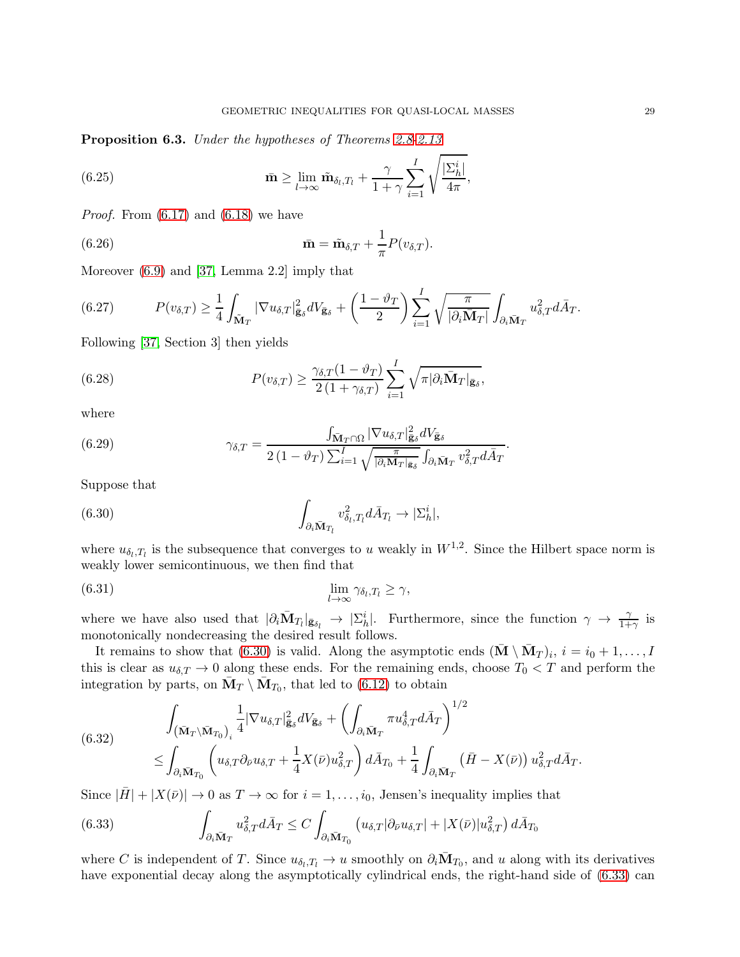<span id="page-28-2"></span>Proposition 6.3. Under the hypotheses of Theorems [2.8](#page-6-1)[-2.13](#page-10-1)

(6.25) 
$$
\bar{\mathbf{m}} \geq \lim_{l \to \infty} \tilde{\mathbf{m}}_{\delta_l, T_l} + \frac{\gamma}{1 + \gamma} \sum_{i=1}^I \sqrt{\frac{|\Sigma_h^i|}{4\pi}},
$$

*Proof.* From  $(6.17)$  and  $(6.18)$  we have

(6.26) 
$$
\bar{\mathbf{m}} = \tilde{\mathbf{m}}_{\delta,T} + \frac{1}{\pi} P(v_{\delta,T}).
$$

Moreover [\(6.9\)](#page-24-0) and [\[37,](#page-35-27) Lemma 2.2] imply that

(6.27) 
$$
P(v_{\delta,T}) \geq \frac{1}{4} \int_{\tilde{\mathbf{M}}_T} |\nabla u_{\delta,T}|_{\tilde{\mathbf{g}}_{\delta}}^2 dV_{\tilde{\mathbf{g}}_{\delta}} + \left(\frac{1-\vartheta_T}{2}\right) \sum_{i=1}^I \sqrt{\frac{\pi}{|\partial_i \tilde{\mathbf{M}}_T|}} \int_{\partial_i \tilde{\mathbf{M}}_T} u_{\delta,T}^2 d\bar{A}_T.
$$

Following [\[37,](#page-35-27) Section 3] then yields

(6.28) 
$$
P(v_{\delta,T}) \geq \frac{\gamma_{\delta,T}(1-\vartheta_T)}{2(1+\gamma_{\delta,T})} \sum_{i=1}^I \sqrt{\pi |\partial_i \bar{\mathbf{M}}_T|_{\bar{\mathbf{g}}_{\delta}}},
$$

where

(6.29) 
$$
\gamma_{\delta,T} = \frac{\int_{\bar{\mathbf{M}}_T \cap \Omega} |\nabla u_{\delta,T}|^2_{\bar{\mathbf{g}}_{\delta}} dV_{\bar{\mathbf{g}}_{\delta}}}{2(1 - \vartheta_T) \sum_{i=1}^I \sqrt{\frac{\pi}{|\partial_i \mathbf{M}_T| \mathbf{g}_{\delta}}} \int_{\partial_i \bar{\mathbf{M}}_T} v_{\delta,T}^2 d\bar{A}_T}.
$$

Suppose that

<span id="page-28-0"></span>(6.30) 
$$
\int_{\partial_i \bar{\mathbf{M}}_{T_l}} v_{\delta_l, T_l}^2 d\bar{A}_{T_l} \to |\Sigma_h^i|,
$$

where  $u_{\delta_l,T_l}$  is the subsequence that converges to u weakly in  $W^{1,2}$ . Since the Hilbert space norm is weakly lower semicontinuous, we then find that

$$
\lim_{l \to \infty} \gamma_{\delta_l, T_l} \ge \gamma,
$$

where we have also used that  $|\partial_i \bar{M}_{T_l}|_{\bar{\mathbf{g}}_{\delta_l}} \to |\Sigma_h^i|$ . Furthermore, since the function  $\gamma \to \frac{\gamma}{1+\gamma}$  is monotonically nondecreasing the desired result follows.

It remains to show that [\(6.30\)](#page-28-0) is valid. Along the asymptotic ends  $(\bar{\mathbf{M}} \setminus \bar{\mathbf{M}}_T)_i$ ,  $i = i_0 + 1, \ldots, I$ this is clear as  $u_{\delta,T} \to 0$  along these ends. For the remaining ends, choose  $T_0 < T$  and perform the integration by parts, on  $\bar{M}_T \setminus \bar{M}_{T_0}$ , that led to [\(6.12\)](#page-25-2) to obtain

<span id="page-28-3"></span>(6.32) 
$$
\int_{(\bar{\mathbf{M}}_T \setminus \bar{\mathbf{M}}_{T_0})_i} \frac{1}{4} |\nabla u_{\delta,T}|_{\bar{\mathbf{g}}_{\delta}}^2 dV_{\bar{\mathbf{g}}_{\delta}} + \left( \int_{\partial_i \bar{\mathbf{M}}_T} \pi u_{\delta,T}^4 d\bar{A}_T \right)^{1/2} \leq \int_{\partial_i \bar{\mathbf{M}}_{T_0}} \left( u_{\delta,T} \partial_{\bar{\nu}} u_{\delta,T} + \frac{1}{4} X(\bar{\nu}) u_{\delta,T}^2 \right) d\bar{A}_{T_0} + \frac{1}{4} \int_{\partial_i \bar{\mathbf{M}}_T} \left( \bar{H} - X(\bar{\nu}) \right) u_{\delta,T}^2 d\bar{A}_T.
$$

Since  $|\bar{H}| + |X(\bar{\nu})| \to 0$  as  $T \to \infty$  for  $i = 1, \ldots, i_0$ , Jensen's inequality implies that

<span id="page-28-1"></span>(6.33) 
$$
\int_{\partial_i \bar{\mathbf{M}}_T} u_{\delta,T}^2 d\bar{A}_T \leq C \int_{\partial_i \bar{\mathbf{M}}_{T_0}} \left( u_{\delta,T} |\partial_{\bar{\nu}} u_{\delta,T}| + |X(\bar{\nu})| u_{\delta,T}^2 \right) d\bar{A}_{T_0}
$$

where C is independent of T. Since  $u_{\delta_l,T_l} \to u$  smoothly on  $\partial_i \bar{M}_{T_0}$ , and u along with its derivatives have exponential decay along the asymptotically cylindrical ends, the right-hand side of  $(6.33)$  can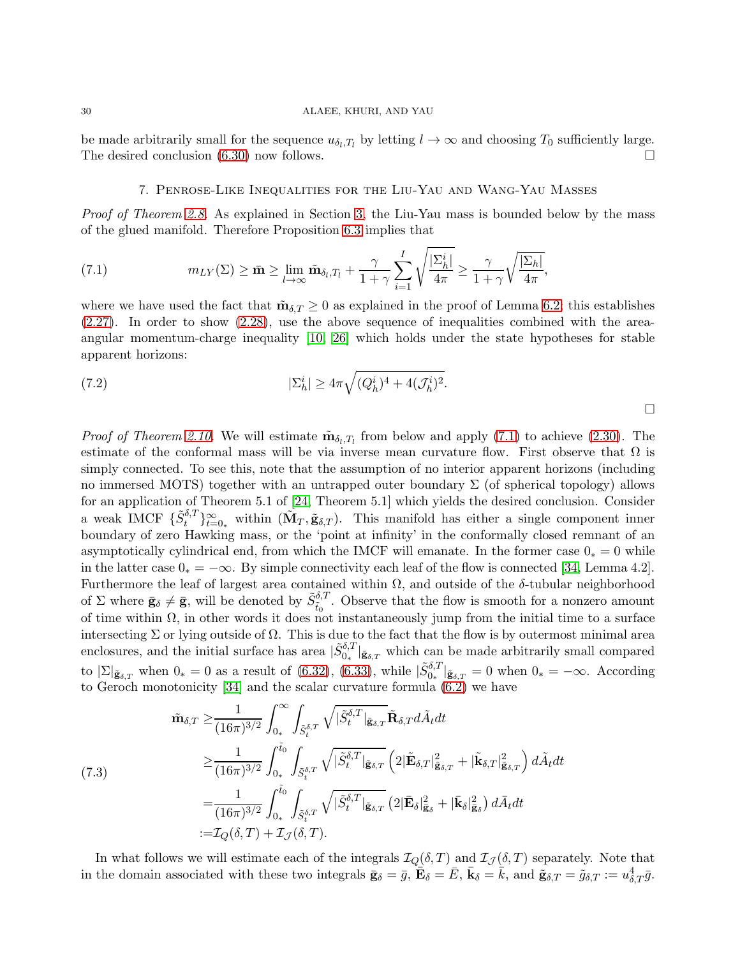<span id="page-29-0"></span>be made arbitrarily small for the sequence  $u_{\delta_l,T_l}$  by letting  $l \to \infty$  and choosing  $T_0$  sufficiently large. The desired conclusion  $(6.30)$  now follows.

## <span id="page-29-1"></span>7. Penrose-Like Inequalities for the Liu-Yau and Wang-Yau Masses

Proof of Theorem [2.8.](#page-6-1) As explained in Section [3,](#page-10-0) the Liu-Yau mass is bounded below by the mass of the glued manifold. Therefore Proposition [6.3](#page-28-2) implies that

(7.1) 
$$
m_{LY}(\Sigma) \geq \bar{m} \geq \lim_{l \to \infty} \tilde{m}_{\delta_l, T_l} + \frac{\gamma}{1 + \gamma} \sum_{i=1}^I \sqrt{\frac{|\Sigma_h^i|}{4\pi}} \geq \frac{\gamma}{1 + \gamma} \sqrt{\frac{|\Sigma_h|}{4\pi}},
$$

where we have used the fact that  $\tilde{\mathbf{m}}_{\delta,T} \geq 0$  as explained in the proof of Lemma [6.2;](#page-26-2) this establishes  $(2.27)$ . In order to show  $(2.28)$ , use the above sequence of inequalities combined with the areaangular momentum-charge inequality [\[10,](#page-34-17) [26\]](#page-34-19) which holds under the state hypotheses for stable apparent horizons:

(7.2) 
$$
|\Sigma_h^i| \ge 4\pi \sqrt{(Q_h^i)^4 + 4(J_h^i)^2}.
$$

*Proof of Theorem [2.10.](#page-7-4)* We will estimate  $\tilde{\mathbf{m}}_{\delta_l,T_l}$  from below and apply [\(7.1\)](#page-29-1) to achieve [\(2.30\)](#page-7-3). The estimate of the conformal mass will be via inverse mean curvature flow. First observe that  $\Omega$  is simply connected. To see this, note that the assumption of no interior apparent horizons (including no immersed MOTS) together with an untrapped outer boundary  $\Sigma$  (of spherical topology) allows for an application of Theorem 5.1 of [\[24,](#page-34-26) Theorem 5.1] which yields the desired conclusion. Consider a weak IMCF  $\{\tilde{S}^{\delta,T}_t\}_{t=0_*}^{\infty}$  within  $(\tilde{\mathbf{M}}_T, \tilde{\mathbf{g}}_{\delta,T})$ . This manifold has either a single component inner boundary of zero Hawking mass, or the 'point at infinity' in the conformally closed remnant of an asymptotically cylindrical end, from which the IMCF will emanate. In the former case  $0<sub>∗</sub> = 0$  while in the latter case  $0_* = -\infty$ . By simple connectivity each leaf of the flow is connected [\[34,](#page-35-5) Lemma 4.2]. Furthermore the leaf of largest area contained within  $\Omega$ , and outside of the  $\delta$ -tubular neighborhood of  $\Sigma$  where  $\bar{\mathbf{g}}_{\delta} \neq \bar{\mathbf{g}}$ , will be denoted by  $\tilde{S}_{\tilde{t}_0}^{\delta,T}$ . Observe that the flow is smooth for a nonzero amount of time within  $\Omega$ , in other words it does not instantaneously jump from the initial time to a surface intersecting  $\Sigma$  or lying outside of  $\Omega$ . This is due to the fact that the flow is by outermost minimal area enclosures, and the initial surface has area  $|\tilde{S}_{0*}^{\delta,T}|_{\tilde{\mathbf{g}}_{\delta,T}}$  which can be made arbitrarily small compared to  $|\Sigma|_{\tilde{\mathbf{g}}_{\delta,T}}$  when  $0_* = 0$  as a result of [\(6.32\)](#page-28-3), [\(6.33\)](#page-28-1), while  $|\tilde{S}_{0_*}^{\delta,T}|_{\tilde{\mathbf{g}}_{\delta,T}} = 0$  when  $0_* = -\infty$ . According to Geroch monotonicity [\[34\]](#page-35-5) and the scalar curvature formula [\(6.2\)](#page-23-2) we have

<span id="page-29-2"></span>
$$
\tilde{\mathbf{m}}_{\delta,T} \geq \frac{1}{(16\pi)^{3/2}} \int_{0_*}^{\infty} \int_{\tilde{S}_t^{\delta,T}} \sqrt{|\tilde{S}_t^{\delta,T}|_{\tilde{\mathbf{g}}_{\delta,T}} \tilde{\mathbf{R}}_{\delta,T} d\tilde{A}_t dt}
$$
\n
$$
\geq \frac{1}{(16\pi)^{3/2}} \int_{0_*}^{\tilde{t}_0} \int_{\tilde{S}_t^{\delta,T}} \sqrt{|\tilde{S}_t^{\delta,T}|_{\tilde{\mathbf{g}}_{\delta,T}}} \left(2|\tilde{\mathbf{E}}_{\delta,T}|_{\tilde{\mathbf{g}}_{\delta,T}}^2 + |\tilde{\mathbf{k}}_{\delta,T}|_{\tilde{\mathbf{g}}_{\delta,T}}^2\right) d\tilde{A}_t dt
$$
\n
$$
= \frac{1}{(16\pi)^{3/2}} \int_{0_*}^{\tilde{t}_0} \int_{\tilde{S}_t^{\delta,T}} \sqrt{|\tilde{S}_t^{\delta,T}|_{\tilde{\mathbf{g}}_{\delta,T}}} \left(2|\bar{\mathbf{E}}_{\delta}|_{\tilde{\mathbf{g}}_{\delta}}^2 + |\bar{\mathbf{k}}_{\delta}|_{\tilde{\mathbf{g}}_{\delta}}^2\right) d\tilde{A}_t dt
$$
\n
$$
:= \mathcal{I}_Q(\delta,T) + \mathcal{I}_{\mathcal{J}}(\delta,T).
$$

In what follows we will estimate each of the integrals  $\mathcal{I}_Q(\delta,T)$  and  $\mathcal{I}_{\mathcal{J}}(\delta,T)$  separately. Note that in the domain associated with these two integrals  $\bar{\mathbf{g}}_{\delta} = \bar{g}$ ,  $\bar{\mathbf{E}}_{\delta} = \bar{E}$ ,  $\bar{\mathbf{k}}_{\delta} = \bar{k}$ , and  $\tilde{\mathbf{g}}_{\delta,T} = \tilde{g}_{\delta,T} := u_{\delta,T}^4 \bar{g}$ .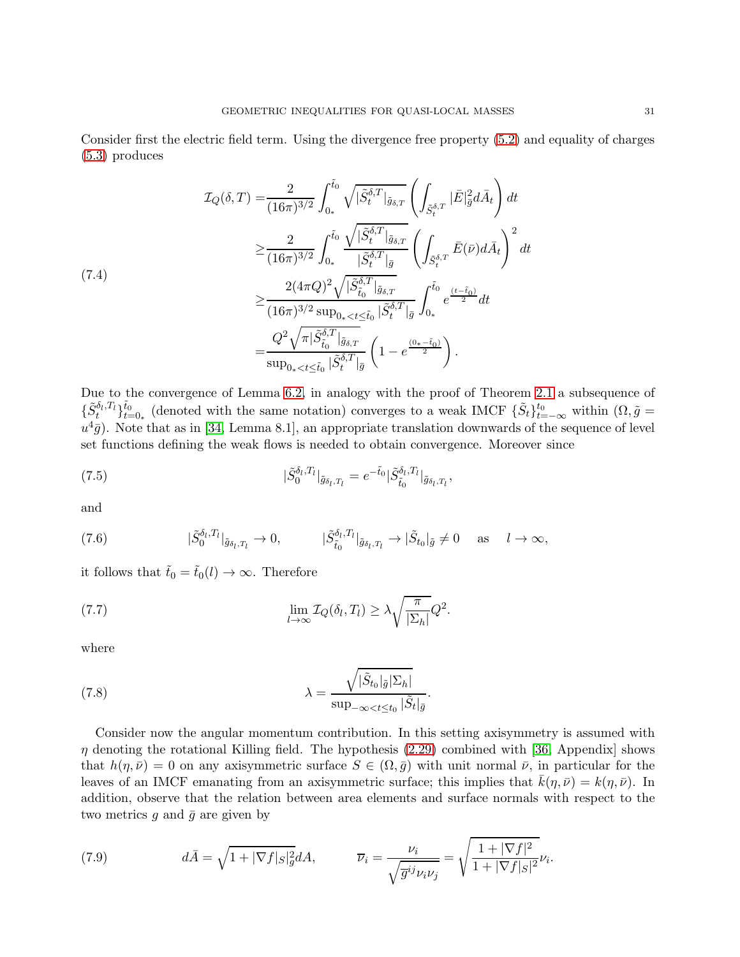Consider first the electric field term. Using the divergence free property [\(5.2\)](#page-18-1) and equality of charges [\(5.3\)](#page-18-0) produces

$$
\mathcal{I}_{Q}(\delta, T) = \frac{2}{(16\pi)^{3/2}} \int_{0_{*}}^{\tilde{t}_{0}} \sqrt{|\tilde{S}_{t}^{\delta, T}|_{\tilde{g}_{\delta, T}}} \left( \int_{\tilde{S}_{t}^{\delta, T}} |\bar{E}|_{\tilde{g}}^{2} d\bar{A}_{t} \right) dt
$$
\n
$$
\geq \frac{2}{(16\pi)^{3/2}} \int_{0_{*}}^{\tilde{t}_{0}} \frac{\sqrt{|\tilde{S}_{t}^{\delta, T}|_{\tilde{g}_{\delta, T}}}}{|\tilde{S}_{t}^{\delta, T}|_{\tilde{g}}} \left( \int_{\tilde{S}_{t}^{\delta, T}} \bar{E}(\bar{\nu}) d\bar{A}_{t} \right)^{2} dt
$$
\n
$$
\geq \frac{2(4\pi Q)^{2} \sqrt{|\tilde{S}_{t_{0}}^{\delta, T}|_{\tilde{g}_{\delta, T}}}}{(16\pi)^{3/2} \sup_{0_{*} < t \leq \tilde{t}_{0}} |\tilde{S}_{t}^{\delta, T}|_{\tilde{g}}} \int_{0_{*}}^{\tilde{t}_{0}} e^{\frac{(t - \tilde{t}_{0})}{2}} dt
$$
\n
$$
= \frac{Q^{2} \sqrt{\pi |\tilde{S}_{t_{0}}^{\delta, T}|_{\tilde{g}_{\delta, T}}}}{\sup_{0_{*} < t \leq \tilde{t}_{0}} |\tilde{S}_{t}^{\delta, T}|_{\tilde{g}}} \left( 1 - e^{\frac{(0_{*} - \tilde{t}_{0})}{2}} \right).
$$

Due to the convergence of Lemma [6.2,](#page-26-2) in analogy with the proof of Theorem [2.1](#page-3-2) a subsequence of  $\{\tilde{S}_{t}^{\delta_{l},T_{l}}\}_{t=0_{\ast}}^{\tilde{t}_{0}}$  (denoted with the same notation) converges to a weak IMCF  $\{\tilde{S}_{t}\}_{t=-\infty}^{t_{0}}$  within  $(\Omega,\tilde{g})$  $u^4\bar{g}$ ). Note that as in [\[34,](#page-35-5) Lemma 8.1], an appropriate translation downwards of the sequence of level set functions defining the weak flows is needed to obtain convergence. Moreover since

(7.5) 
$$
|\tilde{S}_{0}^{\delta_{l},T_{l}}|_{\tilde{g}_{\delta_{l},T_{l}}}=e^{-\tilde{t}_{0}}|\tilde{S}_{\tilde{t}_{0}}^{\delta_{l},T_{l}}|_{\tilde{g}_{\delta_{l},T_{l}}},
$$

and

(7.6) 
$$
|\tilde{S}_0^{\delta_l, T_l}|_{\tilde{g}_{\delta_l, T_l}} \to 0, \qquad |\tilde{S}_{{\tilde{t}}_0}^{\delta_l, T_l}|_{\tilde{g}_{\delta_l, T_l}} \to |\tilde{S}_{{t}_0}|_{\tilde{g}} \neq 0 \quad \text{as} \quad l \to \infty,
$$

it follows that  $\tilde{t}_0 = \tilde{t}_0(l) \rightarrow \infty$ . Therefore

<span id="page-30-1"></span>(7.7) 
$$
\lim_{l \to \infty} \mathcal{I}_Q(\delta_l, T_l) \geq \lambda \sqrt{\frac{\pi}{|\Sigma_h|}} Q^2.
$$

where

<span id="page-30-0"></span>(7.8) 
$$
\lambda = \frac{\sqrt{|\tilde{S}_{t_0}|\tilde{g}|\Sigma_h|}}{\sup_{-\infty < t \le t_0} |\tilde{S}_t|_{\tilde{g}}}.
$$

Consider now the angular momentum contribution. In this setting axisymmetry is assumed with  $\eta$  denoting the rotational Killing field. The hypothesis [\(2.29\)](#page-7-2) combined with [\[36,](#page-35-2) Appendix] shows that  $h(\eta, \bar{\nu}) = 0$  on any axisymmetric surface  $S \in (\Omega, \bar{g})$  with unit normal  $\bar{\nu}$ , in particular for the leaves of an IMCF emanating from an axisymmetric surface; this implies that  $k(\eta, \bar{\nu}) = k(\eta, \bar{\nu})$ . In addition, observe that the relation between area elements and surface normals with respect to the two metrics  $g$  and  $\bar{g}$  are given by

(7.9) 
$$
d\bar{A} = \sqrt{1+|\nabla f|_S|^2_g}dA, \qquad \overline{\nu}_i = \frac{\nu_i}{\sqrt{\overline{g}^{ij}\nu_i\nu_j}} = \sqrt{\frac{1+|\nabla f|^2}{1+|\nabla f|_S|^2}}\nu_i.
$$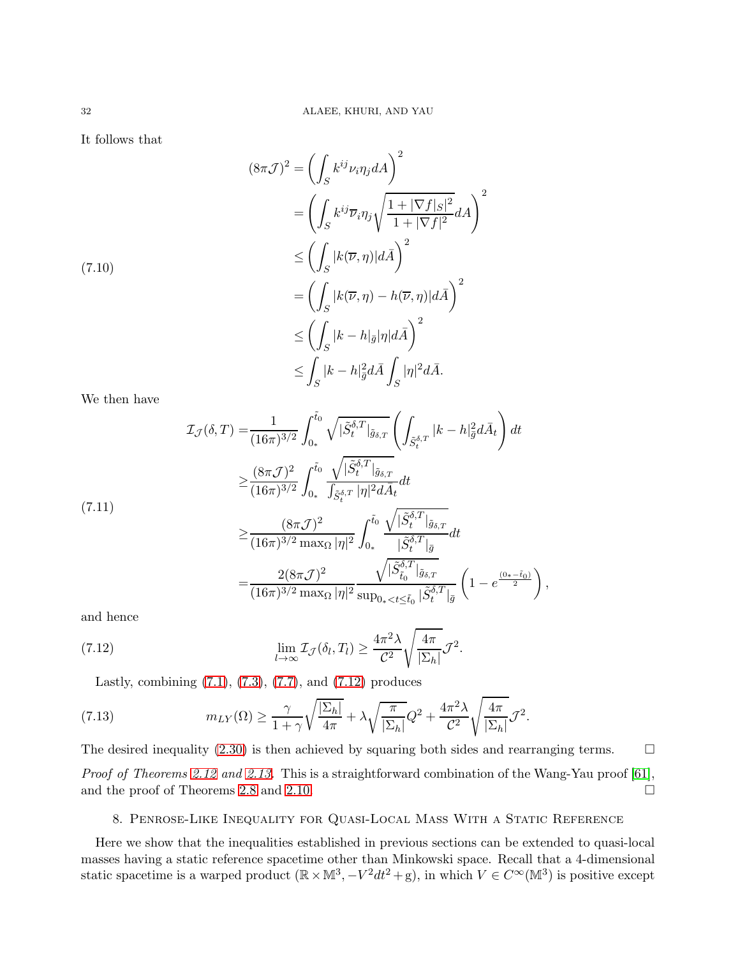It follows that

$$
(8\pi\mathcal{J})^2 = \left(\int_S k^{ij} \nu_i \eta_j dA\right)^2
$$
  
= 
$$
\left(\int_S k^{ij} \overline{\nu}_i \eta_j \sqrt{\frac{1+|\nabla f|S|^2}{1+|\nabla f|^2}} dA\right)^2
$$
  

$$
\leq \left(\int_S |k(\overline{\nu}, \eta)| d\overline{A}\right)^2
$$
  
= 
$$
\left(\int_S |k(\overline{\nu}, \eta) - h(\overline{\nu}, \eta)| d\overline{A}\right)^2
$$
  

$$
\leq \left(\int_S |k - h|_{\overline{g}} |\eta| d\overline{A}\right)^2
$$
  

$$
\leq \int_S |k - h|_{\overline{g}}^2 d\overline{A} \int_S |\eta|^2 d\overline{A}.
$$

We then have

$$
\mathcal{I}_{\mathcal{J}}(\delta, T) = \frac{1}{(16\pi)^{3/2}} \int_{0_*}^{\tilde{t}_0} \sqrt{|\tilde{S}_t^{\delta, T}|_{\tilde{g}_{\delta, T}}} \left( \int_{\tilde{S}_t^{\delta, T}} |k - h|_{\tilde{g}}^2 d\tilde{A}_t \right) dt
$$
  
\n
$$
\geq \frac{(8\pi \mathcal{J})^2}{(16\pi)^{3/2}} \int_{0_*}^{\tilde{t}_0} \frac{\sqrt{|\tilde{S}_t^{\delta, T}|_{\tilde{g}_{\delta, T}}}}{\int_{\tilde{S}_t^{\delta, T}} |\eta|^2 d\tilde{A}_t} dt
$$
  
\n(7.11)  
\n
$$
\geq \frac{(8\pi \mathcal{J})^2}{(16\pi)^{3/2} \max_{\Omega} |\eta|^2} \int_{0_*}^{\tilde{t}_0} \frac{\sqrt{|\tilde{S}_t^{\delta, T}|_{\tilde{g}_{\delta, T}}}}{|\tilde{S}_t^{\delta, T}|_{\tilde{g}}} dt
$$

<span id="page-31-1"></span>
$$
\begin{split} & \leq (16\pi)^{3/2} \max_{\Omega} |\eta|^2 \int_{0_*} \frac{|\tilde{S}_t^{\delta,T}|_{\bar{g}}}{|\tilde{S}_{t_0}^{\delta,T}|_{\tilde{g}_{\delta,T}}} \, d\mu \\ &= \frac{2(8\pi\mathcal{J})^2}{(16\pi)^{3/2} \max_{\Omega} |\eta|^2} \frac{\sqrt{|\tilde{S}_{t_0}^{\delta,T}|_{\tilde{g}_{\delta,T}}}}{\sup_{0_* < t \leq \tilde{t}_0} |\tilde{S}_t^{\delta,T}|_{\bar{g}}} \left(1 - e^{\frac{(0_* - \tilde{t}_0)}{2}}\right), \end{split}
$$

and hence

(7.12) 
$$
\lim_{l \to \infty} \mathcal{I}_{\mathcal{J}}(\delta_l, T_l) \geq \frac{4\pi^2 \lambda}{\mathcal{C}^2} \sqrt{\frac{4\pi}{|\Sigma_h|}} \mathcal{J}^2.
$$

Lastly, combining  $(7.1)$ ,  $(7.3)$ ,  $(7.7)$ , and  $(7.12)$  produces

(7.13) 
$$
m_{LY}(\Omega) \geq \frac{\gamma}{1+\gamma} \sqrt{\frac{|\Sigma_h|}{4\pi}} + \lambda \sqrt{\frac{\pi}{|\Sigma_h|}} Q^2 + \frac{4\pi^2 \lambda}{\mathcal{C}^2} \sqrt{\frac{4\pi}{|\Sigma_h|}} \mathcal{J}^2.
$$

The desired inequality  $(2.30)$  is then achieved by squaring both sides and rearranging terms.  $\Box$ Proof of Theorems [2.12](#page-9-0) and [2.13.](#page-10-1) This is a straightforward combination of the Wang-Yau proof [\[61\]](#page-36-1), and the proof of Theorems [2.8](#page-6-1) and [2.10.](#page-7-4)  $\Box$ 

# <span id="page-31-0"></span>8. Penrose-Like Inequality for Quasi-Local Mass With a Static Reference

Here we show that the inequalities established in previous sections can be extended to quasi-local masses having a static reference spacetime other than Minkowski space. Recall that a 4-dimensional static spacetime is a warped product  $(\mathbb{R} \times \mathbb{M}^3, -V^2 dt^2 + g)$ , in which  $V \in C^{\infty}(\mathbb{M}^3)$  is positive except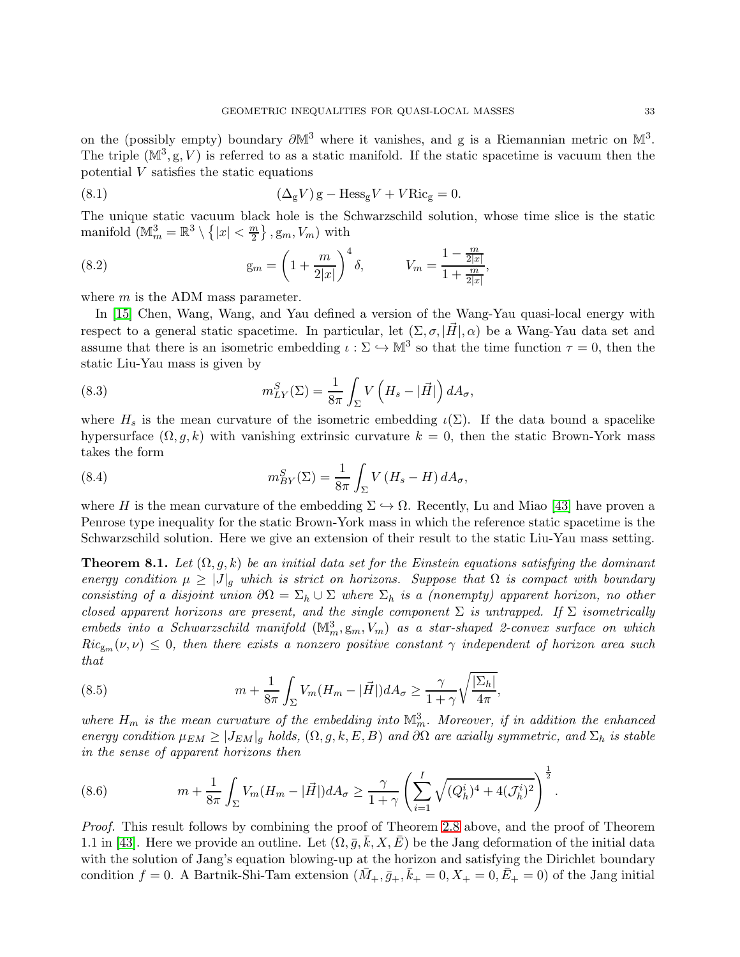on the (possibly empty) boundary  $\partial M^3$  where it vanishes, and g is a Riemannian metric on  $M^3$ . The triple  $(M^3, g, V)$  is referred to as a static manifold. If the static spacetime is vacuum then the potential  $V$  satisfies the static equations

(8.1) 
$$
(\Delta_{g}V) g - \text{Hess}_{g}V + V \text{Ric}_{g} = 0.
$$

The unique static vacuum black hole is the Schwarzschild solution, whose time slice is the static manifold  $(\mathbb{M}_m^3 = \mathbb{R}^3 \setminus \{|x| < \frac{m}{2}\})$  $\left\{\frac{m}{2}\right\}$ ,  $\mathbf{g}_m$ ,  $V_m$ ) with

(8.2) 
$$
g_m = \left(1 + \frac{m}{2|x|}\right)^4 \delta, \qquad V_m = \frac{1 - \frac{m}{2|x|}}{1 + \frac{m}{2|x|}},
$$

where  $m$  is the ADM mass parameter.

In [\[15\]](#page-34-8) Chen, Wang, Wang, and Yau defined a version of the Wang-Yau quasi-local energy with respect to a general static spacetime. In particular, let  $(\Sigma, \sigma, |\vec{H}|, \alpha)$  be a Wang-Yau data set and assume that there is an isometric embedding  $\iota : \Sigma \hookrightarrow \mathbb{M}^3$  so that the time function  $\tau = 0$ , then the static Liu-Yau mass is given by

(8.3) 
$$
m_{LY}^S(\Sigma) = \frac{1}{8\pi} \int_{\Sigma} V\left(H_s - |\vec{H}|\right) dA_{\sigma},
$$

where  $H_s$  is the mean curvature of the isometric embedding  $\iota(\Sigma)$ . If the data bound a spacelike hypersurface  $(\Omega, g, k)$  with vanishing extrinsic curvature  $k = 0$ , then the static Brown-York mass takes the form

(8.4) 
$$
m_{BY}^S(\Sigma) = \frac{1}{8\pi} \int_{\Sigma} V(H_s - H) dA_{\sigma},
$$

where H is the mean curvature of the embedding  $\Sigma \hookrightarrow \Omega$ . Recently, Lu and Miao [\[43\]](#page-35-11) have proven a Penrose type inequality for the static Brown-York mass in which the reference static spacetime is the Schwarzschild solution. Here we give an extension of their result to the static Liu-Yau mass setting.

<span id="page-32-2"></span>**Theorem 8.1.** Let  $(\Omega, g, k)$  be an initial data set for the Einstein equations satisfying the dominant energy condition  $\mu \geq |J|_q$  which is strict on horizons. Suppose that  $\Omega$  is compact with boundary consisting of a disjoint union  $\partial\Omega = \Sigma_h \cup \Sigma$  where  $\Sigma_h$  is a (nonempty) apparent horizon, no other closed apparent horizons are present, and the single component  $\Sigma$  is untrapped. If  $\Sigma$  isometrically embeds into a Schwarzschild manifold  $(\mathbb{M}^3_m, g_m, V_m)$  as a star-shaped 2-convex surface on which  $Ric_{g_m}(\nu, \nu) \leq 0$ , then there exists a nonzero positive constant  $\gamma$  independent of horizon area such that

<span id="page-32-0"></span>(8.5) 
$$
m + \frac{1}{8\pi} \int_{\Sigma} V_m (H_m - |\vec{H}|) dA_{\sigma} \ge \frac{\gamma}{1 + \gamma} \sqrt{\frac{|\Sigma_h|}{4\pi}},
$$

where  $H_m$  is the mean curvature of the embedding into  $\mathbb{M}_m^3$ . Moreover, if in addition the enhanced energy condition  $\mu_{EM} \geq |J_{EM}|_g$  holds,  $(\Omega, g, k, E, B)$  and  $\partial\Omega$  are axially symmetric, and  $\Sigma_h$  is stable in the sense of apparent horizons then

<span id="page-32-1"></span>(8.6) 
$$
m + \frac{1}{8\pi} \int_{\Sigma} V_m (H_m - |\vec{H}|) dA_{\sigma} \ge \frac{\gamma}{1+\gamma} \left( \sum_{i=1}^I \sqrt{(Q_h^i)^4 + 4(J_h^i)^2} \right)^{\frac{1}{2}}.
$$

Proof. This result follows by combining the proof of Theorem [2.8](#page-6-1) above, and the proof of Theorem 1.1 in [\[43\]](#page-35-11). Here we provide an outline. Let  $( \Omega, \bar{g}, \bar{k}, X, \bar{E} )$  be the Jang deformation of the initial data with the solution of Jang's equation blowing-up at the horizon and satisfying the Dirichlet boundary condition  $f = 0$ . A Bartnik-Shi-Tam extension  $(\bar{M}_+, \bar{g}_+, \bar{k}_+ = 0, X_+ = 0, \bar{E}_+ = 0)$  of the Jang initial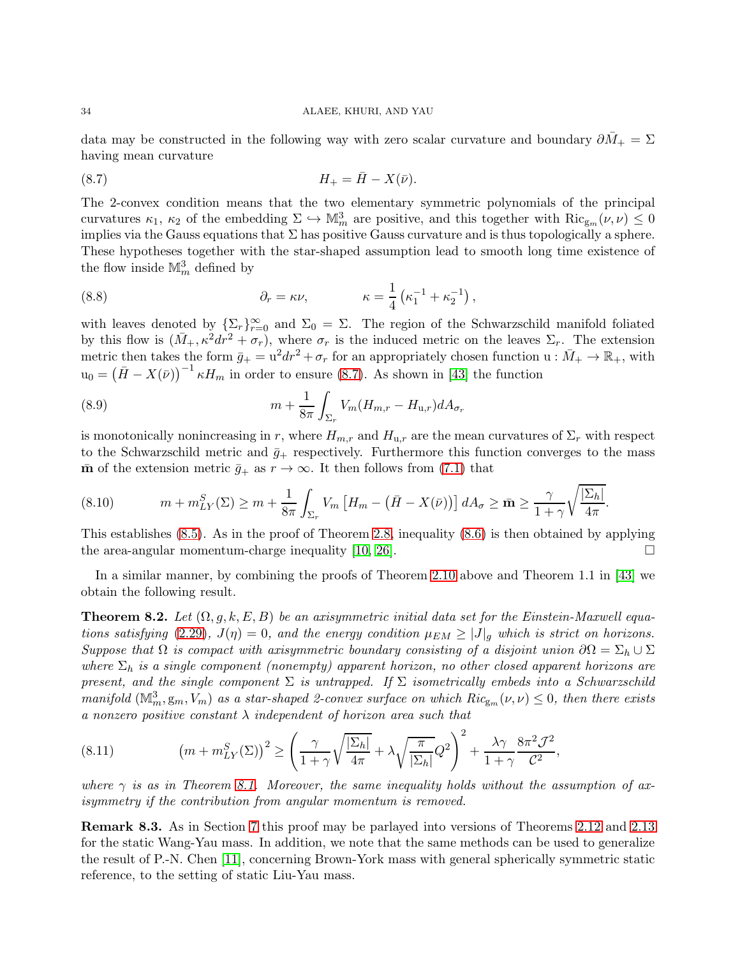data may be constructed in the following way with zero scalar curvature and boundary  $\partial M_+ = \Sigma$ having mean curvature

<span id="page-33-0"></span>
$$
(8.7) \t\t\t H_+ = \bar{H} - X(\bar{\nu}).
$$

The 2-convex condition means that the two elementary symmetric polynomials of the principal curvatures  $\kappa_1, \kappa_2$  of the embedding  $\Sigma \hookrightarrow \mathbb{M}_m^3$  are positive, and this together with  $\text{Ric}_{g_m}(\nu, \nu) \leq 0$ implies via the Gauss equations that  $\Sigma$  has positive Gauss curvature and is thus topologically a sphere. These hypotheses together with the star-shaped assumption lead to smooth long time existence of the flow inside  $\mathbb{M}_m^3$  defined by

(8.8) 
$$
\partial_r = \kappa \nu, \qquad \kappa = \frac{1}{4} \left( \kappa_1^{-1} + \kappa_2^{-1} \right),
$$

with leaves denoted by  $\{\Sigma_r\}_{r=0}^{\infty}$  and  $\Sigma_0 = \Sigma$ . The region of the Schwarzschild manifold foliated by this flow is  $(\bar{M}_+, \kappa^2 dr^2 + \sigma_r)$ , where  $\sigma_r$  is the induced metric on the leaves  $\Sigma_r$ . The extension metric then takes the form  $\bar{g}_+ = u^2 dr^2 + \sigma_r$  for an appropriately chosen function  $u : \bar{M}_+ \to \mathbb{R}_+$ , with  $u_0 = (\bar{H} - X(\bar{\nu}))^{-1} \kappa H_m$  in order to ensure [\(8.7\)](#page-33-0). As shown in [\[43\]](#page-35-11) the function

(8.9) 
$$
m + \frac{1}{8\pi} \int_{\Sigma_r} V_m(H_{m,r} - H_{u,r}) dA_{\sigma_r}
$$

is monotonically nonincreasing in r, where  $H_{m,r}$  and  $H_{u,r}$  are the mean curvatures of  $\Sigma_r$  with respect to the Schwarzschild metric and  $\bar{g}_+$  respectively. Furthermore this function converges to the mass  $\bar{m}$  of the extension metric  $\bar{g}_+$  as  $r \to \infty$ . It then follows from [\(7.1\)](#page-29-1) that

$$
(8.10) \t m + m_{LY}^S(\Sigma) \ge m + \frac{1}{8\pi} \int_{\Sigma_r} V_m \left[ H_m - \left( \bar{H} - X(\bar{\nu}) \right) \right] dA_{\sigma} \ge \bar{\mathbf{m}} \ge \frac{\gamma}{1 + \gamma} \sqrt{\frac{|\Sigma_h|}{4\pi}}.
$$

This establishes [\(8.5\)](#page-32-0). As in the proof of Theorem [2.8,](#page-6-1) inequality [\(8.6\)](#page-32-1) is then obtained by applying the area-angular momentum-charge inequality [\[10,](#page-34-17) [26\]](#page-34-19).  $\Box$ 

In a similar manner, by combining the proofs of Theorem [2.10](#page-7-4) above and Theorem 1.1 in [\[43\]](#page-35-11) we obtain the following result.

**Theorem 8.2.** Let  $(\Omega, g, k, E, B)$  be an axisymmetric initial data set for the Einstein-Maxwell equa-tions satisfying [\(2.29\)](#page-7-2),  $J(\eta) = 0$ , and the energy condition  $\mu_{EM} \geq |J|_q$  which is strict on horizons. Suppose that  $\Omega$  is compact with axisymmetric boundary consisting of a disjoint union  $\partial\Omega = \Sigma_h \cup \Sigma$ where  $\Sigma_h$  is a single component (nonempty) apparent horizon, no other closed apparent horizons are present, and the single component  $\Sigma$  is untrapped. If  $\Sigma$  isometrically embeds into a Schwarzschild manifold  $(M_m^3, g_m, V_m)$  as a star-shaped 2-convex surface on which  $Ric_{g_m}(\nu, \nu) \leq 0$ , then there exists a nonzero positive constant  $\lambda$  independent of horizon area such that

(8.11) 
$$
(m+m_{LY}^S(\Sigma))^2 \ge \left(\frac{\gamma}{1+\gamma}\sqrt{\frac{|\Sigma_h|}{4\pi}}+\lambda\sqrt{\frac{\pi}{|\Sigma_h|}}Q^2\right)^2+\frac{\lambda\gamma}{1+\gamma}\frac{8\pi^2\mathcal{J}^2}{\mathcal{C}^2},
$$

where  $\gamma$  is as in Theorem [8.1.](#page-32-2) Moreover, the same inequality holds without the assumption of axisymmetry if the contribution from angular momentum is removed.

Remark 8.3. As in Section [7](#page-29-0) this proof may be parlayed into versions of Theorems [2.12](#page-9-0) and [2.13](#page-10-1) for the static Wang-Yau mass. In addition, we note that the same methods can be used to generalize the result of P.-N. Chen [\[11\]](#page-34-27), concerning Brown-York mass with general spherically symmetric static reference, to the setting of static Liu-Yau mass.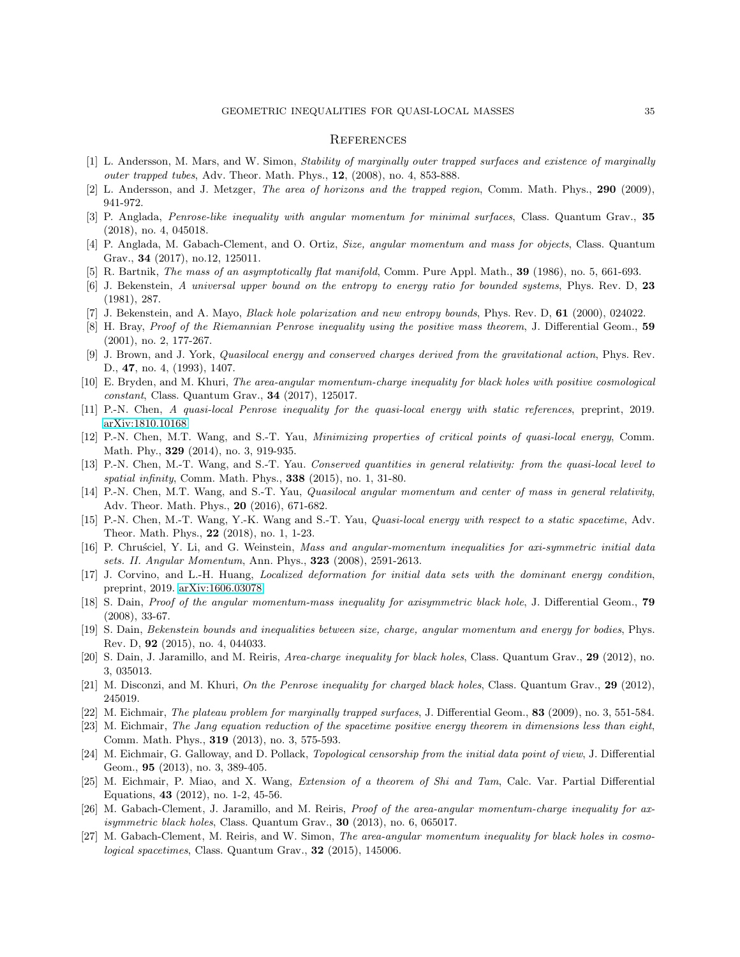### <span id="page-34-0"></span>**REFERENCES**

- <span id="page-34-21"></span><span id="page-34-12"></span>[1] L. Andersson, M. Mars, and W. Simon, Stability of marginally outer trapped surfaces and existence of marginally outer trapped tubes, Adv. Theor. Math. Phys., 12, (2008), no. 4, 853-888.
- <span id="page-34-7"></span>[2] L. Andersson, and J. Metzger, The area of horizons and the trapped region, Comm. Math. Phys., 290 (2009), 941-972.
- <span id="page-34-4"></span>[3] P. Anglada, Penrose-like inequality with angular momentum for minimal surfaces, Class. Quantum Grav., 35 (2018), no. 4, 045018.
- [4] P. Anglada, M. Gabach-Clement, and O. Ortiz, Size, angular momentum and mass for objects, Class. Quantum Grav., 34 (2017), no.12, 125011.
- <span id="page-34-25"></span><span id="page-34-1"></span>[5] R. Bartnik, The mass of an asymptotically flat manifold, Comm. Pure Appl. Math., 39 (1986), no. 5, 661-693.
- <span id="page-34-2"></span>[6] J. Bekenstein, A universal upper bound on the entropy to energy ratio for bounded systems, Phys. Rev. D, 23 (1981), 287.
- <span id="page-34-6"></span>[7] J. Bekenstein, and A. Mayo, Black hole polarization and new entropy bounds, Phys. Rev. D, 61 (2000), 024022.
- <span id="page-34-5"></span>[8] H. Bray, Proof of the Riemannian Penrose inequality using the positive mass theorem, J. Differential Geom., 59 (2001), no. 2, 177-267.
- <span id="page-34-17"></span>[9] J. Brown, and J. York, Quasilocal energy and conserved charges derived from the gravitational action, Phys. Rev. D., 47, no. 4, (1993), 1407.
- <span id="page-34-27"></span>[10] E. Bryden, and M. Khuri, The area-angular momentum-charge inequality for black holes with positive cosmological constant, Class. Quantum Grav., 34 (2017), 125017.
- <span id="page-34-15"></span>[11] P.-N. Chen, A quasi-local Penrose inequality for the quasi-local energy with static references, preprint, 2019. [arXiv:1810.10168](http://arxiv.org/abs/1810.10168)
- [12] P.-N. Chen, M.T. Wang, and S.-T. Yau, *Minimizing properties of critical points of quasi-local energy*, Comm. Math. Phy., 329 (2014), no. 3, 919-935.
- <span id="page-34-9"></span>[13] P.-N. Chen, M.-T. Wang, and S.-T. Yau. Conserved quantities in general relativity: from the quasi-local level to spatial infinity, Comm. Math. Phys., **338** (2015), no. 1, 31-80.
- <span id="page-34-16"></span>[14] P.-N. Chen, M.T. Wang, and S.-T. Yau, *Quasilocal angular momentum and center of mass in general relativity*, Adv. Theor. Math. Phys., 20 (2016), 671-682.
- <span id="page-34-8"></span>[15] P.-N. Chen, M.-T. Wang, Y.-K. Wang and S.-T. Yau, Quasi-local energy with respect to a static spacetime, Adv. Theor. Math. Phys., 22 (2018), no. 1, 1-23.
- <span id="page-34-11"></span>[16] P. Chrusciel, Y. Li, and G. Weinstein, Mass and angular-momentum inequalities for axi-symmetric initial data sets. II. Angular Momentum, Ann. Phys., 323 (2008), 2591-2613.
- <span id="page-34-14"></span>[17] J. Corvino, and L.-H. Huang, Localized deformation for initial data sets with the dominant energy condition, preprint, 2019. [arXiv:1606.03078](http://arxiv.org/abs/1606.03078)
- <span id="page-34-10"></span>[18] S. Dain, *Proof of the angular momentum-mass inequality for axisymmetric black hole*, J. Differential Geom., **79** (2008), 33-67.
- <span id="page-34-3"></span>[19] S. Dain, Bekenstein bounds and inequalities between size, charge, angular momentum and energy for bodies, Phys. Rev. D, 92 (2015), no. 4, 044033.
- <span id="page-34-18"></span>[20] S. Dain, J. Jaramillo, and M. Reiris, *Area-charge inequality for black holes*, Class. Quantum Grav., 29 (2012), no. 3, 035013.
- <span id="page-34-22"></span><span id="page-34-13"></span>[21] M. Disconzi, and M. Khuri, On the Penrose inequality for charged black holes, Class. Quantum Grav., 29 (2012), 245019.
- <span id="page-34-23"></span>[22] M. Eichmair, The plateau problem for marginally trapped surfaces, J. Differential Geom., 83 (2009), no. 3, 551-584.
- [23] M. Eichmair, The Jang equation reduction of the spacetime positive energy theorem in dimensions less than eight, Comm. Math. Phys., 319 (2013), no. 3, 575-593.
- <span id="page-34-26"></span>[24] M. Eichmair, G. Galloway, and D. Pollack, Topological censorship from the initial data point of view, J. Differential Geom., 95 (2013), no. 3, 389-405.
- <span id="page-34-24"></span>[25] M. Eichmair, P. Miao, and X. Wang, Extension of a theorem of Shi and Tam, Calc. Var. Partial Differential Equations, 43 (2012), no. 1-2, 45-56.
- <span id="page-34-19"></span>[26] M. Gabach-Clement, J. Jaramillo, and M. Reiris, *Proof of the area-angular momentum-charge inequality for ax*isymmetric black holes, Class. Quantum Grav., 30 (2013), no. 6, 065017.
- <span id="page-34-20"></span>[27] M. Gabach-Clement, M. Reiris, and W. Simon, The area-angular momentum inequality for black holes in cosmological spacetimes, Class. Quantum Grav., 32 (2015), 145006.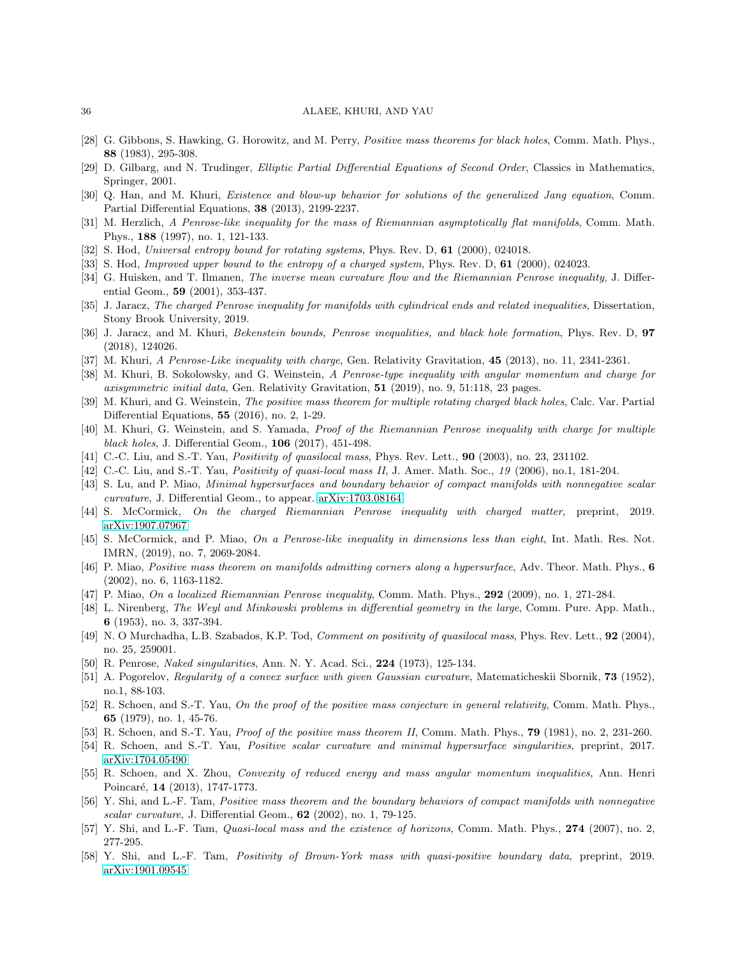- <span id="page-35-29"></span>[28] G. Gibbons, S. Hawking, G. Horowitz, and M. Perry, Positive mass theorems for black holes, Comm. Math. Phys., 88 (1983), 295-308.
- <span id="page-35-25"></span>[29] D. Gilbarg, and N. Trudinger, Elliptic Partial Differential Equations of Second Order, Classics in Mathematics, Springer, 2001.
- <span id="page-35-26"></span>[30] Q. Han, and M. Khuri, Existence and blow-up behavior for solutions of the generalized Jang equation, Comm. Partial Differential Equations, 38 (2013), 2199-2237.
- <span id="page-35-0"></span>[31] M. Herzlich, A Penrose-like inequality for the mass of Riemannian asymptotically flat manifolds, Comm. Math. Phys., 188 (1997), no. 1, 121-133.
- <span id="page-35-1"></span>[32] S. Hod, Universal entropy bound for rotating systems, Phys. Rev. D, 61 (2000), 024018.
- <span id="page-35-5"></span>[33] S. Hod, Improved upper bound to the entropy of a charged system, Phys. Rev. D, 61 (2000), 024023.
- [34] G. Huisken, and T. Ilmanen, *The inverse mean curvature flow and the Riemannian Penrose inequality*, J. Differential Geom., 59 (2001), 353-437.
- <span id="page-35-17"></span><span id="page-35-2"></span>[35] J. Jaracz, The charged Penrose inequality for manifolds with cylindrical ends and related inequalities, Dissertation, Stony Brook University, 2019.
- <span id="page-35-27"></span>[36] J. Jaracz, and M. Khuri, Bekenstein bounds, Penrose inequalities, and black hole formation, Phys. Rev. D, 97 (2018), 124026.
- <span id="page-35-8"></span>[37] M. Khuri, A Penrose-Like inequality with charge, Gen. Relativity Gravitation, 45 (2013), no. 11, 2341-2361.
- [38] M. Khuri, B. Sokolowsky, and G. Weinstein, A Penrose-type inequality with angular momentum and charge for axisymmetric initial data, Gen. Relativity Gravitation,  $51$  (2019), no. 9, 51:118, 23 pages.
- <span id="page-35-19"></span>[39] M. Khuri, and G. Weinstein, The positive mass theorem for multiple rotating charged black holes, Calc. Var. Partial Differential Equations, 55 (2016), no. 2, 1-29.
- <span id="page-35-6"></span>[40] M. Khuri, G. Weinstein, and S. Yamada, Proof of the Riemannian Penrose inequality with charge for multiple black holes, J. Differential Geom., 106 (2017), 451-498.
- <span id="page-35-18"></span><span id="page-35-3"></span>[41] C.-C. Liu, and S.-T. Yau, *Positivity of quasilocal mass*, Phys. Rev. Lett., **90** (2003), no. 23, 231102.
- <span id="page-35-11"></span>[42] C.-C. Liu, and S.-T. Yau, *Positivity of quasi-local mass II*, J. Amer. Math. Soc., 19 (2006), no.1, 181-204.
- [43] S. Lu, and P. Miao, Minimal hypersurfaces and boundary behavior of compact manifolds with nonnegative scalar curvature, J. Differential Geom., to appear. [arXiv:1703.08164](http://arxiv.org/abs/1703.08164)
- <span id="page-35-15"></span><span id="page-35-7"></span>[44] S. McCormick, On the charged Riemannian Penrose inequality with charged matter, preprint, 2019. [arXiv:1907.07967](http://arxiv.org/abs/1907.07967)
- [45] S. McCormick, and P. Miao, On a Penrose-like inequality in dimensions less than eight, Int. Math. Res. Not. IMRN, (2019), no. 7, 2069-2084.
- <span id="page-35-22"></span>[46] P. Miao, *Positive mass theorem on manifolds admitting corners along a hypersurface*, Adv. Theor. Math. Phys., 6 (2002), no. 6, 1163-1182.
- <span id="page-35-12"></span>[47] P. Miao, On a localized Riemannian Penrose inequality, Comm. Math. Phys., 292 (2009), no. 1, 271-284.
- [48] L. Nirenberg, The Weyl and Minkowski problems in differential geometry in the large, Comm. Pure. App. Math., 6 (1953), no. 3, 337-394.
- <span id="page-35-21"></span>[49] N. O Murchadha, L.B. Szabados, K.P. Tod, Comment on positivity of quasilocal mass, Phys. Rev. Lett., 92 (2004), no. 25, 259001.
- <span id="page-35-13"></span><span id="page-35-4"></span>[50] R. Penrose, Naked singularities, Ann. N. Y. Acad. Sci., 224 (1973), 125-134.
- [51] A. Pogorelov, Regularity of a convex surface with given Gaussian curvature, Matematicheskii Sbornik, 73 (1952), no.1, 88-103.
- <span id="page-35-28"></span>[52] R. Schoen, and S.-T. Yau, On the proof of the positive mass conjecture in general relativity, Comm. Math. Phys., 65 (1979), no. 1, 45-76.
- <span id="page-35-24"></span><span id="page-35-10"></span>[53] R. Schoen, and S.-T. Yau, Proof of the positive mass theorem II, Comm. Math. Phys., 79 (1981), no. 2, 231-260.
- <span id="page-35-20"></span>[54] R. Schoen, and S.-T. Yau, Positive scalar curvature and minimal hypersurface singularities, preprint, 2017. [arXiv:1704.05490](http://arxiv.org/abs/1704.05490)
- [55] R. Schoen, and X. Zhou, Convexity of reduced energy and mass angular momentum inequalities, Ann. Henri Poincaré, 14 (2013), 1747-1773.
- <span id="page-35-9"></span>[56] Y. Shi, and L.-F. Tam, Positive mass theorem and the boundary behaviors of compact manifolds with nonnegative scalar curvature, J. Differential Geom., 62 (2002), no. 1, 79-125.
- <span id="page-35-23"></span><span id="page-35-14"></span>[57] Y. Shi, and L.-F. Tam, *Quasi-local mass and the existence of horizons*, Comm. Math. Phys., 274 (2007), no. 2, 277-295.
- [58] Y. Shi, and L.-F. Tam, Positivity of Brown-York mass with quasi-positive boundary data, preprint, 2019. [arXiv:1901.09545](http://arxiv.org/abs/1901.09545)

<span id="page-35-16"></span>